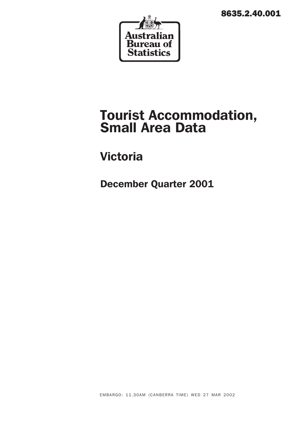8635.2.40.001



# Tourist Accommodation, Small Area Data

## Victoria

December Quarter 2001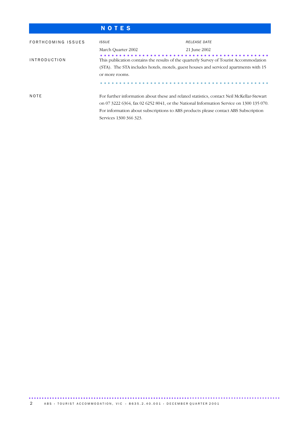## N O T E S

| FORTHCOMING ISSUES         | <b>ISSUE</b>                                                                              | RELEASE DATE                                                                            |
|----------------------------|-------------------------------------------------------------------------------------------|-----------------------------------------------------------------------------------------|
|                            | March Quarter 2002                                                                        | 21 June 2002                                                                            |
| <i><b>INTRODUCTION</b></i> | This publication contains the results of the quarterly Survey of Tourist Accommodation    |                                                                                         |
|                            | (STA). The STA includes hotels, motels, guest houses and serviced apartments with 15      |                                                                                         |
|                            | or more rooms.                                                                            |                                                                                         |
|                            |                                                                                           |                                                                                         |
| NOTE                       | For further information about these and related statistics, contact Neil McKellar-Stewart |                                                                                         |
|                            |                                                                                           | on 07 3222 6364, fax 02 6252 8041, or the National Information Service on 1300 135 070. |
|                            | For information about subscriptions to ABS products please contact ABS Subscription       |                                                                                         |
|                            | Services 1300 366 323.                                                                    |                                                                                         |

................................................................................................. ..............................................................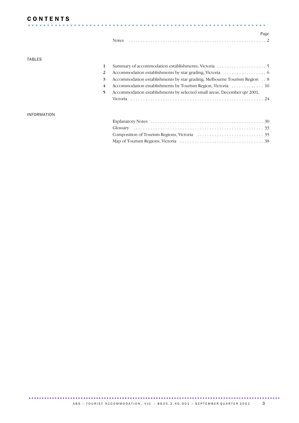### **CONTENTS**

| <b>CONTENTS</b> |  |  |  |  |  |  |  |  |  |  |  |  |  |  |  |  |  |  |  |  |  |  |  |  |  |  |  |      |  |
|-----------------|--|--|--|--|--|--|--|--|--|--|--|--|--|--|--|--|--|--|--|--|--|--|--|--|--|--|--|------|--|
|                 |  |  |  |  |  |  |  |  |  |  |  |  |  |  |  |  |  |  |  |  |  |  |  |  |  |  |  |      |  |
|                 |  |  |  |  |  |  |  |  |  |  |  |  |  |  |  |  |  |  |  |  |  |  |  |  |  |  |  | Page |  |
|                 |  |  |  |  |  |  |  |  |  |  |  |  |  |  |  |  |  |  |  |  |  |  |  |  |  |  |  |      |  |

### TABLES

| 3  | Accommodation establishments by star grading, Melbourne Tourism Region 8 |
|----|--------------------------------------------------------------------------|
| 4  |                                                                          |
| 5. | Accommodation establishments by selected small areas, December qtr 2001, |
|    |                                                                          |
|    |                                                                          |

### INFORMATION

................................................................................................. .......................................................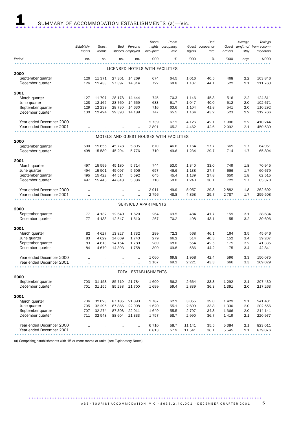|                          |            |           |          |                      | Room                            | Room                                    |         | Bed             |          | Average | Takings               |
|--------------------------|------------|-----------|----------|----------------------|---------------------------------|-----------------------------------------|---------|-----------------|----------|---------|-----------------------|
|                          | Establish- | Guest     | Bed      | Persons              | nights                          | occupancy                               |         | Guest occupancy | Guest    |         | length of from accom- |
|                          | ments      | rooms     |          | spaces employed      | occupied                        | rate                                    | nights  | rate            | arrivals | stay    | modation              |
| Period                   |            |           |          | no.                  | '000                            | %                                       | '000    | %               | '000     | days    | \$'000                |
|                          | no.        | no.       | no.      |                      |                                 |                                         |         |                 |          |         |                       |
|                          |            |           |          |                      | LICENSED HOTELS WITH FACILITIES |                                         |         |                 |          |         |                       |
| 2000                     |            |           |          |                      |                                 |                                         |         |                 |          |         |                       |
|                          |            |           |          |                      |                                 |                                         |         |                 |          | 2.2     | 103 846               |
| September quarter        | 126        | 11 371    | 27 301   | 14 269               | 674                             | 64.5                                    | 1016    | 40.5            | 468      |         |                       |
| December quarter         | 126        | 11 433    | 27 397   | 14 314               | 722                             | 68.8                                    | 1 1 0 7 | 44.1            | 522      | 2.1     | 111 763               |
|                          |            |           |          |                      |                                 |                                         |         |                 |          |         |                       |
| 2001                     |            |           |          |                      |                                 |                                         |         |                 |          |         |                       |
| March quarter            | 127        | 11 797    | 28 178   | 14 444               | 745                             | 70.3                                    | 1 1 4 6 | 45.3            | 516      | 2.2     | 124 811               |
| June quarter             | 128        | 12 165    | 28 760   | 14 659               | 683                             | 61.7                                    | 1047    | 40.0            | 512      | 2.0     | 102 671               |
| September quarter        | 129        | 12 2 3 9  | 28 730   | 14 630               | 716                             | 63.6                                    | 1 1 0 4 | 41.8            | 541      | 2.0     | 110 292               |
| December quarter         | 130        | 12 4 24   | 29 393   | 14 189               | 747                             | 65.5                                    | 1 1 6 4 | 43.2            | 523      | 2.2     | 112 766               |
|                          |            |           |          |                      |                                 |                                         |         |                 |          |         |                       |
| Year ended December 2000 |            | $\ddotsc$ |          | $\ddot{\phantom{a}}$ | 2 7 3 9                         | 67.2                                    | 4 1 2 6 | 42.1            | 1906     | 2.2     | 410 244               |
| Year ended December 2001 |            |           |          |                      | 2891                            | 65.2                                    | 4 4 6 2 | 42.6            | 2 0 9 2  | 2.1     | 450 539               |
|                          |            |           |          |                      |                                 |                                         |         |                 |          |         |                       |
|                          |            |           |          |                      |                                 | MOTELS AND GUEST HOUSES WITH FACILITIES |         |                 |          |         |                       |
| 2000                     |            |           |          |                      |                                 |                                         |         |                 |          |         |                       |
| September quarter        | 500        | 15 655    | 45 7 7 8 | 5895                 | 670                             | 46.6                                    | 1 1 6 4 | 27.7            | 665      | 1.7     | 64 951                |
| December quarter         | 498        | 15 589    | 45 294   | 5776                 | 710                             | 49.6                                    | 1 2 3 4 | 29.7            | 714      | 1.7     | 65 804                |
|                          |            |           |          |                      |                                 |                                         |         |                 |          |         |                       |
| 2001                     |            |           |          |                      |                                 |                                         |         |                 |          |         |                       |
| March quarter            | 497        | 15 599    | 45 180   | 5 7 1 4              | 744                             | 53.0                                    | 1 3 4 0 | 33.0            | 749      | 1.8     | 70 945                |
| June quarter             | 494        | 15 501    | 45 097   | 5 606                | 657                             | 46.6                                    | 1 1 38  | 27.7            | 666      | 1.7     | 60 679                |
| September quarter        | 495        | 15 4 22   | 44 514   | 5 5 9 2              | 645                             | 45.4                                    | 1 1 3 9 | 27.8            | 650      | 1.8     | 62 515                |
| December quarter         | 497        | 15 4 45   | 44 818   | 5 3 8 6              | 710                             | 50.0                                    | 1 2 4 0 | 30.1            | 722      | 1.7     | 65 370                |
|                          |            |           |          |                      |                                 |                                         |         |                 |          |         |                       |
| Year ended December 2000 |            |           |          |                      | 2911                            | 49.9                                    | 5057    | 29.8            | 2882     | 1.8     | 262 692               |
| Year ended December 2001 |            |           |          |                      | 2 7 5 6                         | 48.8                                    | 4858    | 29.7            | 2 7 8 7  | 1.7     | 259 508               |
|                          |            |           |          |                      |                                 |                                         |         |                 |          |         |                       |
|                          |            |           |          |                      | SERVICED APARTMENTS             |                                         |         |                 |          |         |                       |
| 2000                     |            |           |          |                      |                                 |                                         |         |                 |          |         |                       |
| September quarter        | 77         | 4 1 3 2   | 12 640   | 1620                 | 264                             | 69.5                                    | 484     | 41.7            | 159      | 3.1     | 38 634                |
| December quarter         | 77         | 4 1 3 3   | 12 547   | 1610                 | 267                             | 70.2                                    | 498     | 43.1            | 155      | 3.2     | 39 696                |
|                          |            |           |          |                      |                                 |                                         |         |                 |          |         |                       |
| 2001                     |            |           |          |                      |                                 |                                         |         |                 |          |         |                       |
| March quarter            | 82         | 4627      | 13827    | 1732                 | 299                             | 72.3                                    | 568     | 46.1            | 164      | 3.5     | 45 646                |
| June quarter             | 83         | 4629      | 14 009   | 1743                 | 279                             | 66.2                                    | 514     | 40.3            | 152      | 3.4     | 39 207                |
| September quarter        | 83         | 4 6 1 3   | 14 154   | 1789                 | 289                             | 68.0                                    | 554     | 42.5            | 175      | 3.2     | 41 335                |
| December quarter         | 84         | 4679      | 14 393   | 1758                 | 300                             | 69.8                                    | 586     | 44.2            | 175      | 3.4     | 42 841                |
|                          |            |           |          |                      |                                 |                                         |         |                 |          |         |                       |
| Year ended December 2000 |            |           |          |                      | 1 0 6 0                         | 69.8                                    | 1958    | 42.4            | 596      | 3.3     | 150 075               |
|                          |            |           | $\cdot$  | $\ddot{\phantom{a}}$ | 1 1 6 7                         | 69.1                                    | 2 2 2 1 | 43.3            | 666      | 3.3     | 169 029               |
| Year ended December 2001 |            | $\ddotsc$ |          | $\ddot{\phantom{a}}$ |                                 |                                         |         |                 |          |         |                       |
|                          |            |           |          |                      |                                 |                                         |         |                 |          |         |                       |
|                          |            |           |          |                      | TOTAL ESTABLISHMENTS            |                                         |         |                 |          |         |                       |
| 2000                     |            |           |          |                      |                                 |                                         |         |                 |          |         |                       |
| September quarter        | 703        | 31 158    | 85 719   | 21 784               | 1 609                           | 56.2                                    | 2664    | 33.8            | 1 2 9 2  | 2.1     | 207 430               |
| December quarter         | 701        | 31 155    | 85 238   | 21 700               | 1699                            | 59.4                                    | 2839    | 36.3            | 1 3 9 1  | 2.0     | 217 263               |
|                          |            |           |          |                      |                                 |                                         |         |                 |          |         |                       |
| 2001                     |            |           |          |                      |                                 |                                         |         |                 |          |         |                       |
| March quarter            | 706        | 32 0 23   | 87 185   | 21 890               | 1787                            | 62.1                                    | 3 0 5 5 | 39.0            | 1 4 2 9  | 2.1     | 241 401               |
| June quarter             | 705        | 32 295    | 87866    | 22 008               | 1620                            | 55.1                                    | 2699    | 33.8            | 1 3 3 0  | 2.0     | 202 556               |
| September quarter        | 707        | 32 274    | 87 398   | 22 011               | 1649                            | 55.5                                    | 2 7 9 7 | 34.8            | 1 3 6 6  | 2.0     | 214 141               |
| December quarter         | 711        | 32 548    | 88 604   | 21 3 3 3             | 1757                            | 58.7                                    | 2 9 9 0 | 36.7            | 1419     | 2.1     | 220 977               |
|                          |            |           |          |                      |                                 |                                         |         |                 |          |         |                       |
| Year ended December 2000 |            |           |          |                      | 6 7 1 0                         | 58.7                                    | 11 141  | 35.5            | 5 3 8 4  | 2.1     | 823 011               |
| Year ended December 2001 |            |           |          |                      | 6813                            | 57.9                                    | 11 541  | 36.1            | 5 5 4 5  | 2.1     | 879 076               |
|                          |            |           |          |                      |                                 |                                         |         |                 |          |         |                       |

(a) Comprising establishments with 15 or more rooms or units (see Explanatory Notes).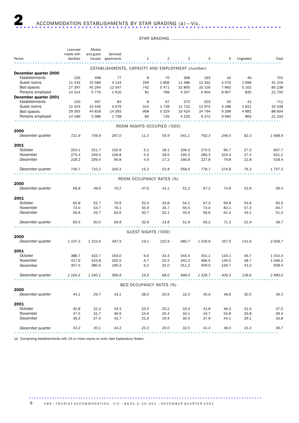### STAR GRADING .....................................................

|                       | Licensed    | Motels    |                   |                                                  |         |         |             |         |          |             |
|-----------------------|-------------|-----------|-------------------|--------------------------------------------------|---------|---------|-------------|---------|----------|-------------|
|                       | hotels with | and guest | Serviced          |                                                  |         |         |             |         |          |             |
| Period                | facilities  |           | houses apartments | 1                                                | 2       | 3       | 4           | 5       | Ungraded | Total       |
|                       |             |           |                   | ESTABLISHMENTS, CAPACITY AND EMPLOYMENT (number) |         |         |             |         |          |             |
| December quarter 2000 |             |           |                   |                                                  |         |         |             |         |          |             |
| <b>Establishments</b> | 126         | 498       | 77                | 8                                                | 70      | 368     | 193         | 16      | 46       | 701         |
| Guest rooms           | 11 4 33     | 15 589    | 4 1 3 3           | 259                                              | 1806    | 11 486  | 12 3 32     | 3576    | 1696     | 31 155      |
| Bed spaces            | 27 397      | 45 294    | 12 547            | 742                                              | 5471    | 32 800  | 33 100      | 7963    | 5 1 6 2  | 85 238      |
| Persons employed      | 14 3 14     | 5776      | 1610              | 81                                               | 766     | 4 2 0 7 | 6904        | 8907    | 835      | 21 700      |
| December quarter 2001 |             |           |                   |                                                  |         |         |             |         |          |             |
| <b>Establishments</b> | 130         | 497       | 84                | 8                                                | 67      | 372     | 203         | 20      | 41       | 711         |
| Guest rooms           | 12 4 24     | 15 4 45   | 4679              | 314                                              | 1728    | 11 722  | 12975       | 4 1 8 8 | 1621     | 32 548      |
| Bed spaces            | 29 3 9 3    | 44 818    | 14 3 9 3          | 908                                              | 5 3 2 9 | 33 4 24 | 34 794      | 9 2 6 8 | 4881     | 88 604      |
| Persons employed      | 14 189      | 5 3 8 6   | 1758              | 85                                               | 726     | 4 2 2 5 | 6372        | 9 0 6 0 | 865      | 21 3 3 3    |
|                       |             |           |                   |                                                  |         |         |             |         |          |             |
|                       |             |           |                   | ROOM NIGHTS OCCUPIED ('000)                      |         |         |             |         |          |             |
| 2000                  |             |           |                   |                                                  |         |         |             |         |          |             |
| December quarter      | 721.9       | 709.9     | 267.0             | 11.3                                             | 55.9    | 541.1   | 762.3       | 246.0   | 82.3     | 1698.9      |
| 2001                  |             |           |                   |                                                  |         |         |             |         |          |             |
| October               | 253.1       | 251.7     | 102.9             | 5.1                                              | 18.1    | 196.3   | 270.5       | 90.7    | 27.0     | 607.7       |
| November              | 275.4       | 249.0     | 106.8             | 5.3                                              | 18.5    | 195.3   | 280.3       | 104.4   | 27.4     | 631.2       |
| December              | 218.2       | 209.4     | 90.8              | 4.9                                              | 17.2    | 166.8   | 227.8       | 79.8    | 21.8     | 518.4       |
|                       |             |           |                   |                                                  |         |         |             |         |          |             |
| December quarter      | 746.7       | 710.2     | 300.4             | 15.3                                             | 53.8    | 558.5   | 778.7       | 274.8   | 76.3     | 1 7 5 7 . 3 |
|                       |             |           |                   | ROOM OCCUPANCY RATES (%)                         |         |         |             |         |          |             |
| 2000                  |             |           |                   |                                                  |         |         |             |         |          |             |
| December quarter      | 68.8        | 49.6      | 70.2              | 47.6                                             | 34.1    | 51.2    | 67.2        | 74.8    | 53.8     | 59.4        |
|                       |             |           |                   |                                                  |         |         |             |         |          |             |
| 2001<br>October       | 65.8        | 52.7      | 70.9              | 52.0                                             | 33.8    | 54.1    | 67.3        | 69.8    | 54.6     | 60.3        |
| November              | 74.0        | 53.7      | 76.1              | 55.9                                             | 35.7    | 55.5    | 72.0        | 83.1    | 57.3     | 64.7        |
| December              | 56.8        | 43.7      | 62.6              | 50.7                                             | 32.1    | 45.9    | 56.6        | 61.4    | 44.1     | 51.4        |
|                       |             |           |                   |                                                  |         |         |             |         |          |             |
| December quarter      | 65.5        | 50.0      | 69.8              | 52.8                                             | 33.8    | 51.8    | 65.2        | 71.3    | 51.9     | 58.7        |
|                       |             |           |                   |                                                  |         |         |             |         |          |             |
| 2000                  |             |           |                   | GUEST NIGHTS ('000)                              |         |         |             |         |          |             |
| December quarter      | 1 107.3     | 1 233.6   | 497.9             | 19.1                                             | 102.9   | 980.7   | 1 2 3 6 . 9 | 357.5   | 141.6    | 2838.7      |
|                       |             |           |                   |                                                  |         |         |             |         |          |             |
| 2001                  |             |           |                   |                                                  |         |         |             |         |          |             |
| October               | 388.7       | 433.7     | 193.0             | 6.6                                              | 33.4    | 344.4   | 451.1       | 133.1   | 46.7     | 1 0 1 5.4   |
| November              | 417.9       | 425.8     | 202.5             | 6.7                                              | 32.5    | 342.3   | 466.5       | 149.5   | 48.7     | 1 0 4 6.2   |
| December              | 357.5       | 380.6     | 190.3             | 6.2                                              | 32.0    | 311.2   | 409.0       | 126.7   | 43.3     | 928.4       |
| December quarter      | 1 164.2     | 1 240.1   | 585.8             | 19.5                                             | 98.0    | 998.0   | 1 3 2 6 . 7 | 409.3   | 138.6    | 2 990.0     |
|                       |             |           |                   |                                                  |         |         |             |         |          |             |
|                       |             |           |                   | BED OCCUPANCY RATES (%)                          |         |         |             |         |          |             |
| 2000                  |             |           |                   |                                                  |         |         |             |         |          |             |
| December quarter      | 44.1        | 29.7      | 43.1              | 28.0                                             | 20.9    | 32.5    | 40.6        | 48.8    | 30.5     | 36.3        |
| 2001                  |             |           |                   |                                                  |         |         |             |         |          |             |
| October               | 42.8        | 31.3      | 43.3              | 23.4                                             | 20.2    | 33.3    | 41.8        | 46.3    | 31.4     | 37.0        |
| November              | 47.5        | 31.7      | 46.9              | 24.6                                             | 20.4    | 34.1    | 44.7        | 53.8    | 33.8     | 39.4        |
| December              | 39.3        | 27.4      | 42.7              | 21.9                                             | 19.4    | 30.0    | 37.9        | 44.1    | 29.1     | 33.8        |
| December quarter      | 43.2        | 30.1      | 44.2              | 23.3                                             | 20.0    | 32.5    | 41.4        | 48.0    | 31.4     | 36.7        |
|                       |             |           |                   |                                                  |         |         |             |         |          |             |

(a) Comprising establishments with 15 or more rooms or units (see Explanatory Notes).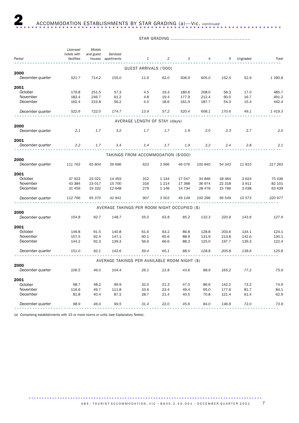### STAR GRADING .....................................................

|                  | Licensed    | Motels    |            |                                               |                |        |                |         |          |             |
|------------------|-------------|-----------|------------|-----------------------------------------------|----------------|--------|----------------|---------|----------|-------------|
|                  | hotels with | and guest | Serviced   |                                               |                |        |                |         |          |             |
| Period           | facilities  | houses    | apartments | 1                                             | $\overline{c}$ | 3      | $\overline{4}$ | 5       | Ungraded | Total       |
|                  |             |           |            | GUEST ARRIVALS ('000)                         |                |        |                |         |          |             |
| 2000             |             |           |            |                                               |                |        |                |         |          |             |
| December quarter | 521.7       | 714.2     | 155.0      | 11.6                                          | 62.0           | 506.9  | 605.0          | 152.5   | 52.9     | 1 3 9 0.8   |
| 2001             |             |           |            |                                               |                |        |                |         |          |             |
| October          | 176.8       | 251.5     | 57.3       | 4.5                                           | 19.3           | 180.6  | 208.0          | 56.3    | 17.0     | 485.7       |
| November         | 183.4       | 246.7     | 61.2       | 4.8                                           | 19.4           | 177.9  | 212.4          | 60.0    | 16.7     | 491.2       |
| December         | 162.4       | 223.8     | 56.2       | 4.5                                           | 18.6           | 161.9  | 187.7          | 54.3    | 15.4     | 442.4       |
| December quarter | 522.6       | 722.0     | 174.7      | 13.9                                          | 57.2           | 520.4  | 608.1          | 170.6   | 49.1     | 1 4 1 9 . 3 |
|                  |             |           |            | AVERAGE LENGTH OF STAY (days)                 |                |        |                |         |          |             |
| 2000             |             |           |            |                                               |                |        |                |         |          |             |
| December quarter | 2.1         | 1.7       | 3.2        | 1.7                                           | 1.7            | 1.9    | 2.0            | 2.3     | 2.7      | 2.0         |
| 2001             |             |           |            |                                               |                |        |                |         |          |             |
| December quarter | 2.2         | 1.7       | 3.4        | 1.4                                           | 1.7            | 1.9    | 2.2            | 2.4     | 2.8      | 2.1         |
|                  |             |           |            | TAKINGS FROM ACCOMMODATION (\$'000)           |                |        |                |         |          |             |
| 2000             |             |           |            |                                               |                |        |                |         |          |             |
| December quarter | 111 763     | 65 804    | 39 696     | 623                                           | 3 5 6 6        | 46 076 | 100 840        | 54 343  | 11815    | 217 263     |
| 2001             |             |           |            |                                               |                |        |                |         |          |             |
| October          | 37923       | 23 0 21   | 14 4 93    | 312                                           | 1 1 4 4        | 17 047 | 34 846         | 18 4 64 | 3624     | 75 436      |
| November         | 43 384      | 23 017    | 15 700     | 316                                           | 1 2 1 4        | 17 368 | 36 974         | 22 318  | 3911     | 82 101      |
| December         | 31 459      | 19 3 32   | 12 648     | 279                                           | 1 1 4 6        | 14 734 | 28 4 7 6       | 15 7 66 | 3 0 3 8  | 63 439      |
| December quarter | 112 766     | 65 370    | 42 841     | 907                                           | 3 503          | 49 149 | 100 296        | 56 549  | 10 573   | 220 977     |
|                  |             |           |            | AVERAGE TAKINGS PER ROOM NIGHT OCCUPIED (\$)  |                |        |                |         |          |             |
| 2000             |             |           |            |                                               |                |        |                |         |          |             |
| December quarter | 154.8       | 92.7      | 148.7      | 55.0                                          | 63.8           | 85.2   | 132.3          | 220.9   | 143.6    | 127.9       |
| 2001             |             |           |            |                                               |                |        |                |         |          |             |
| October          | 149.8       | 91.5      | 140.8      | 61.6                                          | 63.2           | 86.8   | 128.8          | 203.6   | 134.1    | 124.1       |
| November         | 157.5       | 92.4      | 147.1      | 60.1                                          | 65.6           | 88.9   | 131.9          | 213.8   | 142.6    | 130.1       |
| December         | 144.2       | 92.3      | 139.3      | 56.6                                          | 66.6           | 88.3   | 125.0          | 197.7   | 139.3    | 122.4       |
| December quarter | 151.0       | 92.1      | 142.6      | 59.4                                          | 65.1           | 88.0   | 128.8          | 205.8   | 138.6    | 125.8       |
|                  |             |           |            | AVERAGE TAKINGS PER AVAILABLE ROOM NIGHT (\$) |                |        |                |         |          |             |
| 2000             |             |           |            |                                               |                |        |                |         |          |             |
| December quarter | 106.5       | 46.0      | 104.4      | 26.1                                          | 21.8           | 43.6   | 88.9           | 165.2   | 77.2     | 75.9        |
| 2001             |             |           |            |                                               |                |        |                |         |          |             |
| October          | 98.7        | 48.2      | 99.9       | 32.0                                          | 21.3           | 47.0   | 86.6           | 142.2   | 73.2     | 74.9        |
| November         | 116.6       | 49.7      | 111.8      | 33.6                                          | 23.4           | 49.4   | 95.0           | 177.6   | 81.7     | 84.1        |
| December         | 81.8        | 40.4      | 87.2       | 28.7                                          | 21.4           | 40.5   | 70.8           | 121.4   | 61.4     | 62.9        |
| December quarter | 98.9        | 46.0      | 99.5       | 31.4                                          | 22.0           | 45.6   | 84.0           | 146.8   | 72.0     | 73.9        |
|                  |             |           |            |                                               |                |        |                |         |          |             |

(a) Comprising establishments with 15 or more rooms or units (see Explanatory Notes).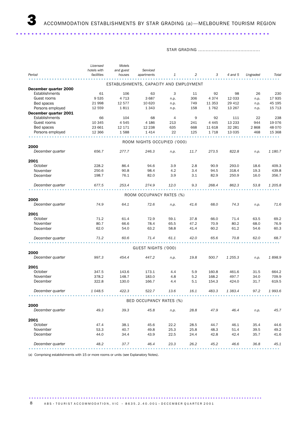..................................................................

STAR GRADING .........................................

|                       | Licensed<br>hotels with | Motels<br>and guest                     | Serviced                    |                |      |          |             |          |         |
|-----------------------|-------------------------|-----------------------------------------|-----------------------------|----------------|------|----------|-------------|----------|---------|
| Period                | facilities              | houses                                  | apartments                  | 1              | 2    | 3        | 4 and 5     | Ungraded | Total   |
|                       |                         | ESTABLISHMENTS, CAPACITY AND EMPLOYMENT |                             |                |      |          |             |          |         |
| December quarter 2000 |                         |                                         |                             |                |      |          |             |          |         |
| Establishments        | 61                      | 106                                     | 63                          | 3              | 11   | 92       | 98          | 26       | 230     |
| Guest rooms           | 9535                    | 4 7 1 3                                 | 3687                        | n.p.           | 306  | 4 3 7 4  | 12 033      | n.p.     | 17 935  |
| Bed spaces            | 21 998                  | 12 577                                  | 10 6 20                     | n.p.           | 749  | 11 3 5 3 | 29 412      | n.p.     | 45 195  |
| Persons employed      | 12 559                  | 1811                                    | 1 3 4 3                     | n.p.           | 158  | 1762     | 13 267      | n.p.     | 15 7 13 |
| December quarter 2001 |                         |                                         |                             |                |      |          |             |          |         |
| Establishments        | 66                      | 104                                     | 68                          | $\overline{4}$ | 9    | 92       | 111         | 22       | 238     |
| Guest rooms           | 10 345                  | 4545                                    | 4 1 8 6                     | 213            | 241  | 4 4 4 5  | 13 2 3 3    | 944      | 19 0 76 |
| Bed spaces            | 23 661                  | 12 171                                  | 12 2 38                     | 635            | 668  | 11 618   | 32 281      | 2868     | 48 070  |
| Persons employed      | 12 3 6 6                | 1588                                    | 1414                        | 22             | 125  | 1718     | 13 0 35     | 468      | 15 3 68 |
|                       |                         |                                         |                             |                |      |          |             |          |         |
|                       |                         |                                         | ROOM NIGHTS OCCUPIED ('000) |                |      |          |             |          |         |
| 2000                  |                         |                                         |                             |                |      |          |             |          |         |
| December quarter      | 656.7                   | 277.7                                   | 246.3                       | n.p.           | 11.7 | 273.5    | 822.8       | n.p.     | 1 180.7 |
| 2001                  |                         |                                         |                             |                |      |          |             |          |         |
| October               | 228.2                   | 86.4                                    | 94.6                        | 3.9            | 2.8  | 90.9     | 293.0       | 18.6     | 409.3   |
| November              | 250.6                   | 90.8                                    | 98.4                        | 4.2            | 3.4  | 94.5     | 318.4       | 19.3     | 439.8   |
| December              | 198.7                   | 76.1                                    | 82.0                        | 3.9            | 3.1  | 82.9     | 250.9       | 16.0     | 356.7   |
|                       |                         |                                         |                             |                |      |          |             |          |         |
| December quarter      | 677.5                   | 253.4                                   | 274.9                       | 12.0           | 9.3  | 268.4    | 862.3       | 53.8     | 1 205.8 |
|                       |                         |                                         |                             |                |      |          |             |          |         |
| 2000                  |                         |                                         | ROOM OCCUPANCY RATES (%)    |                |      |          |             |          |         |
| December quarter      | 74.9                    | 64.1                                    | 72.6                        | n.p.           | 41.6 | 68.0     | 74.3        | n.p.     | 71.6    |
| 2001                  |                         |                                         |                             |                |      |          |             |          |         |
| October               | 71.2                    | 61.4                                    | 72.9                        | 59.1           | 37.8 | 66.0     | 71.4        | 63.5     | 69.2    |
| November              | 80.7                    | 66.6                                    | 78.4                        | 65.5           | 47.2 | 70.9     | 80.2        | 68.0     | 76.9    |
| December              | 62.0                    | 54.0                                    | 63.2                        | 58.8           | 41.4 | 60.2     | 61.2        | 54.6     | 60.3    |
|                       |                         |                                         |                             |                |      |          |             |          |         |
| December quarter      | 71.2                    | 60.6                                    | 71.4                        | 61.1           | 42.0 | 65.6     | 70.8        | 62.0     | 68.7    |
|                       |                         |                                         | GUEST NIGHTS ('000)         |                |      |          |             |          |         |
| 2000                  |                         |                                         |                             |                |      |          |             |          |         |
| December quarter      | 997.3                   | 454.4                                   | 447.2                       | n.p.           | 19.8 | 500.7    | 1 2 5 5 . 3 | n.p.     | 1898.9  |
| 2001                  |                         |                                         |                             |                |      |          |             |          |         |
| October               | 347.5                   | 143.6                                   | 173.1                       | 4.4            | 5.9  | 160.8    | 461.6       | 31.5     | 664.2   |
| November              | 378.2                   | 148.7                                   | 183.0                       | 4.8            | 5.2  | 168.2    | 497.7       | 34.0     | 709.9   |
| December              | 322.8                   | 130.0                                   | 166.7                       | 4.4            | 5.1  | 154.3    | 424.0       | 31.7     | 619.5   |
| December quarter      | 1 0 48.5                | 422.3                                   | 522.7                       | 13.6           | 16.1 | 483.3    | 1 3 8 3.4   | 97.2     | 1993.6  |
|                       |                         |                                         |                             |                |      |          |             |          |         |
|                       |                         |                                         | BED OCCUPANCY RATES (%)     |                |      |          |             |          |         |
| 2000                  |                         |                                         |                             |                |      |          |             |          |         |
| December quarter      | 49.3                    | 39.3                                    | 45.8                        | n.p.           | 28.8 | 47.9     | 46.4        | n.p.     | 45.7    |
| 2001                  |                         |                                         |                             |                |      |          |             |          |         |
| October               | 47.4                    | 38.1                                    | 45.6                        | 22.2           | 28.5 | 44.7     | 46.1        | 35.4     | 44.6    |
| November              | 53.3                    | 40.7                                    | 49.8                        | 25.3           | 25.8 | 48.3     | 51.4        | 39.5     | 49.2    |
| December              | 44.0                    | 34.4                                    | 43.9                        | 22.5           | 24.4 | 42.8     | 42.4        | 35.7     | 41.6    |
| December quarter      | 48.2                    | 37.7                                    | 46.4                        | 23.3           | 26.2 | 45.2     | 46.6        | 36.8     | 45.1    |
|                       |                         |                                         |                             |                |      |          |             |          |         |

(a) Comprising establishments with 15 or more rooms or units (see Explanatory Notes).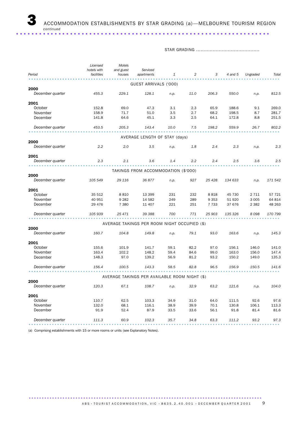STAR GRADING ..........................................

|                  | Licensed<br>hotels with | Motels<br>and guest | Serviced                                      |      |                  |         |         |          |         |
|------------------|-------------------------|---------------------|-----------------------------------------------|------|------------------|---------|---------|----------|---------|
| Period           | facilities              | houses              | apartments                                    | 1    | 2                | 3       | 4 and 5 | Ungraded | Total   |
|                  |                         |                     | GUEST ARRIVALS ('000)                         |      |                  |         |         |          |         |
| 2000             |                         |                     |                                               |      |                  |         |         |          |         |
| December quarter | 455.3                   | 229.1               | 128.1                                         | n.p. | 11.0             | 206.3   | 550.0   | n.p.     | 812.5   |
| 2001             |                         |                     |                                               |      |                  |         |         |          |         |
| October          | 152.8                   | 69.0                | 47.3                                          | 3.1  | 2.3              | 65.9    | 188.6   | 9.1      | 269.0   |
| November         | 158.9                   | 71.7                | 51.0                                          | 3.5  | 2.7              | 68.2    | 198.5   | 8.7      | 281.7   |
| December         | 141.8                   | 64.6                | 45.1                                          | 3.3  | 2.5              | 64.1    | 172.8   | 8.8      | 251.5   |
| December quarter | 453.5                   | 205.3               | 143.4                                         | 10.0 | 7.5              | 198.2   | 559.9   | 26.7     | 802.2   |
|                  |                         |                     | AVERAGE LENGTH OF STAY (days)                 |      |                  |         |         |          |         |
| 2000             |                         |                     |                                               |      |                  |         |         |          |         |
| December quarter | 2.2                     | 2.0                 | 3.5                                           | n.p. | 1.8              | 2.4     | 2.3     | n.p.     | 2.3     |
| 2001             |                         |                     |                                               |      |                  |         |         |          |         |
| December quarter | 2.3                     | 2.1                 | 3.6                                           | 1.4  | $2.2\phantom{0}$ | 2.4     | 2.5     | 3.6      | 2.5     |
|                  |                         |                     | TAKINGS FROM ACCOMMODATION (\$'000)           |      |                  |         |         |          |         |
| 2000             |                         |                     |                                               |      |                  |         |         |          |         |
| December quarter | 105 549                 | 29 116              | 36877                                         | n.p. | 927              | 25 4 28 | 134 633 | n.p.     | 171 542 |
| 2001             |                         |                     |                                               |      |                  |         |         |          |         |
| October          | 35 512                  | 8810                | 13 399                                        | 231  | 232              | 8818    | 45 730  | 2 7 1 1  | 57 721  |
| November         | 40 951                  | 9 2 8 2             | 14 582                                        | 249  | 289              | 9 3 5 3 | 51 920  | 3 0 0 5  | 64 814  |
| December         | 29 4 7 6                | 7 3 8 0             | 11 407                                        | 221  | 251              | 7 7 3 3 | 37 676  | 2 3 8 2  | 48 263  |
| December quarter | 105 939                 | 25 471              | 39 388                                        | 700  | 771              | 25 903  | 135 326 | 8098     | 170 799 |
|                  |                         |                     | AVERAGE TAKINGS PER ROOM NIGHT OCCUPIED (\$)  |      |                  |         |         |          |         |
| 2000             |                         |                     |                                               |      |                  |         |         |          |         |
| December quarter | 160.7                   | 104.8               | 149.8                                         | n.p. | 79.1             | 93.0    | 163.6   | n.p.     | 145.3   |
| 2001             |                         |                     |                                               |      |                  |         |         |          |         |
| October          | 155.6                   | 101.9               | 141.7                                         | 59.1 | 82.2             | 97.0    | 156.1   | 146.0    | 141.0   |
| November         | 163.4                   | 102.2               | 148.2                                         | 59.4 | 84.6             | 99.0    | 163.0   | 156.0    | 147.4   |
| December         | 148.3                   | 97.0                | 139.2                                         | 56.9 | 81.2             | 93.2    | 150.2   | 149.0    | 135.3   |
| December quarter | 156.4                   | 100.5               | 143.3                                         | 58.5 | 82.8             | 96.5    | 156.9   | 150.5    | 141.6   |
|                  |                         |                     |                                               |      |                  |         |         |          |         |
| 2000             |                         |                     | AVERAGE TAKINGS PER AVAILABLE ROOM NIGHT (\$) |      |                  |         |         |          |         |
| December quarter | 120.3                   | 67.1                | 108.7                                         | n.p. | 32.9             | 63.2    | 121.6   | n.p.     | 104.0   |
| 2001             |                         |                     |                                               |      |                  |         |         |          |         |
| October          | 110.7                   | 62.5                | 103.3                                         | 34.9 | 31.0             | 64.0    | 111.5   | 92.6     | 97.6    |
| November         | 132.0                   | 68.1                | 116.1                                         | 38.9 | 39.9             | 70.1    | 130.8   | 106.1    | 113.3   |
| December         | 91.9                    | 52.4                | 87.9                                          | 33.5 | 33.6             | 56.1    | 91.8    | 81.4     | 81.6    |
| December quarter | 111.3                   | 60.9                | 102.3                                         | 35.7 | 34.8             | 63.3    | 111.2   | 93.2     | 97.3    |
|                  |                         |                     |                                               |      |                  |         |         |          |         |

(a) Comprising establishments with 15 or more rooms or units (see Explanatory Notes).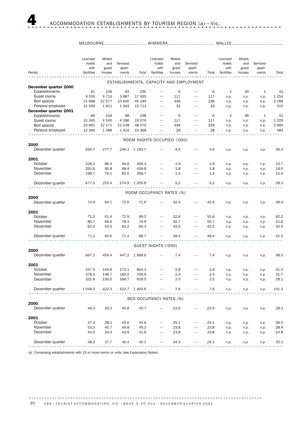### MELBOURNE............................ WIMMERA............................... MALLEE..................................

| ESTABLISHMENTS, CAPACITY AND EMPLOYMENT<br>December quarter 2000<br>Establishments<br>6<br>$\overline{2}$<br>61<br>106<br>63<br>230<br>6<br>39<br>$\mathbf{1}$<br>42<br>$\overline{\phantom{0}}$<br>-<br>Guest rooms<br>9535<br>4 7 1 3<br>3 6 8 7<br>17 935<br>1 2 5 4<br>117<br>117<br>n.p.<br>$\overline{\phantom{0}}$<br>n.p.<br>n.p.<br>Bed spaces<br>21 998<br>12 577<br>10 620<br>45 195<br>336<br>336<br>3786<br>n.p.<br>n.p.<br>n.p.<br>Persons employed<br>12 559<br>1811<br>1 3 4 3<br>15 7 13<br>33<br>33<br>510<br>n.p.<br>n.p.<br>n.p.<br>December quarter 2001<br><b>Establishments</b><br>66<br>104<br>68<br>238<br>6<br>6<br>2<br>38<br>$\mathbf{1}$<br>41<br>-<br>Guest rooms<br>10 345<br>4545<br>4 1 8 6<br>19 0 76<br>1 2 2 9<br>117<br>117<br>n.p.<br>n.p.<br>n.p.<br>23 661<br>339<br>339<br>Bed spaces<br>12 171<br>12 2 38<br>48 0 70<br>3 660<br>n.p.<br>n.p.<br>n.p.<br>Persons employed<br>28<br>483<br>12 3 6 6<br>1588<br>1414<br>15 3 68<br>28<br>n.p.<br>n.p.<br>n.p.<br>ROOM NIGHTS OCCUPIED ('000)<br>2000<br>December quarter<br>1 180.7<br>4.6<br>4.6<br>56.4<br>656.7<br>277.7<br>246.3<br>n.p.<br>n.p.<br>n.p.<br>2001<br>October<br>228.2<br>86.4<br>94.6<br>409.3<br>1.9<br>1.9<br>23.7<br>n.p.<br>n.p.<br>n.p.<br>November<br>250.6<br>90.8<br>98.4<br>439.8<br>1.8<br>19.0<br>1.8<br>n.p.<br>n.p.<br>n.p.<br>$\overline{\phantom{0}}$<br>$\overline{\phantom{0}}$<br>December<br>198.7<br>76.1<br>82.0<br>356.7<br>1.5<br>1.5<br>15.6<br>n.p.<br>n.p.<br>n.p.<br>December quarter<br>253.4<br>5.2<br>5.2<br>58.3<br>677.5<br>274.9<br>1 205.8<br>n.p.<br>n.p.<br>n.p.<br>ROOM OCCUPANCY RATES (%)<br>2000<br>December quarter<br>74.9<br>64.1<br>72.6<br>71.6<br>42.9<br>42.9<br>48.9<br>n.p.<br>n.p.<br>n.p.<br>2001<br>October<br>71.2<br>61.4<br>72.9<br>69.2<br>52.6<br>52.6<br>62.2<br>n.p.<br>n.p.<br>n.p.<br>November<br>80.7<br>66.6<br>78.4<br>76.9<br>50.7<br>50.7<br>51.6<br>n.p.<br>n.p.<br>n.p.<br>December<br>63.2<br>62.0<br>54.0<br>60.3<br>42.0<br>42.0<br>40.9<br>n.p.<br>n.p.<br>n.p.<br>December quarter<br>71.2<br>60.6<br>71.4<br>68.7<br>48.4<br>48.4<br>51.5<br>n.p.<br>n.p.<br>n.p.<br>GUEST NIGHTS ('000)<br>2000<br>December quarter<br>447.2<br>1898.9<br>7.4<br>98.5<br>997.3<br>454.4<br>7.4<br>n.p.<br>n.p.<br>n.p.<br>2001<br>October<br>347.5<br>143.6<br>173.1<br>664.2<br>2.6<br>2.6<br>41.4<br>n.p.<br>n.p.<br>n.p.<br>November<br>378.2<br>148.7<br>183.0<br>2.4<br>31.7<br>709.9<br>2.4<br>n.p.<br>n.p.<br>n.p.<br>322.8<br>619.5<br>December<br>130.0<br>166.7<br>2.5<br>2.5<br>28.1<br>n.p.<br>n.p.<br>n.p.<br>December quarter<br>1 0 48.5<br>422.3<br>522.7 1993.6<br>7.6<br>7.6<br>101.3<br>n.p.<br>n.p.<br>n.p.<br>BED OCCUPANCY RATES (%)<br>2000<br>December quarter<br>49.3<br>39.3<br>45.8<br>23.9<br>23.9<br>28.3<br>45.7<br>n.p.<br>n.p.<br>n.p.<br>2001<br>October<br>47.4<br>38.1<br>45.6<br>25.1<br>25.1<br>44.6<br>36.5<br>n.p.<br>n.p.<br>n.p.<br>November<br>53.3<br>40.7<br>49.8<br>49.2<br>23.8<br>23.8<br>28.9<br>n.p.<br>n.p.<br>n.p.<br>December<br>44.0<br>34.4<br>43.9<br>41.6<br>23.8<br>23.8<br>24.8<br>n.p.<br>n.p.<br>n.p.<br>48.2<br>37.7<br>46.4<br>45.1<br>24.3<br>24.3<br>30.1<br>December quarter<br>n.p.<br>n.p.<br>n.p. | Period | Licensed<br>hotels<br>with<br>facilities | Motels<br>and<br>guest<br>houses | Serviced<br>apart- |       | Licensed<br>hotels<br>with | Motels<br>and<br>guest<br>houses | Serviced<br>apart- |       | Licensed<br>hotels<br>with<br>facilities | Motels<br>and<br>guest<br>houses | Serviced<br>apart- | Total |
|---------------------------------------------------------------------------------------------------------------------------------------------------------------------------------------------------------------------------------------------------------------------------------------------------------------------------------------------------------------------------------------------------------------------------------------------------------------------------------------------------------------------------------------------------------------------------------------------------------------------------------------------------------------------------------------------------------------------------------------------------------------------------------------------------------------------------------------------------------------------------------------------------------------------------------------------------------------------------------------------------------------------------------------------------------------------------------------------------------------------------------------------------------------------------------------------------------------------------------------------------------------------------------------------------------------------------------------------------------------------------------------------------------------------------------------------------------------------------------------------------------------------------------------------------------------------------------------------------------------------------------------------------------------------------------------------------------------------------------------------------------------------------------------------------------------------------------------------------------------------------------------------------------------------------------------------------------------------------------------------------------------------------------------------------------------------------------------------------------------------------------------------------------------------------------------------------------------------------------------------------------------------------------------------------------------------------------------------------------------------------------------------------------------------------------------------------------------------------------------------------------------------------------------------------------------------------------------------------------------------------------------------------------------------------------------------------------------------------------------------------------------------------------------------------------------------------------------------------------------------------------------------------------------------------------------------------------------------------------------------------------------------------------------------------------------------------------------------------------------------------------------------------------------------------------------------------------------------------------------------|--------|------------------------------------------|----------------------------------|--------------------|-------|----------------------------|----------------------------------|--------------------|-------|------------------------------------------|----------------------------------|--------------------|-------|
|                                                                                                                                                                                                                                                                                                                                                                                                                                                                                                                                                                                                                                                                                                                                                                                                                                                                                                                                                                                                                                                                                                                                                                                                                                                                                                                                                                                                                                                                                                                                                                                                                                                                                                                                                                                                                                                                                                                                                                                                                                                                                                                                                                                                                                                                                                                                                                                                                                                                                                                                                                                                                                                                                                                                                                                                                                                                                                                                                                                                                                                                                                                                                                                                                                             |        |                                          |                                  | ments              | Total | facilities                 |                                  | ments              | Total |                                          |                                  | ments              |       |
|                                                                                                                                                                                                                                                                                                                                                                                                                                                                                                                                                                                                                                                                                                                                                                                                                                                                                                                                                                                                                                                                                                                                                                                                                                                                                                                                                                                                                                                                                                                                                                                                                                                                                                                                                                                                                                                                                                                                                                                                                                                                                                                                                                                                                                                                                                                                                                                                                                                                                                                                                                                                                                                                                                                                                                                                                                                                                                                                                                                                                                                                                                                                                                                                                                             |        |                                          |                                  |                    |       |                            |                                  |                    |       |                                          |                                  |                    |       |
|                                                                                                                                                                                                                                                                                                                                                                                                                                                                                                                                                                                                                                                                                                                                                                                                                                                                                                                                                                                                                                                                                                                                                                                                                                                                                                                                                                                                                                                                                                                                                                                                                                                                                                                                                                                                                                                                                                                                                                                                                                                                                                                                                                                                                                                                                                                                                                                                                                                                                                                                                                                                                                                                                                                                                                                                                                                                                                                                                                                                                                                                                                                                                                                                                                             |        |                                          |                                  |                    |       |                            |                                  |                    |       |                                          |                                  |                    |       |
|                                                                                                                                                                                                                                                                                                                                                                                                                                                                                                                                                                                                                                                                                                                                                                                                                                                                                                                                                                                                                                                                                                                                                                                                                                                                                                                                                                                                                                                                                                                                                                                                                                                                                                                                                                                                                                                                                                                                                                                                                                                                                                                                                                                                                                                                                                                                                                                                                                                                                                                                                                                                                                                                                                                                                                                                                                                                                                                                                                                                                                                                                                                                                                                                                                             |        |                                          |                                  |                    |       |                            |                                  |                    |       |                                          |                                  |                    |       |
|                                                                                                                                                                                                                                                                                                                                                                                                                                                                                                                                                                                                                                                                                                                                                                                                                                                                                                                                                                                                                                                                                                                                                                                                                                                                                                                                                                                                                                                                                                                                                                                                                                                                                                                                                                                                                                                                                                                                                                                                                                                                                                                                                                                                                                                                                                                                                                                                                                                                                                                                                                                                                                                                                                                                                                                                                                                                                                                                                                                                                                                                                                                                                                                                                                             |        |                                          |                                  |                    |       |                            |                                  |                    |       |                                          |                                  |                    |       |
|                                                                                                                                                                                                                                                                                                                                                                                                                                                                                                                                                                                                                                                                                                                                                                                                                                                                                                                                                                                                                                                                                                                                                                                                                                                                                                                                                                                                                                                                                                                                                                                                                                                                                                                                                                                                                                                                                                                                                                                                                                                                                                                                                                                                                                                                                                                                                                                                                                                                                                                                                                                                                                                                                                                                                                                                                                                                                                                                                                                                                                                                                                                                                                                                                                             |        |                                          |                                  |                    |       |                            |                                  |                    |       |                                          |                                  |                    |       |
|                                                                                                                                                                                                                                                                                                                                                                                                                                                                                                                                                                                                                                                                                                                                                                                                                                                                                                                                                                                                                                                                                                                                                                                                                                                                                                                                                                                                                                                                                                                                                                                                                                                                                                                                                                                                                                                                                                                                                                                                                                                                                                                                                                                                                                                                                                                                                                                                                                                                                                                                                                                                                                                                                                                                                                                                                                                                                                                                                                                                                                                                                                                                                                                                                                             |        |                                          |                                  |                    |       |                            |                                  |                    |       |                                          |                                  |                    |       |
|                                                                                                                                                                                                                                                                                                                                                                                                                                                                                                                                                                                                                                                                                                                                                                                                                                                                                                                                                                                                                                                                                                                                                                                                                                                                                                                                                                                                                                                                                                                                                                                                                                                                                                                                                                                                                                                                                                                                                                                                                                                                                                                                                                                                                                                                                                                                                                                                                                                                                                                                                                                                                                                                                                                                                                                                                                                                                                                                                                                                                                                                                                                                                                                                                                             |        |                                          |                                  |                    |       |                            |                                  |                    |       |                                          |                                  |                    |       |
|                                                                                                                                                                                                                                                                                                                                                                                                                                                                                                                                                                                                                                                                                                                                                                                                                                                                                                                                                                                                                                                                                                                                                                                                                                                                                                                                                                                                                                                                                                                                                                                                                                                                                                                                                                                                                                                                                                                                                                                                                                                                                                                                                                                                                                                                                                                                                                                                                                                                                                                                                                                                                                                                                                                                                                                                                                                                                                                                                                                                                                                                                                                                                                                                                                             |        |                                          |                                  |                    |       |                            |                                  |                    |       |                                          |                                  |                    |       |
|                                                                                                                                                                                                                                                                                                                                                                                                                                                                                                                                                                                                                                                                                                                                                                                                                                                                                                                                                                                                                                                                                                                                                                                                                                                                                                                                                                                                                                                                                                                                                                                                                                                                                                                                                                                                                                                                                                                                                                                                                                                                                                                                                                                                                                                                                                                                                                                                                                                                                                                                                                                                                                                                                                                                                                                                                                                                                                                                                                                                                                                                                                                                                                                                                                             |        |                                          |                                  |                    |       |                            |                                  |                    |       |                                          |                                  |                    |       |
|                                                                                                                                                                                                                                                                                                                                                                                                                                                                                                                                                                                                                                                                                                                                                                                                                                                                                                                                                                                                                                                                                                                                                                                                                                                                                                                                                                                                                                                                                                                                                                                                                                                                                                                                                                                                                                                                                                                                                                                                                                                                                                                                                                                                                                                                                                                                                                                                                                                                                                                                                                                                                                                                                                                                                                                                                                                                                                                                                                                                                                                                                                                                                                                                                                             |        |                                          |                                  |                    |       |                            |                                  |                    |       |                                          |                                  |                    |       |
|                                                                                                                                                                                                                                                                                                                                                                                                                                                                                                                                                                                                                                                                                                                                                                                                                                                                                                                                                                                                                                                                                                                                                                                                                                                                                                                                                                                                                                                                                                                                                                                                                                                                                                                                                                                                                                                                                                                                                                                                                                                                                                                                                                                                                                                                                                                                                                                                                                                                                                                                                                                                                                                                                                                                                                                                                                                                                                                                                                                                                                                                                                                                                                                                                                             |        |                                          |                                  |                    |       |                            |                                  |                    |       |                                          |                                  |                    |       |
|                                                                                                                                                                                                                                                                                                                                                                                                                                                                                                                                                                                                                                                                                                                                                                                                                                                                                                                                                                                                                                                                                                                                                                                                                                                                                                                                                                                                                                                                                                                                                                                                                                                                                                                                                                                                                                                                                                                                                                                                                                                                                                                                                                                                                                                                                                                                                                                                                                                                                                                                                                                                                                                                                                                                                                                                                                                                                                                                                                                                                                                                                                                                                                                                                                             |        |                                          |                                  |                    |       |                            |                                  |                    |       |                                          |                                  |                    |       |
|                                                                                                                                                                                                                                                                                                                                                                                                                                                                                                                                                                                                                                                                                                                                                                                                                                                                                                                                                                                                                                                                                                                                                                                                                                                                                                                                                                                                                                                                                                                                                                                                                                                                                                                                                                                                                                                                                                                                                                                                                                                                                                                                                                                                                                                                                                                                                                                                                                                                                                                                                                                                                                                                                                                                                                                                                                                                                                                                                                                                                                                                                                                                                                                                                                             |        |                                          |                                  |                    |       |                            |                                  |                    |       |                                          |                                  |                    |       |
|                                                                                                                                                                                                                                                                                                                                                                                                                                                                                                                                                                                                                                                                                                                                                                                                                                                                                                                                                                                                                                                                                                                                                                                                                                                                                                                                                                                                                                                                                                                                                                                                                                                                                                                                                                                                                                                                                                                                                                                                                                                                                                                                                                                                                                                                                                                                                                                                                                                                                                                                                                                                                                                                                                                                                                                                                                                                                                                                                                                                                                                                                                                                                                                                                                             |        |                                          |                                  |                    |       |                            |                                  |                    |       |                                          |                                  |                    |       |
|                                                                                                                                                                                                                                                                                                                                                                                                                                                                                                                                                                                                                                                                                                                                                                                                                                                                                                                                                                                                                                                                                                                                                                                                                                                                                                                                                                                                                                                                                                                                                                                                                                                                                                                                                                                                                                                                                                                                                                                                                                                                                                                                                                                                                                                                                                                                                                                                                                                                                                                                                                                                                                                                                                                                                                                                                                                                                                                                                                                                                                                                                                                                                                                                                                             |        |                                          |                                  |                    |       |                            |                                  |                    |       |                                          |                                  |                    |       |
|                                                                                                                                                                                                                                                                                                                                                                                                                                                                                                                                                                                                                                                                                                                                                                                                                                                                                                                                                                                                                                                                                                                                                                                                                                                                                                                                                                                                                                                                                                                                                                                                                                                                                                                                                                                                                                                                                                                                                                                                                                                                                                                                                                                                                                                                                                                                                                                                                                                                                                                                                                                                                                                                                                                                                                                                                                                                                                                                                                                                                                                                                                                                                                                                                                             |        |                                          |                                  |                    |       |                            |                                  |                    |       |                                          |                                  |                    |       |
|                                                                                                                                                                                                                                                                                                                                                                                                                                                                                                                                                                                                                                                                                                                                                                                                                                                                                                                                                                                                                                                                                                                                                                                                                                                                                                                                                                                                                                                                                                                                                                                                                                                                                                                                                                                                                                                                                                                                                                                                                                                                                                                                                                                                                                                                                                                                                                                                                                                                                                                                                                                                                                                                                                                                                                                                                                                                                                                                                                                                                                                                                                                                                                                                                                             |        |                                          |                                  |                    |       |                            |                                  |                    |       |                                          |                                  |                    |       |
|                                                                                                                                                                                                                                                                                                                                                                                                                                                                                                                                                                                                                                                                                                                                                                                                                                                                                                                                                                                                                                                                                                                                                                                                                                                                                                                                                                                                                                                                                                                                                                                                                                                                                                                                                                                                                                                                                                                                                                                                                                                                                                                                                                                                                                                                                                                                                                                                                                                                                                                                                                                                                                                                                                                                                                                                                                                                                                                                                                                                                                                                                                                                                                                                                                             |        |                                          |                                  |                    |       |                            |                                  |                    |       |                                          |                                  |                    |       |
|                                                                                                                                                                                                                                                                                                                                                                                                                                                                                                                                                                                                                                                                                                                                                                                                                                                                                                                                                                                                                                                                                                                                                                                                                                                                                                                                                                                                                                                                                                                                                                                                                                                                                                                                                                                                                                                                                                                                                                                                                                                                                                                                                                                                                                                                                                                                                                                                                                                                                                                                                                                                                                                                                                                                                                                                                                                                                                                                                                                                                                                                                                                                                                                                                                             |        |                                          |                                  |                    |       |                            |                                  |                    |       |                                          |                                  |                    |       |
|                                                                                                                                                                                                                                                                                                                                                                                                                                                                                                                                                                                                                                                                                                                                                                                                                                                                                                                                                                                                                                                                                                                                                                                                                                                                                                                                                                                                                                                                                                                                                                                                                                                                                                                                                                                                                                                                                                                                                                                                                                                                                                                                                                                                                                                                                                                                                                                                                                                                                                                                                                                                                                                                                                                                                                                                                                                                                                                                                                                                                                                                                                                                                                                                                                             |        |                                          |                                  |                    |       |                            |                                  |                    |       |                                          |                                  |                    |       |
|                                                                                                                                                                                                                                                                                                                                                                                                                                                                                                                                                                                                                                                                                                                                                                                                                                                                                                                                                                                                                                                                                                                                                                                                                                                                                                                                                                                                                                                                                                                                                                                                                                                                                                                                                                                                                                                                                                                                                                                                                                                                                                                                                                                                                                                                                                                                                                                                                                                                                                                                                                                                                                                                                                                                                                                                                                                                                                                                                                                                                                                                                                                                                                                                                                             |        |                                          |                                  |                    |       |                            |                                  |                    |       |                                          |                                  |                    |       |
|                                                                                                                                                                                                                                                                                                                                                                                                                                                                                                                                                                                                                                                                                                                                                                                                                                                                                                                                                                                                                                                                                                                                                                                                                                                                                                                                                                                                                                                                                                                                                                                                                                                                                                                                                                                                                                                                                                                                                                                                                                                                                                                                                                                                                                                                                                                                                                                                                                                                                                                                                                                                                                                                                                                                                                                                                                                                                                                                                                                                                                                                                                                                                                                                                                             |        |                                          |                                  |                    |       |                            |                                  |                    |       |                                          |                                  |                    |       |
|                                                                                                                                                                                                                                                                                                                                                                                                                                                                                                                                                                                                                                                                                                                                                                                                                                                                                                                                                                                                                                                                                                                                                                                                                                                                                                                                                                                                                                                                                                                                                                                                                                                                                                                                                                                                                                                                                                                                                                                                                                                                                                                                                                                                                                                                                                                                                                                                                                                                                                                                                                                                                                                                                                                                                                                                                                                                                                                                                                                                                                                                                                                                                                                                                                             |        |                                          |                                  |                    |       |                            |                                  |                    |       |                                          |                                  |                    |       |
|                                                                                                                                                                                                                                                                                                                                                                                                                                                                                                                                                                                                                                                                                                                                                                                                                                                                                                                                                                                                                                                                                                                                                                                                                                                                                                                                                                                                                                                                                                                                                                                                                                                                                                                                                                                                                                                                                                                                                                                                                                                                                                                                                                                                                                                                                                                                                                                                                                                                                                                                                                                                                                                                                                                                                                                                                                                                                                                                                                                                                                                                                                                                                                                                                                             |        |                                          |                                  |                    |       |                            |                                  |                    |       |                                          |                                  |                    |       |
|                                                                                                                                                                                                                                                                                                                                                                                                                                                                                                                                                                                                                                                                                                                                                                                                                                                                                                                                                                                                                                                                                                                                                                                                                                                                                                                                                                                                                                                                                                                                                                                                                                                                                                                                                                                                                                                                                                                                                                                                                                                                                                                                                                                                                                                                                                                                                                                                                                                                                                                                                                                                                                                                                                                                                                                                                                                                                                                                                                                                                                                                                                                                                                                                                                             |        |                                          |                                  |                    |       |                            |                                  |                    |       |                                          |                                  |                    |       |
|                                                                                                                                                                                                                                                                                                                                                                                                                                                                                                                                                                                                                                                                                                                                                                                                                                                                                                                                                                                                                                                                                                                                                                                                                                                                                                                                                                                                                                                                                                                                                                                                                                                                                                                                                                                                                                                                                                                                                                                                                                                                                                                                                                                                                                                                                                                                                                                                                                                                                                                                                                                                                                                                                                                                                                                                                                                                                                                                                                                                                                                                                                                                                                                                                                             |        |                                          |                                  |                    |       |                            |                                  |                    |       |                                          |                                  |                    |       |
|                                                                                                                                                                                                                                                                                                                                                                                                                                                                                                                                                                                                                                                                                                                                                                                                                                                                                                                                                                                                                                                                                                                                                                                                                                                                                                                                                                                                                                                                                                                                                                                                                                                                                                                                                                                                                                                                                                                                                                                                                                                                                                                                                                                                                                                                                                                                                                                                                                                                                                                                                                                                                                                                                                                                                                                                                                                                                                                                                                                                                                                                                                                                                                                                                                             |        |                                          |                                  |                    |       |                            |                                  |                    |       |                                          |                                  |                    |       |
|                                                                                                                                                                                                                                                                                                                                                                                                                                                                                                                                                                                                                                                                                                                                                                                                                                                                                                                                                                                                                                                                                                                                                                                                                                                                                                                                                                                                                                                                                                                                                                                                                                                                                                                                                                                                                                                                                                                                                                                                                                                                                                                                                                                                                                                                                                                                                                                                                                                                                                                                                                                                                                                                                                                                                                                                                                                                                                                                                                                                                                                                                                                                                                                                                                             |        |                                          |                                  |                    |       |                            |                                  |                    |       |                                          |                                  |                    |       |
|                                                                                                                                                                                                                                                                                                                                                                                                                                                                                                                                                                                                                                                                                                                                                                                                                                                                                                                                                                                                                                                                                                                                                                                                                                                                                                                                                                                                                                                                                                                                                                                                                                                                                                                                                                                                                                                                                                                                                                                                                                                                                                                                                                                                                                                                                                                                                                                                                                                                                                                                                                                                                                                                                                                                                                                                                                                                                                                                                                                                                                                                                                                                                                                                                                             |        |                                          |                                  |                    |       |                            |                                  |                    |       |                                          |                                  |                    |       |
|                                                                                                                                                                                                                                                                                                                                                                                                                                                                                                                                                                                                                                                                                                                                                                                                                                                                                                                                                                                                                                                                                                                                                                                                                                                                                                                                                                                                                                                                                                                                                                                                                                                                                                                                                                                                                                                                                                                                                                                                                                                                                                                                                                                                                                                                                                                                                                                                                                                                                                                                                                                                                                                                                                                                                                                                                                                                                                                                                                                                                                                                                                                                                                                                                                             |        |                                          |                                  |                    |       |                            |                                  |                    |       |                                          |                                  |                    |       |
|                                                                                                                                                                                                                                                                                                                                                                                                                                                                                                                                                                                                                                                                                                                                                                                                                                                                                                                                                                                                                                                                                                                                                                                                                                                                                                                                                                                                                                                                                                                                                                                                                                                                                                                                                                                                                                                                                                                                                                                                                                                                                                                                                                                                                                                                                                                                                                                                                                                                                                                                                                                                                                                                                                                                                                                                                                                                                                                                                                                                                                                                                                                                                                                                                                             |        |                                          |                                  |                    |       |                            |                                  |                    |       |                                          |                                  |                    |       |
|                                                                                                                                                                                                                                                                                                                                                                                                                                                                                                                                                                                                                                                                                                                                                                                                                                                                                                                                                                                                                                                                                                                                                                                                                                                                                                                                                                                                                                                                                                                                                                                                                                                                                                                                                                                                                                                                                                                                                                                                                                                                                                                                                                                                                                                                                                                                                                                                                                                                                                                                                                                                                                                                                                                                                                                                                                                                                                                                                                                                                                                                                                                                                                                                                                             |        |                                          |                                  |                    |       |                            |                                  |                    |       |                                          |                                  |                    |       |
|                                                                                                                                                                                                                                                                                                                                                                                                                                                                                                                                                                                                                                                                                                                                                                                                                                                                                                                                                                                                                                                                                                                                                                                                                                                                                                                                                                                                                                                                                                                                                                                                                                                                                                                                                                                                                                                                                                                                                                                                                                                                                                                                                                                                                                                                                                                                                                                                                                                                                                                                                                                                                                                                                                                                                                                                                                                                                                                                                                                                                                                                                                                                                                                                                                             |        |                                          |                                  |                    |       |                            |                                  |                    |       |                                          |                                  |                    |       |
|                                                                                                                                                                                                                                                                                                                                                                                                                                                                                                                                                                                                                                                                                                                                                                                                                                                                                                                                                                                                                                                                                                                                                                                                                                                                                                                                                                                                                                                                                                                                                                                                                                                                                                                                                                                                                                                                                                                                                                                                                                                                                                                                                                                                                                                                                                                                                                                                                                                                                                                                                                                                                                                                                                                                                                                                                                                                                                                                                                                                                                                                                                                                                                                                                                             |        |                                          |                                  |                    |       |                            |                                  |                    |       |                                          |                                  |                    |       |
|                                                                                                                                                                                                                                                                                                                                                                                                                                                                                                                                                                                                                                                                                                                                                                                                                                                                                                                                                                                                                                                                                                                                                                                                                                                                                                                                                                                                                                                                                                                                                                                                                                                                                                                                                                                                                                                                                                                                                                                                                                                                                                                                                                                                                                                                                                                                                                                                                                                                                                                                                                                                                                                                                                                                                                                                                                                                                                                                                                                                                                                                                                                                                                                                                                             |        |                                          |                                  |                    |       |                            |                                  |                    |       |                                          |                                  |                    |       |
|                                                                                                                                                                                                                                                                                                                                                                                                                                                                                                                                                                                                                                                                                                                                                                                                                                                                                                                                                                                                                                                                                                                                                                                                                                                                                                                                                                                                                                                                                                                                                                                                                                                                                                                                                                                                                                                                                                                                                                                                                                                                                                                                                                                                                                                                                                                                                                                                                                                                                                                                                                                                                                                                                                                                                                                                                                                                                                                                                                                                                                                                                                                                                                                                                                             |        |                                          |                                  |                    |       |                            |                                  |                    |       |                                          |                                  |                    |       |
|                                                                                                                                                                                                                                                                                                                                                                                                                                                                                                                                                                                                                                                                                                                                                                                                                                                                                                                                                                                                                                                                                                                                                                                                                                                                                                                                                                                                                                                                                                                                                                                                                                                                                                                                                                                                                                                                                                                                                                                                                                                                                                                                                                                                                                                                                                                                                                                                                                                                                                                                                                                                                                                                                                                                                                                                                                                                                                                                                                                                                                                                                                                                                                                                                                             |        |                                          |                                  |                    |       |                            |                                  |                    |       |                                          |                                  |                    |       |
|                                                                                                                                                                                                                                                                                                                                                                                                                                                                                                                                                                                                                                                                                                                                                                                                                                                                                                                                                                                                                                                                                                                                                                                                                                                                                                                                                                                                                                                                                                                                                                                                                                                                                                                                                                                                                                                                                                                                                                                                                                                                                                                                                                                                                                                                                                                                                                                                                                                                                                                                                                                                                                                                                                                                                                                                                                                                                                                                                                                                                                                                                                                                                                                                                                             |        |                                          |                                  |                    |       |                            |                                  |                    |       |                                          |                                  |                    |       |
|                                                                                                                                                                                                                                                                                                                                                                                                                                                                                                                                                                                                                                                                                                                                                                                                                                                                                                                                                                                                                                                                                                                                                                                                                                                                                                                                                                                                                                                                                                                                                                                                                                                                                                                                                                                                                                                                                                                                                                                                                                                                                                                                                                                                                                                                                                                                                                                                                                                                                                                                                                                                                                                                                                                                                                                                                                                                                                                                                                                                                                                                                                                                                                                                                                             |        |                                          |                                  |                    |       |                            |                                  |                    |       |                                          |                                  |                    |       |
|                                                                                                                                                                                                                                                                                                                                                                                                                                                                                                                                                                                                                                                                                                                                                                                                                                                                                                                                                                                                                                                                                                                                                                                                                                                                                                                                                                                                                                                                                                                                                                                                                                                                                                                                                                                                                                                                                                                                                                                                                                                                                                                                                                                                                                                                                                                                                                                                                                                                                                                                                                                                                                                                                                                                                                                                                                                                                                                                                                                                                                                                                                                                                                                                                                             |        |                                          |                                  |                    |       |                            |                                  |                    |       |                                          |                                  |                    |       |
|                                                                                                                                                                                                                                                                                                                                                                                                                                                                                                                                                                                                                                                                                                                                                                                                                                                                                                                                                                                                                                                                                                                                                                                                                                                                                                                                                                                                                                                                                                                                                                                                                                                                                                                                                                                                                                                                                                                                                                                                                                                                                                                                                                                                                                                                                                                                                                                                                                                                                                                                                                                                                                                                                                                                                                                                                                                                                                                                                                                                                                                                                                                                                                                                                                             |        |                                          |                                  |                    |       |                            |                                  |                    |       |                                          |                                  |                    |       |
|                                                                                                                                                                                                                                                                                                                                                                                                                                                                                                                                                                                                                                                                                                                                                                                                                                                                                                                                                                                                                                                                                                                                                                                                                                                                                                                                                                                                                                                                                                                                                                                                                                                                                                                                                                                                                                                                                                                                                                                                                                                                                                                                                                                                                                                                                                                                                                                                                                                                                                                                                                                                                                                                                                                                                                                                                                                                                                                                                                                                                                                                                                                                                                                                                                             |        |                                          |                                  |                    |       |                            |                                  |                    |       |                                          |                                  |                    |       |
|                                                                                                                                                                                                                                                                                                                                                                                                                                                                                                                                                                                                                                                                                                                                                                                                                                                                                                                                                                                                                                                                                                                                                                                                                                                                                                                                                                                                                                                                                                                                                                                                                                                                                                                                                                                                                                                                                                                                                                                                                                                                                                                                                                                                                                                                                                                                                                                                                                                                                                                                                                                                                                                                                                                                                                                                                                                                                                                                                                                                                                                                                                                                                                                                                                             |        |                                          |                                  |                    |       |                            |                                  |                    |       |                                          |                                  |                    |       |
|                                                                                                                                                                                                                                                                                                                                                                                                                                                                                                                                                                                                                                                                                                                                                                                                                                                                                                                                                                                                                                                                                                                                                                                                                                                                                                                                                                                                                                                                                                                                                                                                                                                                                                                                                                                                                                                                                                                                                                                                                                                                                                                                                                                                                                                                                                                                                                                                                                                                                                                                                                                                                                                                                                                                                                                                                                                                                                                                                                                                                                                                                                                                                                                                                                             |        |                                          |                                  |                    |       |                            |                                  |                    |       |                                          |                                  |                    |       |
|                                                                                                                                                                                                                                                                                                                                                                                                                                                                                                                                                                                                                                                                                                                                                                                                                                                                                                                                                                                                                                                                                                                                                                                                                                                                                                                                                                                                                                                                                                                                                                                                                                                                                                                                                                                                                                                                                                                                                                                                                                                                                                                                                                                                                                                                                                                                                                                                                                                                                                                                                                                                                                                                                                                                                                                                                                                                                                                                                                                                                                                                                                                                                                                                                                             |        |                                          |                                  |                    |       |                            |                                  |                    |       |                                          |                                  |                    |       |

(a) Comprising establishments with 15 or more rooms or units (see Explanatory Notes).

10 A B S • TOURIST A C COMMODATION, VIC • 8635.2.40.001 • DECEMBER QUARTER 2001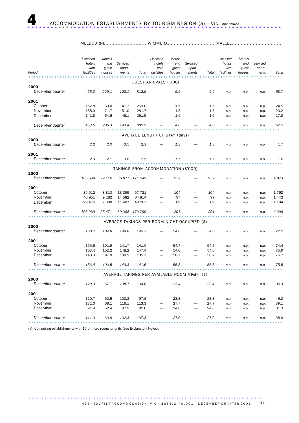| Period                   | Licensed<br>hotels<br>with<br>facilities | Motels<br>and<br>guest<br>houses | Serviced<br>apart-<br>ments | Total                               | Licensed<br>hotels<br>with<br>facilities | Motels<br>and<br>guest<br>houses | Serviced<br>apart-<br>ments                   | Total | Licensed<br>hotels<br>with<br>facilities | Motels<br>and<br>guest<br>houses | Serviced<br>apart-<br>ments | Total   |
|--------------------------|------------------------------------------|----------------------------------|-----------------------------|-------------------------------------|------------------------------------------|----------------------------------|-----------------------------------------------|-------|------------------------------------------|----------------------------------|-----------------------------|---------|
|                          |                                          |                                  |                             |                                     |                                          |                                  |                                               |       |                                          |                                  |                             |         |
|                          |                                          |                                  |                             |                                     | GUEST ARRIVALS ('000)                    |                                  |                                               |       |                                          |                                  |                             |         |
| 2000                     |                                          |                                  |                             |                                     |                                          |                                  |                                               |       |                                          |                                  |                             |         |
| December quarter         | 455.3                                    | 229.1                            | 128.1                       | 812.5                               |                                          | 5.5                              |                                               | 5.5   | n.p.                                     | n.p.                             | n.p.                        | 58.7    |
| 2001                     |                                          |                                  |                             |                                     |                                          |                                  |                                               |       |                                          |                                  |                             |         |
| October                  | 152.8                                    | 69.0                             | 47.3                        | 269.0                               |                                          | 1.5                              |                                               | 1.5   | n.p.                                     | n.p.                             | n.p.                        | 24.5    |
| November                 | 158.9                                    | 71.7                             | 51.0                        | 281.7                               |                                          | 1.5                              |                                               | 1.5   | n.p.                                     | n.p.                             | n.p.                        | 20.2    |
| December                 | 141.8                                    | 64.6                             | 45.1                        | 251.5                               |                                          | 1.6                              |                                               | 1.6   | n.p.                                     | n.p.                             | n.p.                        | 17.8    |
| December quarter         | 453.5                                    | 205.3                            | 143.4                       | 802.2                               |                                          | 4.6                              |                                               | 4.6   | n.p.                                     | n.p.                             | n.p.                        | 62.5    |
|                          |                                          |                                  |                             |                                     |                                          |                                  |                                               |       |                                          |                                  |                             |         |
| 2000                     |                                          |                                  |                             | AVERAGE LENGTH OF STAY (days)       |                                          |                                  |                                               |       |                                          |                                  |                             |         |
| December quarter         | 2.2                                      | 2.0                              | 3.5                         | 2.3                                 |                                          | 1.3                              |                                               | 1.3   | n.p.                                     | n.p.                             | n.p.                        | 1.7     |
| 2001                     |                                          |                                  |                             |                                     |                                          |                                  |                                               |       |                                          |                                  |                             |         |
| December quarter         | 2.3                                      | 2.1                              | 3.6                         | 2.5                                 |                                          | 1.7                              |                                               | 1.7   | n.p.                                     | n.p.                             | n.p.                        | 1.6     |
|                          |                                          |                                  |                             |                                     |                                          |                                  |                                               |       |                                          |                                  |                             |         |
|                          |                                          |                                  |                             | TAKINGS FROM ACCOMMODATION (\$'000) |                                          |                                  |                                               |       |                                          |                                  |                             |         |
| 2000<br>December quarter | 105 549                                  | 29 116                           |                             | 36 877 171 542                      |                                          | 252                              |                                               | 252   | n.p.                                     | n.p.                             | n.p.                        | 4073    |
| 2001                     |                                          |                                  |                             |                                     |                                          |                                  |                                               |       |                                          |                                  |                             |         |
| October                  | 35 512                                   | 8810                             | 13 3 9 9                    | 57 721                              |                                          | 104                              |                                               | 104   | n.p.                                     | n.p.                             | n.p.                        | 1763    |
| November                 | 40 951                                   | 9 2 8 2                          | 14 5 82                     | 64 814                              |                                          | 97                               |                                               | 97    | n.p.                                     | n.p.                             | n.p.                        | 1 4 4 2 |
| December                 | 29 4 7 6                                 | 7 3 8 0                          | 11 407                      | 48 263                              |                                          | 89                               |                                               | 89    | n.p.                                     | n.p.                             | n.p.                        | 1 1 9 4 |
| December quarter         | 105 939                                  | 25 471                           | 39 388                      | 170 799                             |                                          | 291                              |                                               | 291   | n.p.                                     | n.p.                             | n.p.                        | 4 3 9 9 |
|                          |                                          |                                  |                             |                                     |                                          |                                  |                                               |       |                                          |                                  |                             |         |
| 2000                     |                                          |                                  |                             |                                     |                                          |                                  | AVERAGE TAKINGS PER ROOM NIGHT OCCUPIED (\$)  |       |                                          |                                  |                             |         |
| December quarter         | 160.7                                    | 104.8                            | 149.8                       | 145.3                               |                                          | 54.6                             |                                               | 54.6  | n.p.                                     | n.p.                             | n.p.                        | 72.2    |
| 2001                     |                                          |                                  |                             |                                     |                                          |                                  |                                               |       |                                          |                                  |                             |         |
| October                  | 155.6                                    | 101.9                            | 141.7                       | 141.0                               |                                          | 54.7                             |                                               | 54.7  | n.p.                                     | n.p.                             | n.p.                        | 74.4    |
| November                 | 163.4                                    | 102.2                            | 148.2                       | 147.4                               |                                          | 54.6                             |                                               | 54.6  | n.p.                                     | n.p.                             | n.p.                        | 75.9    |
| December                 | 148.3                                    | 97.0                             | 139.2                       | 135.3                               |                                          | 58.7                             |                                               | 58.7  | n.p.                                     | n.p.                             | n.p.                        | 76.7    |
| December quarter         | 156.4                                    | 100.5                            | 143.3                       | 141.6                               |                                          | 55.8                             |                                               | 55.8  | n.p.                                     | n.p.                             | n.p.                        | 75.5    |
|                          |                                          |                                  |                             |                                     |                                          |                                  | AVERAGE TAKINGS PER AVAILABLE ROOM NIGHT (\$) |       |                                          |                                  |                             |         |
| 2000                     |                                          |                                  |                             |                                     |                                          |                                  |                                               |       |                                          |                                  |                             |         |
| December quarter         | 120.3                                    | 67.1                             | 108.7                       | 104.0                               |                                          | 23.4                             |                                               | 23.4  | n.p.                                     | n.p.                             | n.p.                        | 35.3    |
| 2001                     |                                          |                                  |                             |                                     |                                          |                                  |                                               |       |                                          |                                  |                             |         |
| October                  | 110.7                                    | 62.5                             | 103.3                       | 97.6                                |                                          | 28.8                             |                                               | 28.8  | n.p.                                     | n.p.                             | n.p.                        | 46.3    |
| November                 | 132.0                                    | 68.1                             | 116.1                       | 113.3                               |                                          | 27.7                             |                                               | 27.7  | n.p.                                     | n.p.                             | n.p.                        | 39.1    |
| December                 | 91.9                                     | 52.4                             | 87.9                        | 81.6                                |                                          | 24.6                             |                                               | 24.6  | n.p.                                     | n.p.                             | n.p.                        | 31.3    |
| December quarter         | 111.3                                    | 60.9                             | 102.3                       | 97.3                                |                                          | 27.0                             |                                               | 27.0  | n.p.                                     | n.p.                             | n.p.                        | 38.9    |

(a) Comprising establishments with 15 or more rooms or units (see Explanatory Notes).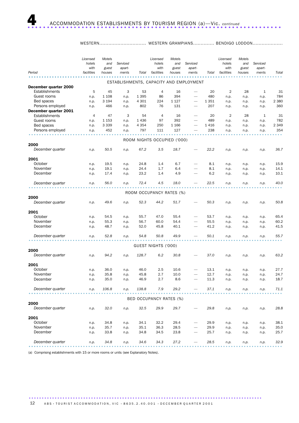### WESTERN............................... WESTERN GRAMPIANS.............. BENDIGO LODDON....................

|                          | Licensed<br>hotels<br>with | Motels<br>and   | Serviced<br>apart- |         | Licensed<br>hotels<br>with  | Motels<br>and<br>guest | Serviced<br>apart-                      |         | Licensed<br>hotels<br>with | Motels<br>and<br>guest | Serviced<br>apart- |         |
|--------------------------|----------------------------|-----------------|--------------------|---------|-----------------------------|------------------------|-----------------------------------------|---------|----------------------------|------------------------|--------------------|---------|
| Period                   | facilities                 | guest<br>houses | ments              | Total   | facilities                  | houses                 | ments                                   | Total   | facilities                 | houses                 | ments              | Total   |
|                          |                            |                 |                    |         |                             |                        |                                         |         |                            |                        |                    |         |
| December quarter 2000    |                            |                 |                    |         |                             |                        | ESTABLISHMENTS, CAPACITY AND EMPLOYMENT |         |                            |                        |                    |         |
| Establishments           | 5                          | 45              | 3                  | 53      | 4                           | 16                     |                                         | 20      | $\overline{2}$             | 28                     | 1                  | 31      |
| Guest rooms              | n.p.                       | 1 1 0 8         | n.p.               | 1 3 9 5 | 86                          | 394                    |                                         | 480     | n.p.                       | n.p.                   | n.p.               | 784     |
| Bed spaces               | n.p.                       | 3 1 9 4         | n.p.               | 4 3 0 1 | 224                         | 1 1 2 7                | $\overline{\phantom{0}}$                | 1 3 5 1 | n.p.                       | n.p.                   | n.p.               | 2 3 8 0 |
| Persons employed         | n.p.                       | 466             | n.p.               | 802     | 76                          | 131                    |                                         | 207     | n.p.                       | n.p.                   | n.p.               | 360     |
| December quarter 2001    |                            |                 |                    |         |                             |                        |                                         |         |                            |                        |                    |         |
| Establishments           | $\overline{4}$             | 47              | 3                  | 54      | 4                           | 16                     |                                         | 20      | $\overline{2}$             | 28                     | 1                  | 31      |
| Guest rooms              | n.p.                       | 1 1 5 3         | n.p.               | 1436    | 97                          | 392                    |                                         | 489     | n.p.                       | n.p.                   | n.p.               | 782     |
| Bed spaces               | n.p.                       | 3 3 3 9         | n.p.               | 4 3 5 4 | 250                         | 1 1 6 6                | $\overline{\phantom{0}}$                | 1416    | n.p.                       | n.p.                   | n.p.               | 2 3 4 9 |
| Persons employed         | n.p.                       | 452             | n.p.               | 797     | 111                         | 127                    |                                         | 238     | n.p.                       | n.p.                   | n.p.               | 354     |
|                          |                            |                 |                    |         |                             |                        |                                         |         |                            |                        |                    |         |
|                          |                            |                 |                    |         | ROOM NIGHTS OCCUPIED ('000) |                        |                                         |         |                            |                        |                    |         |
| 2000                     |                            |                 |                    |         |                             |                        |                                         |         |                            |                        |                    |         |
| December quarter         | n.p.                       | 50.5            | n.p.               | 67.2    | 3.5                         | 18.7                   |                                         | 22.2    | n.p.                       | n.p.                   | n.p.               | 36.7    |
| 2001                     |                            |                 |                    |         |                             |                        |                                         |         |                            |                        |                    |         |
| October                  | n.p.                       | 19.5            | n.p.               | 24.8    | 1.4                         | 6.7                    |                                         | 8.1     | n.p.                       | n.p.                   | n.p.               | 15.9    |
| November                 | n.p.                       | 19.1            | n.p.               | 24.4    | 1.7                         | 6.4                    |                                         | 8.1     | n.p.                       | n.p.                   | n.p.               | 14.1    |
| December                 | n.p.                       | 17.4            | n.p.               | 23.2    | 1.4                         | 4.9                    | -                                       | 6.2     | n.p.                       | n.p.                   | n.p.               | 10.1    |
| December quarter         | n.p.                       | 56.0            | n.p.               | 72.4    | 4.5                         | 18.0                   |                                         | 22.5    | n.p.                       | n.p.                   | n.p.               | 40.0    |
|                          |                            |                 |                    |         |                             |                        |                                         |         |                            |                        |                    |         |
|                          |                            |                 |                    |         | ROOM OCCUPANCY RATES (%)    |                        |                                         |         |                            |                        |                    |         |
| 2000                     |                            |                 |                    |         |                             |                        |                                         |         |                            |                        |                    |         |
| December quarter         | n.p.                       | 49.6            | n.p.               | 52.3    | 44.2                        | 51.7                   |                                         | 50.3    | n.p.                       | n.p.                   | n.p.               | 50.8    |
| 2001                     |                            |                 |                    |         |                             |                        |                                         |         |                            |                        |                    |         |
| October                  | n.p.                       | 54.5            | n.p.               | 55.7    | 47.0                        | 55.4                   |                                         | 53.7    | n.p.                       | n.p.                   | n.p.               | 65.4    |
| November                 | n.p.                       | 55.3            | n.p.               | 56.7    | 60.0                        | 54.4                   |                                         | 55.5    | n.p.                       | n.p.                   | n.p.               | 60.2    |
| December                 | n.p.                       | 48.7            | n.p.               | 52.0    | 45.8                        | 40.1                   |                                         | 41.2    | n.p.                       | n.p.                   | n.p.               | 41.5    |
| December quarter         | n.p.                       | 52.8            | n.p.               | 54.8    | 50.8                        | 49.9                   |                                         | 50.1    | n.p.                       | n.p.                   | n.p.               | 55.7    |
|                          |                            |                 |                    |         |                             |                        |                                         |         |                            |                        |                    |         |
|                          |                            |                 |                    |         | GUEST NIGHTS ('000)         |                        |                                         |         |                            |                        |                    |         |
| 2000<br>December quarter | n.p.                       | 94.2            | n.p.               | 128.7   | 6.2                         | 30.8                   |                                         | 37.0    | n.p.                       | n.p.                   | n.p.               | 63.2    |
|                          |                            |                 |                    |         |                             |                        |                                         |         |                            |                        |                    |         |
| 2001                     |                            |                 |                    |         |                             |                        |                                         |         |                            |                        |                    |         |
| October                  | n.p.                       | 36.0            | n.p.               | 46.0    | 2.5                         | 10.6                   |                                         | 13.1    | n.p.                       | n.p.                   | n.p.               | 27.7    |
| November                 | n.p.                       | 35.8            | n.p.               | 45.8    | 2.7                         | 10.0                   |                                         | 12.7    | n.p.                       | n.p.                   | n.p.               | 24.7    |
| December                 | n.p.                       | 35.0            | n.p.               | 46.9    | 2.7                         | 8.6                    |                                         | 11.3    | n.p.                       | n.p.                   | n.p.               | 18.7    |
| December quarter         | n.p.                       | 106.8           | n.p.               | 138.8   | 7.9                         | 29.2                   |                                         | 37.1    | n.p.                       | n.p.                   | n.p.               | 71.1    |
|                          |                            |                 |                    |         | BED OCCUPANCY RATES (%)     |                        |                                         |         |                            |                        |                    |         |
| 2000                     |                            |                 |                    |         |                             |                        |                                         |         |                            |                        |                    |         |
| December quarter         | n.p.                       | 32.0            | n.p.               | 32.5    | 29.9                        | 29.7                   |                                         | 29.8    | n.p.                       | n.p.                   | n.p.               | 28.8    |
| 2001                     |                            |                 |                    |         |                             |                        |                                         |         |                            |                        |                    |         |
| October                  | n.p.                       | 34.8            | n.p.               | 34.1    | 32.2                        | 29.4                   |                                         | 29.9    | n.p.                       | n.p.                   | n.p.               | 38.1    |
| November                 | n.p.                       | 35.7            | n.p.               | 35.1    | 36.3                        | 28.5                   |                                         | 29.9    | n.p.                       | n.p.                   | n.p.               | 35.0    |
| December                 | n.p.                       | 33.8            | n.p.               | 34.8    | 34.5                        | 23.8                   |                                         | 25.7    | n.p.                       | n.p.                   | n.p.               | 25.7    |
| December quarter         | n.p.                       | 34.8            | n.p.               | 34.6    | 34.3                        | 27.2                   |                                         | 28.5    | n.p.                       | n.p.                   | n.p.               | 32.9    |
|                          |                            |                 |                    |         |                             |                        |                                         |         |                            |                        |                    |         |

(a) Comprising establishments with 15 or more rooms or units (see Explanatory Notes).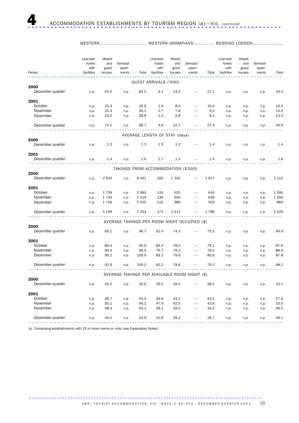WESTERN............................... WESTERN GRAMPIANS.............. BENDIGO LODDON....................

|                  |      |         |                                     | Total   | facilities                    | guest<br>houses | apart-<br>ments                               | Total | with<br>facilities | guest<br>houses | apart-<br>ments | Total   |
|------------------|------|---------|-------------------------------------|---------|-------------------------------|-----------------|-----------------------------------------------|-------|--------------------|-----------------|-----------------|---------|
|                  |      |         |                                     |         | GUEST ARRIVALS ('000)         |                 |                                               |       |                    |                 |                 |         |
| 2000             |      |         |                                     |         |                               |                 |                                               |       |                    |                 |                 |         |
| December quarter | n.p. | 64.5    | n.p.                                | 84.5    | 4.1                           | 23.0            |                                               | 27.1  | n.p.               | n.p.            | n.p.            | 44.4    |
| 2001             |      |         |                                     |         |                               |                 |                                               |       |                    |                 |                 |         |
| October          | n.p. | 25.3    | n.p.                                | 29.8    | 1.6                           | 8.4             |                                               | 10.0  | n.p.               | n.p.            | n.p.            | 16.4    |
| November         | n.p. | 25.3    | n.p.                                | 30.1    | 1.7                           | 7.6             |                                               | 9.2   | n.p.               | n.p.            | n.p.            | 15.2    |
| December         | n.p. | 23.5    | n.p.                                | 28.8    | 1.3                           | 6.8             |                                               | 8.1   | n.p.               | n.p.            | n.p.            | 13.2    |
| December quarter | n.p. | 74.1    | n.p.                                | 88.7    | 4.6                           | 22.7            |                                               | 27.3  | n.p.               | n.p.            | n.p.            | 44.8    |
|                  |      |         |                                     |         | AVERAGE LENGTH OF STAY (days) |                 |                                               |       |                    |                 |                 |         |
| 2000             |      |         |                                     |         |                               |                 |                                               |       |                    |                 |                 |         |
| December quarter | n.p. | 1.5     | n.p.                                | 1.5     | 1.5                           | 1.3             |                                               | 1.4   | n.p.               | n.p.            | n.p.            | 1.4     |
| 2001             |      |         |                                     |         |                               |                 |                                               |       |                    |                 |                 |         |
| December quarter | n.p. | 1.4     | n.p.                                | 1.6     | 1.7                           | 1.3             |                                               | 1.4   | n.p.               | n.p.            | n.p.            | 1.6     |
|                  |      |         | TAKINGS FROM ACCOMMODATION (\$'000) |         |                               |                 |                                               |       |                    |                 |                 |         |
| 2000             |      |         |                                     |         |                               |                 |                                               |       |                    |                 |                 |         |
| December quarter | n.p. | 4 5 0 5 | n.p.                                | 6 491   | 285                           | 1 392           |                                               | 1677  | n.p.               | n.p.            | n.p.            | 3 1 1 2 |
| 2001             |      |         |                                     |         |                               |                 |                                               |       |                    |                 |                 |         |
| October          | n.p. | 1739    | n.p.                                | 2 3 8 0 | 119                           | 525             |                                               | 644   | n.p.               | n.p.            | n.p.            | 1 3 9 0 |
| November         | n.p. | 1734    | n.p.                                | 2 4 1 9 | 139                           | 500             |                                               | 639   | n.p.               | n.p.            | n.p.            | 1 2 5 6 |
| December         | n.p. | 1726    | n.p.                                | 2 4 5 5 | 115                           | 389             |                                               | 503   | n.p.               | n.p.            | n.p.            | 884     |
| December quarter | n.p. | 5 1 9 9 | n.p.                                | 7 2 5 4 | 373                           | 1 4 1 3         |                                               | 1786  | n.p.               | n.p.            | n.p.            | 3 5 2 9 |
|                  |      |         |                                     |         |                               |                 | AVERAGE TAKINGS PER ROOM NIGHT OCCUPIED (\$)  |       |                    |                 |                 |         |
| 2000             |      |         |                                     |         |                               |                 |                                               |       |                    |                 |                 |         |
| December quarter | n.p. | 89.1    | n.p.                                | 96.7    | 81.4                          | 74.3            |                                               | 75.5  | n.p.               | n.p.            | n.p.            | 84.9    |
| 2001             |      |         |                                     |         |                               |                 |                                               |       |                    |                 |                 |         |
| October          | n.p. | 89.3    | n.p.                                | 95.9    | 84.4                          | 78.0            |                                               | 79.1  | n.p.               | n.p.            | n.p.            | 87.6    |
| November         | n.p. | 90.6    | n.p.                                | 99.0    | 79.7                          | 78.2            |                                               | 78.5  | n.p.               | n.p.            | n.p.            | 88.9    |
| December         | n.p. | 99.1    | n.p.                                | 105.9   | 83.2                          | 79.8            |                                               | 80.6  | n.p.               | n.p.            | n.p.            | 87.8    |
| December quarter | n.p. | 92.8    | n.p.                                | 100.2   | 82.2                          | 78.6            |                                               | 79.3  | n.p.               | n.p.            | n.p.            | 88.1    |
|                  |      |         |                                     |         |                               |                 | AVERAGE TAKINGS PER AVAILABLE ROOM NIGHT (\$) |       |                    |                 |                 |         |
| 2000             |      |         |                                     |         |                               |                 |                                               |       |                    |                 |                 |         |
| December quarter | n.p. | 44.2    | n.p.                                | 50.6    | 36.0                          | 38.4            |                                               | 38.0  | n.p.               | n.p.            | n.p.            | 43.1    |
| 2001             |      |         |                                     |         |                               |                 |                                               |       |                    |                 |                 |         |
| October          | n.p. | 48.7    | n.p.                                | 53.5    | 39.6                          | 43.2            |                                               | 42.5  | n.p.               | n.p.            | n.p.            | 57.3    |
| November         | n.p. | 50.1    | n.p.                                | 56.2    | 47.9                          | 42.5            |                                               | 43.6  | n.p.               | n.p.            | n.p.            | 53.5    |
| December         | n.p. | 48.3    | n.p.                                | 55.1    | 38.1                          | 32.0            |                                               | 33.2  | n.p.               | n.p.            | n.p.            | 36.5    |
| December quarter | n.p. | 49.0    | n.p.                                | 54.9    | 41.8                          | 39.2            |                                               | 39.7  | n.p.               | n.p.            | n.p.            | 49.1    |

(a) Comprising establishments with 15 or more rooms or units (see Explanatory Notes).

A B S • TOURIST A C COMMODATION, VIC • 8635.2.40.001 • DECEMBER QUARTER 2001 13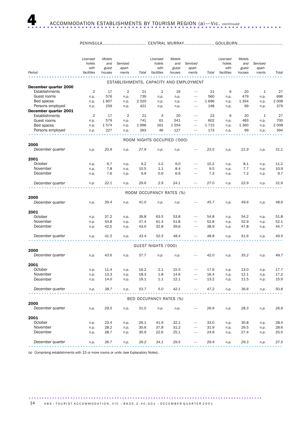### PENINSULA............................. CENTRAL MURRAY.................... GOULBURN..............................

|                       | Licensed<br>hotels<br>with | Motels<br>and<br>guest | Serviced<br>apart- |         | Licensed<br>hotels<br>with  | Motels<br>and<br>guest | Serviced<br>apart-                      |       | Licensed<br>hotels<br>with | Motels<br>and<br>guest | Serviced<br>apart- |         |
|-----------------------|----------------------------|------------------------|--------------------|---------|-----------------------------|------------------------|-----------------------------------------|-------|----------------------------|------------------------|--------------------|---------|
| Period                | facilities                 | houses                 | ments              | Total   | facilities                  | houses                 | ments                                   | Total | facilities                 | houses                 | ments              | Total   |
|                       |                            |                        |                    |         |                             |                        | ESTABLISHMENTS, CAPACITY AND EMPLOYMENT |       |                            |                        |                    |         |
| December quarter 2000 |                            |                        |                    |         |                             |                        |                                         |       |                            |                        |                    |         |
| Establishments        | $\overline{2}$             | 17                     | $\overline{2}$     | 21      | 2                           | 19                     | $\overline{\phantom{0}}$                | 21    | 6                          | 20                     | 1                  | 27      |
| Guest rooms           | n.p.                       | 576                    | n.p.               | 739     | n.p.                        | n.p.                   | $\overline{\phantom{0}}$                | 560   | n.p.                       | 479                    | n.p.               | 696     |
| Bed spaces            | n.p.                       | 1607                   | n.p.               | 2 0 2 0 | n.p.                        | n.p.                   | $\overline{\phantom{0}}$                | 1696  | n.p.                       | 1 3 5 4                | n.p.               | 2 0 0 8 |
| Persons employed      | n.p.                       | 259                    | n.p.               | 421     | n.p.                        | n.p.                   |                                         | 148   | n.p.                       | 99                     | n.p.               | 379     |
| December quarter 2001 |                            |                        |                    |         |                             |                        |                                         |       |                            |                        |                    |         |
| Establishments        | $\overline{2}$             | 17                     | 2                  | 21      | 3                           | 20                     | $\overline{\phantom{0}}$                | 23    | 6                          | 20                     | 1                  | 27      |
| Guest rooms           | n.p.                       | 579                    | n.p.               | 741     | 61                          | 541                    |                                         | 602   | n.p.                       | 483                    | n.p.               | 700     |
| Bed spaces            | n.p.                       | 1574                   | n.p.               | 1996    | 161                         | 1554                   |                                         | 1715  | n.p.                       | 1 3 6 0                | n.p.               | 2 0 0 8 |
| Persons employed      | n.p.                       | 227                    | n.p.               | 393     | 46                          | 127                    |                                         | 173   | n.p.                       | 99                     | n.p.               | 394     |
|                       |                            |                        |                    |         |                             |                        |                                         |       |                            |                        |                    |         |
| 2000                  |                            |                        |                    |         | ROOM NIGHTS OCCUPIED ('000) |                        |                                         |       |                            |                        |                    |         |
| December quarter      | n.p.                       | 20.9                   | n.p.               | 27.9    | n.p.                        | n.p.                   |                                         | 23.5  | n.p.                       | 21.9                   | n.p.               | 31.1    |
|                       |                            |                        |                    |         |                             |                        |                                         |       |                            |                        |                    |         |
| 2001                  |                            |                        |                    |         |                             |                        |                                         |       |                            |                        |                    |         |
| October               | n.p.                       | 6.7                    | n.p.               | 9.2     | 1.2                         | 9.0                    |                                         | 10.2  | n.p.                       | 8.1                    | n.p.               | 11.2    |
| November              | n.p.                       | 7.8                    | n.p.               | 10.5    | 1.1                         | 8.4                    |                                         | 9.5   | n.p.                       | 7.7                    | n.p.               | 10.9    |
| December              | n.p.                       | 7.6                    | n.p.               | 9.9     | 0.6                         | 6.6                    |                                         | 7.3   | n.p.                       | 7.2                    | n.p.               | 9.7     |
|                       |                            |                        |                    |         |                             |                        |                                         |       |                            |                        |                    |         |
| December quarter      | n.p.                       | 22.1                   | n.p.               | 29.6    | 2.9                         | 24.1                   |                                         | 27.0  | n.p.                       | 22.9                   | n.p.               | 31.9    |
|                       |                            |                        |                    |         |                             |                        |                                         |       |                            |                        |                    |         |
|                       |                            |                        |                    |         | ROOM OCCUPANCY RATES (%)    |                        |                                         |       |                            |                        |                    |         |
| 2000                  |                            |                        |                    |         |                             |                        |                                         |       |                            |                        |                    |         |
| December quarter      | n.p.                       | 39.4                   | n.p.               | 41.0    | n.p.                        | n.p.                   |                                         | 45.7  | n.p.                       | 49.6                   | n.p.               | 48.6    |
|                       |                            |                        |                    |         |                             |                        |                                         |       |                            |                        |                    |         |
| 2001<br>October       | n.p.                       | 37.2                   | n.p.               | 39.8    | 63.5                        | 53.8                   |                                         | 54.8  | n.p.                       | 54.2                   | n.p.               | 51.8    |
| November              | n.p.                       | 44.8                   | n.p.               | 47.4    | 61.4                        | 51.8                   |                                         | 52.8  | n.p.                       | 52.9                   | n.p.               | 52.1    |
| December              | n.p.                       | 42.5                   | n.p.               | 43.0    | 32.8                        | 39.6                   |                                         | 38.9  | n.p.                       | 47.8                   | n.p.               | 44.7    |
|                       |                            |                        |                    |         |                             |                        |                                         |       |                            |                        |                    |         |
| December quarter      | n.p.                       | 41.5                   | n.p.               | 43.4    | 52.5                        | 48.4                   |                                         | 48.8  | n.p.                       | 51.6                   | n.p.               | 49.5    |
|                       |                            |                        |                    |         |                             |                        |                                         |       |                            |                        |                    |         |
|                       |                            |                        |                    |         | GUEST NIGHTS ('000)         |                        |                                         |       |                            |                        |                    |         |
| 2000                  |                            |                        |                    |         |                             |                        |                                         |       |                            |                        |                    |         |
| December quarter      | n.p.                       | 43.6                   | n.p.               | 57.7    | n.p.                        | n.p.                   |                                         | 42.0  | n.p.                       | 35.2                   | n.p.               | 49.7    |
|                       |                            |                        |                    |         |                             |                        |                                         |       |                            |                        |                    |         |
| 2001                  |                            |                        |                    |         |                             |                        |                                         |       |                            |                        |                    |         |
| October               | n.p.                       | 11.4                   | n.p.               | 16.2    | $2.1\,$                     | 15.5                   |                                         | 17.6  | n.p.                       | 13.0                   | n.p.               | 17.7    |
| November              | n.p.                       | 13.3                   | n.p.               | 18.3    | 1.8                         | 14.6                   |                                         | 16.4  | n.p.                       | 12.1                   | n.p.               | 17.2    |
| December              | n.p.                       | 14.0                   | n.p.               | 19.1    | $1.1\,$                     | 12.1                   |                                         | 13.2  | n.p.                       | 11.5                   | n.p.               | 15.9    |
| December quarter      | n.p.                       | 38.7                   | n.p.               | 53.7    | 5.0                         | 42.1                   |                                         | 47.2  | n.p.                       | 36.6                   | n.p.               | 50.8    |
|                       |                            |                        |                    |         |                             |                        |                                         |       |                            |                        |                    |         |
|                       |                            |                        |                    |         | BED OCCUPANCY RATES (%)     |                        |                                         |       |                            |                        |                    |         |
| 2000                  |                            |                        |                    |         |                             |                        |                                         |       |                            |                        |                    |         |
| December quarter      | n.p.                       | 29.5                   | n.p.               | 31.0    | n.p.                        | n.p.                   |                                         | 26.9  | n.p.                       | 28.3                   | n.p.               | 26.9    |
|                       |                            |                        |                    |         |                             |                        |                                         |       |                            |                        |                    |         |
| 2001                  |                            |                        |                    |         |                             |                        |                                         |       |                            |                        |                    |         |
| October               | n.p.                       | 23.4                   | n.p.               | 26.1    | 41.9                        | 32.1                   |                                         | 33.0  | n.p.                       | 30.8                   | n.p.               | 28.4    |
| November              | n.p.                       | 28.2                   | n.p.               | 30.6    | 37.8                        | 31.2                   |                                         | 31.9  | n.p.                       | 29.5                   | n.p.               | 28.6    |
| December              | n.p.                       | 28.7                   | n.p.               | 30.9    | 22.6                        | 25.1                   |                                         | 24.9  | n.p.                       | 27.4                   | n.p.               | 25.5    |
|                       |                            |                        |                    |         |                             |                        |                                         |       |                            |                        |                    |         |
| December quarter      | n.p.                       | 26.7                   | n.p.               | 29.2    | 34.1                        | 29.5                   |                                         | 29.9  | n.p.                       | 29.3                   | n.p.               | 27.5    |
|                       |                            |                        |                    |         |                             |                        |                                         |       |                            |                        |                    |         |

(a) Comprising establishments with 15 or more rooms or units (see Explanatory Notes).

.......................................................................................... 14 A B S • TOURIST A C COMMODATION, VIC • 8635.2.40.001 • DECEMBER QUARTER 2001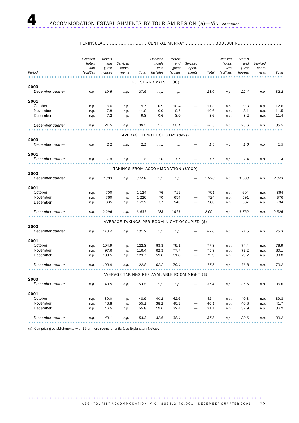PENINSULA............................. CENTRAL MURRAY.................... GOULBURN..............................

| Period           | Licensed<br>hotels<br>with<br>facilities | Motels<br>and<br>guest<br>houses | Serviced<br>apart-<br>ments                   | Total   | Licensed<br>hotels<br>with<br>facilities | Motels<br>and<br>guest<br>houses | Serviced<br>apart-<br>ments | Total | Licensed<br>hotels<br>with<br>facilities | Motels<br>and<br>guest<br>houses | Serviced<br>apart-<br>ments | Total   |
|------------------|------------------------------------------|----------------------------------|-----------------------------------------------|---------|------------------------------------------|----------------------------------|-----------------------------|-------|------------------------------------------|----------------------------------|-----------------------------|---------|
|                  |                                          |                                  |                                               |         |                                          |                                  |                             |       |                                          |                                  |                             |         |
|                  |                                          |                                  |                                               |         | GUEST ARRIVALS ('000)                    |                                  |                             |       |                                          |                                  |                             |         |
| 2000             |                                          |                                  |                                               |         |                                          |                                  |                             |       |                                          |                                  |                             |         |
| December quarter | n.p.                                     | 19.5                             | n.p.                                          | 27.6    | n.p.                                     | n.p.                             |                             | 28.0  | n.p.                                     | 22.4                             | n.p.                        | 32.2    |
| 2001             |                                          |                                  |                                               |         |                                          |                                  |                             |       |                                          |                                  |                             |         |
| October          | n.p.                                     | 6.6                              | n.p.                                          | 9.7     | 0.9                                      | 10.4                             |                             | 11.3  | n.p.                                     | 9.3                              | n.p.                        | 12.6    |
| November         | n.p.                                     | 7.8                              | n.p.                                          | 11.0    | 0.9                                      | 9.7                              |                             | 10.6  | n.p.                                     | 8.1                              | n.p.                        | 11.5    |
| December         | n.p.                                     | 7.2                              | n.p.                                          | 9.8     | 0.6                                      | 8.0                              |                             | 8.6   | n.p.                                     | 8.2                              | n.p.                        | 11.4    |
| December quarter | n.p.                                     | 21.5                             | n.p.                                          | 30.5    | 2.5                                      | 28.1                             |                             | 30.5  | n.p.                                     | 25.6                             | n.p.                        | 35.5    |
|                  |                                          |                                  |                                               |         | AVERAGE LENGTH OF STAY (days)            |                                  |                             |       |                                          |                                  |                             |         |
| 2000             |                                          |                                  |                                               |         |                                          |                                  |                             |       |                                          |                                  |                             |         |
| December quarter | n.p.                                     | 2.2                              | n.p.                                          | 2.1     | n.p.                                     | n.p.                             |                             | 1.5   | n.p.                                     | 1.6                              | n.p.                        | 1.5     |
| 2001             |                                          |                                  |                                               |         |                                          |                                  |                             |       |                                          |                                  |                             |         |
| December quarter | n.p.                                     | 1.8                              | n.p.                                          | 1.8     | 2.0                                      | 1.5                              |                             | 1.5   | n.p.                                     | 1.4                              | n.p.                        | 1.4     |
|                  |                                          |                                  | TAKINGS FROM ACCOMMODATION (\$'000)           |         |                                          |                                  |                             |       |                                          |                                  |                             |         |
| 2000             |                                          |                                  |                                               |         |                                          |                                  |                             |       |                                          |                                  |                             |         |
| December quarter | n.p.                                     | 2 3 0 3                          | n.p.                                          | 3658    | n.p.                                     | n.p.                             |                             | 1928  | n.p.                                     | 1563                             | n.p.                        | 2 3 4 3 |
| 2001             |                                          |                                  |                                               |         |                                          |                                  |                             |       |                                          |                                  |                             |         |
| October          | n.p.                                     | 700                              | n.p.                                          | 1 1 2 4 | 76                                       | 715                              |                             | 791   | n.p.                                     | 604                              | n.p.                        | 864     |
| November         | n.p.                                     | 760                              | n.p.                                          | 1 2 2 6 | 70                                       | 654                              |                             | 724   | n.p.                                     | 591                              | n.p.                        | 876     |
| December         | n.p.                                     | 835                              | n.p.                                          | 1 2 8 2 | 37                                       | 543                              |                             | 580   | n.p.                                     | 567                              | n.p.                        | 784     |
| December quarter | n.p.                                     | 2 296                            | n.p.                                          | 3631    | 183                                      | 1 911                            |                             | 2094  | n.p.                                     | 1762                             | n.p.                        | 2 5 2 5 |
|                  |                                          |                                  | AVERAGE TAKINGS PER ROOM NIGHT OCCUPIED (\$)  |         |                                          |                                  |                             |       |                                          |                                  |                             |         |
| 2000             |                                          |                                  |                                               |         |                                          |                                  |                             |       |                                          |                                  |                             |         |
| December quarter | n.p.                                     | 110.4                            | n.p.                                          | 131.2   | n.p.                                     | n.p.                             |                             | 82.0  | n.p.                                     | 71.5                             | n.p.                        | 75.3    |
| 2001             |                                          |                                  |                                               |         |                                          |                                  |                             |       |                                          |                                  |                             |         |
| October          | n.p.                                     | 104.9                            | n.p.                                          | 122.8   | 63.3                                     | 79.1                             |                             | 77.3  | n.p.                                     | 74.4                             | n.p.                        | 76.9    |
| November         | n.p.                                     | 97.6                             | n.p.                                          | 116.4   | 62.3                                     | 77.7                             |                             | 75.9  | n.p.                                     | 77.2                             | n.p.                        | 80.1    |
| December         | n.p.                                     | 109.5                            | n.p.                                          | 129.7   | 59.8                                     | 81.8                             |                             | 79.9  | n.p.                                     | 79.2                             | n.p.                        | 80.8    |
| December quarter | n.p.                                     | 103.9                            | n.p.                                          | 122.8   | 62.2                                     | 79.4                             |                             | 77.5  | n.p.                                     | 76.8                             | n.p.                        | 79.2    |
|                  |                                          |                                  | AVERAGE TAKINGS PER AVAILABLE ROOM NIGHT (\$) |         |                                          |                                  |                             |       |                                          |                                  |                             |         |
| 2000             |                                          |                                  |                                               |         |                                          |                                  |                             |       |                                          |                                  |                             |         |
| December quarter | n.p.                                     | 43.5                             | n.p.                                          | 53.8    | n.p.                                     | n.p.                             |                             | 37.4  | n.p.                                     | 35.5                             | n.p.                        | 36.6    |
| 2001             |                                          |                                  |                                               |         |                                          |                                  |                             |       |                                          |                                  |                             |         |
| October          | n.p.                                     | 39.0                             | n.p.                                          | 48.9    | 40.2                                     | 42.6                             |                             | 42.4  | n.p.                                     | 40.3                             | n.p.                        | 39.8    |
| November         | n.p.                                     | 43.8                             | n.p.                                          | 55.1    | 38.2                                     | 40.3                             |                             | 40.1  | n.p.                                     | 40.8                             | n.p.                        | 41.7    |
| December         | n.p.                                     | 46.5                             | n.p.                                          | 55.8    | 19.6                                     | 32.4                             |                             | 31.1  | n.p.                                     | 37.9                             | n.p.                        | 36.2    |
| December quarter | n.p.                                     | 43.1                             | n.p.                                          | 53.3    | 32.6                                     | 38.4                             |                             | 37.8  | n.p.                                     | 39.6                             | n.p.                        | 39.2    |

(a) Comprising establishments with 15 or more rooms or units (see Explanatory Notes).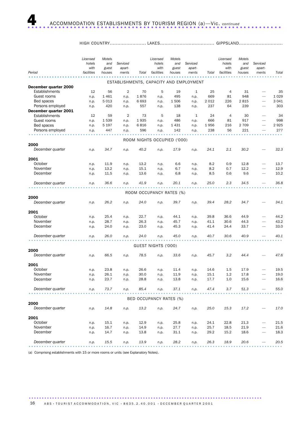### HIGH COUNTRY........................ LAKES.................................... GIPPSLAND.............................

|                                         | Licensed<br>hotels<br>with | Motels<br>and<br>guest | Serviced<br>apart- |       | Licensed<br>hotels<br>with  | Motels<br>and<br>guest | Serviced<br>apart-                      |       | Licensed<br>hotels<br>with | Motels<br>and<br>guest | Serviced<br>apart-       |         |
|-----------------------------------------|----------------------------|------------------------|--------------------|-------|-----------------------------|------------------------|-----------------------------------------|-------|----------------------------|------------------------|--------------------------|---------|
| Period                                  | facilities                 | houses                 | ments              | Total | facilities                  | houses                 | ments                                   | Total | facilities                 | houses                 | ments                    | Total   |
|                                         |                            |                        |                    |       |                             |                        | ESTABLISHMENTS, CAPACITY AND EMPLOYMENT |       |                            |                        |                          |         |
| December quarter 2000<br>Establishments | 12                         | 56                     | 2                  | 70    | 5                           | 19                     | 1                                       | 25    | 4                          | 31                     |                          | 35      |
| Guest rooms                             | n.p.                       | 1461                   | n.p.               | 1876  | n.p.                        | 495                    | n.p.                                    | 669   | 81                         | 948                    |                          | 1 0 2 9 |
| Bed spaces                              | n.p.                       | 5 0 1 3                | n.p.               | 6693  | n.p.                        | 1506                   | n.p.                                    | 2012  | 226                        | 2815                   | $\overline{\phantom{0}}$ | 3 0 4 1 |
| Persons employed                        | n.p.                       | 420                    | n.p.               | 557   | n.p.                        | 138                    | n.p.                                    | 237   | 64                         | 239                    |                          | 303     |
| December quarter 2001                   |                            |                        |                    |       |                             |                        |                                         |       |                            |                        |                          |         |
| Establishments                          | 12                         | 59                     | 2                  | 73    | 5                           | 18                     | 1                                       | 24    | $\overline{4}$             | 30                     |                          | 34      |
| Guest rooms                             | n.p.                       | 1539                   | n.p.               | 1935  | n.p.                        | 486                    | n.p.                                    | 666   | 81                         | 917                    |                          | 998     |
| Bed spaces                              | n.p.                       | 5 1 9 7                | n.p.               | 6816  | n.p.                        | 1431                   | n.p.                                    | 1956  | 216                        | 2 7 0 9                | $\overline{\phantom{0}}$ | 2925    |
| Persons employed                        | n.p.                       | 447                    | n.p.               | 596   | n.p.                        | 142                    | n.p.                                    | 238   | 56                         | 221                    |                          | 277     |
|                                         |                            |                        |                    |       |                             |                        |                                         |       |                            |                        |                          |         |
|                                         |                            |                        |                    |       | ROOM NIGHTS OCCUPIED ('000) |                        |                                         |       |                            |                        |                          |         |
| 2000                                    |                            |                        |                    |       |                             |                        |                                         |       |                            |                        |                          |         |
| December quarter                        | n.p.                       | 34.7                   | n.p.               | 40.2  | n.p.                        | 17.9                   | n.p.                                    | 24.1  | 2.1                        | 30.2                   |                          | 32.3    |
| 2001                                    |                            |                        |                    |       |                             |                        |                                         |       |                            |                        |                          |         |
| October                                 | n.p.                       | 11.9                   | n.p.               | 13.2  | n.p.                        | 6.6                    | n.p.                                    | 8.2   | 0.9                        | 12.8                   |                          | 13.7    |
| November                                | n.p.                       | 13.2                   | n.p.               | 15.1  | n.p.                        | 6.7                    | n.p.                                    | 8.2   | 0.7                        | 12.2                   |                          | 12.9    |
| December                                | n.p.                       | 11.5                   | n.p.               | 13.6  | n.p.                        | 6.8                    | n.p.                                    | 8.5   | 0.6                        | 9.6                    |                          | 10.2    |
|                                         |                            |                        |                    |       |                             |                        |                                         |       |                            |                        |                          |         |
| December quarter                        | n.p.                       | 36.6                   | n.p.               | 41.9  | n.p.                        | 20.1                   | n.p.                                    | 25.0  | 2.3                        | 34.5                   |                          | 36.8    |
|                                         |                            |                        |                    |       |                             |                        |                                         |       |                            |                        |                          |         |
| 2000                                    |                            |                        |                    |       | ROOM OCCUPANCY RATES (%)    |                        |                                         |       |                            |                        |                          |         |
| December quarter                        | n.p.                       | 26.2                   | n.p.               | 24.0  | n.p.                        | 39.7                   | n.p.                                    | 39.4  | 28.2                       | 34.7                   |                          | 34.1    |
|                                         |                            |                        |                    |       |                             |                        |                                         |       |                            |                        |                          |         |
| 2001                                    |                            |                        |                    |       |                             |                        |                                         |       |                            |                        |                          |         |
| October                                 | n.p.                       | 25.4                   | n.p.               | 22.7  | n.p.                        | 44.1                   | n.p.                                    | 39.8  | 36.6                       | 44.9                   |                          | 44.2    |
| November                                | n.p.                       | 28.7                   | n.p.               | 26.3  | n.p.                        | 45.7                   | n.p.                                    | 41.1  | 30.6                       | 44.3                   |                          | 43.2    |
| December                                | n.p.                       | 24.0                   | n.p.               | 23.0  | n.p.                        | 45.3                   | n.p.                                    | 41.4  | 24.4                       | 33.7                   |                          | 33.0    |
|                                         |                            |                        |                    |       |                             |                        |                                         |       |                            |                        |                          |         |
| December quarter                        | n.p.                       | 26.0                   | n.p.               | 24.0  | n.p.                        | 45.0                   | n.p.                                    | 40.7  | 30.6                       | 40.9                   |                          | 40.1    |
|                                         |                            |                        |                    |       | GUEST NIGHTS ('000)         |                        |                                         |       |                            |                        |                          |         |
| 2000                                    |                            |                        |                    |       |                             |                        |                                         |       |                            |                        |                          |         |
| December quarter                        | n.p.                       | 66.5                   | n.p.               | 78.5  | n.p.                        | 33.6                   | n.p.                                    | 45.7  | 3.2                        | 44.4                   |                          | 47.6    |
|                                         |                            |                        |                    |       |                             |                        |                                         |       |                            |                        |                          |         |
| 2001                                    |                            |                        |                    |       |                             |                        |                                         |       |                            |                        |                          |         |
| October                                 | n.p.                       | 23.8                   | n.p.               | 26.6  | n.p.                        | 11.4                   | n.p.                                    | 14.6  | 1.5                        | 17.9                   |                          | 19.5    |
| November                                | n.p.                       | 26.1                   | n.p.               | 30.0  | n.p.                        | 11.9                   | n.p.                                    | 15.1  | 1.2                        | 17.8                   |                          | 19.0    |
| December                                | n.p.                       | 23.7                   | n.p.               | 28.8  | n.p.                        | 13.8                   | n.p.                                    | 17.7  | 1.0                        | 15.6                   |                          | 16.6    |
| December quarter                        | n.p.                       | 73.7                   | n.p.               | 85.4  | n.p.                        | 37.1                   | n.p.                                    | 47.4  | 3.7                        | 51.3                   |                          | 55.0    |
|                                         |                            |                        |                    |       |                             |                        |                                         |       |                            |                        |                          |         |
|                                         |                            |                        |                    |       | BED OCCUPANCY RATES (%)     |                        |                                         |       |                            |                        |                          |         |
| 2000                                    |                            |                        |                    |       |                             |                        |                                         |       |                            |                        |                          |         |
| December quarter                        | n.p.                       | 14.8                   | n.p.               | 13.2  | n.p.                        | 24.7                   | n.p.                                    | 25.0  | 15.3                       | 17.2                   |                          | 17.0    |
| 2001                                    |                            |                        |                    |       |                             |                        |                                         |       |                            |                        |                          |         |
| October                                 | n.p.                       | 15.1                   | n.p.               | 12.9  | n.p.                        | 25.8                   | n.p.                                    | 24.1  | 22.8                       | 21.3                   |                          | 21.5    |
| November                                | n.p.                       | 16.7                   | n.p.               | 14.9  | n.p.                        | 27.7                   | n.p.                                    | 25.7  | 18.5                       | 21.9                   |                          | 21.6    |
| December                                | n.p.                       | 14.7                   | n.p.               | 13.8  | n.p.                        | 31.1                   | n.p.                                    | 29.2  | 15.2                       | 18.6                   |                          | 18.3    |
|                                         |                            |                        |                    |       |                             |                        |                                         |       |                            |                        |                          |         |
| December quarter                        | n.p.                       | 15.5                   | n.p.               | 13.9  | n.p.                        | 28.2                   | n.p.                                    | 26.3  | 18.9                       | 20.6                   |                          | 20.5    |
|                                         |                            |                        |                    |       |                             |                        |                                         |       |                            |                        |                          |         |

(a) Comprising establishments with 15 or more rooms or units (see Explanatory Notes).

.......................................................................................... 16 A B S • TOURIST A C COMMODATION, VIC • 8635.2.40.001 • DECEMBER QUARTER 2001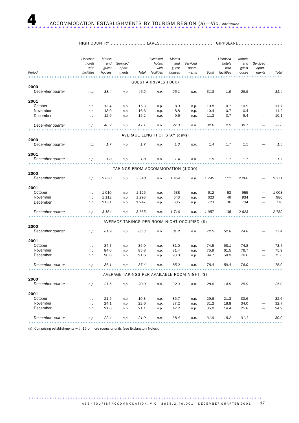HIGH COUNTRY ....................... LAKES.................................... GIPPSLAND.............................

| Period           | hotels<br>with<br>facilities | and<br>guest<br>houses | Serviced<br>apart-<br>ments         | Total   | hotels<br>with<br>facilities  | and<br>guest<br>houses | Serviced<br>apart-<br>ments                   | Total | hotels<br>with<br>facilities | and<br>guest<br>houses | Serviced<br>apart-<br>ments | Total   |
|------------------|------------------------------|------------------------|-------------------------------------|---------|-------------------------------|------------------------|-----------------------------------------------|-------|------------------------------|------------------------|-----------------------------|---------|
|                  |                              |                        |                                     |         |                               |                        |                                               |       |                              |                        |                             |         |
| 2000             |                              |                        |                                     |         | GUEST ARRIVALS ('000)         |                        |                                               |       |                              |                        |                             |         |
| December quarter | n.p.                         | 38.4                   | n.p.                                | 46.2    | n.p.                          | 25.1                   | n.p.                                          | 31.8  | 1.9                          | 29.5                   |                             | 31.4    |
|                  |                              |                        |                                     |         |                               |                        |                                               |       |                              |                        |                             |         |
| 2001<br>October  | n.p.                         | 13.4                   | n.p.                                | 15.3    | n.p.                          | 8.9                    | n.p.                                          | 10.8  | 0.7                          | 10.9                   |                             | 11.7    |
| November         | n.p.                         | 13.9                   | n.p.                                | 16.6    | n.p.                          | 8.8                    | n.p.                                          | 10.4  | 0.7                          | 10.4                   |                             | 11.2    |
| December         | n.p.                         | 12.9                   | n.p.                                | 15.2    | n.p.                          | 9.6                    | n.p.                                          | 11.3  | 0.7                          | 9.4                    |                             | 10.1    |
| December quarter | n.p.                         | 40.2                   | n.p.                                | 47.1    | n.p.                          | 27.3                   | n.p.                                          | 32.6  | 2.2                          | 30.7                   |                             | 33.0    |
|                  |                              |                        |                                     |         | AVERAGE LENGTH OF STAY (days) |                        |                                               |       |                              |                        |                             |         |
| 2000             |                              |                        |                                     |         |                               |                        |                                               |       |                              |                        |                             |         |
| December quarter | n.p.                         | 1.7                    | n.p.                                | 1.7     | n.p.                          | 1.3                    | n.p.                                          | 1.4   | 1.7                          | 1.5                    |                             | 1.5     |
| 2001             |                              |                        |                                     |         |                               |                        |                                               |       |                              |                        |                             |         |
| December quarter | n.p.                         | 1.8                    | n.p.                                | 1.8     | n.p.                          | 1.4                    | n.p.                                          | 1.5   | 1.7                          | 1.7                    |                             | 1.7     |
|                  |                              |                        | TAKINGS FROM ACCOMMODATION (\$'000) |         |                               |                        |                                               |       |                              |                        |                             |         |
| 2000             |                              |                        |                                     |         |                               |                        |                                               |       |                              |                        |                             |         |
| December quarter | n.p.                         | 2838                   | n.p.                                | 3 3 4 8 | n.p.                          | 1 454                  | n.p.                                          | 1745  | 111                          | 2 2 6 0                |                             | 2371    |
| 2001             |                              |                        |                                     |         |                               |                        |                                               |       |                              |                        |                             |         |
| October          | n.p.                         | 1 0 1 0                | n.p.                                | 1 1 2 5 | n.p.                          | 538                    | n.p.                                          | 612   | 53                           | 955                    |                             | 1 0 0 8 |
| November         | n.p.                         | 1 1 1 2                | n.p.                                | 1 2 9 3 | n.p.                          | 543                    | n.p.                                          | 623   | 46                           | 934                    |                             | 980     |
| December         | n.p.                         | 1 0 3 1                | n.p.                                | 1 2 4 7 | n.p.                          | 635                    | n.p.                                          | 723   | 36                           | 734                    |                             | 770     |
| December quarter | n.p.                         | 3 1 5 4                | n.p.                                | 3 6 6 5 | n.p.                          | 1716                   | n.p.                                          | 1957  | 135                          | 2623                   |                             | 2759    |
|                  |                              |                        |                                     |         |                               |                        | AVERAGE TAKINGS PER ROOM NIGHT OCCUPIED (\$)  |       |                              |                        |                             |         |
| 2000             |                              |                        |                                     |         |                               |                        |                                               |       |                              |                        |                             |         |
| December quarter | n.p.                         | 81.9                   | n.p.                                | 83.3    | n.p.                          | 81.2                   | n.p.                                          | 72.5  | 52.8                         | 74.8                   |                             | 73.4    |
| 2001             |                              |                        |                                     |         |                               |                        |                                               |       |                              |                        |                             |         |
| October          | n.p.                         | 84.7                   | n.p.                                | 85.0    | n.p.                          | 81.0                   | n.p.                                          | 74.5  | 58.1                         | 74.8                   |                             | 73.7    |
| November         | n.p.                         | 84.0                   | n.p.                                | 85.8    | n.p.                          | 81.4                   | n.p.                                          | 75.9  | 61.5                         | 76.7                   |                             | 75.9    |
| December         | n.p.                         | 90.0                   | n.p.                                | 91.6    | n.p.                          | 93.0                   | n.p.                                          | 84.7  | 58.9                         | 76.6                   |                             | 75.6    |
| December quarter | n.p.                         | 86.1                   | n.p.                                | 87.4    | n.p.                          | 85.2                   | n.p.                                          | 78.4  | 59.4                         | 76.0                   |                             | 75.0    |
|                  |                              |                        |                                     |         |                               |                        | AVERAGE TAKINGS PER AVAILABLE ROOM NIGHT (\$) |       |                              |                        |                             |         |
| 2000             |                              |                        |                                     |         |                               |                        |                                               |       |                              |                        |                             |         |
| December quarter | n.p.                         | 21.5                   | n.p.                                | 20.0    | n.p.                          | 32.3                   | n.p.                                          | 28.6  | 14.9                         | 25.9                   |                             | 25.0    |
| 2001             |                              |                        |                                     |         |                               |                        |                                               |       |                              |                        |                             |         |
| October          | n.p.                         | 21.5                   | n.p.                                | 19.3    | n.p.                          | 35.7                   | n.p.                                          | 29.6  | 21.3                         | 33.6                   |                             | 32.6    |
| November         | n.p.                         | 24.1                   | n.p.                                | 22.6    | n.p.                          | 37.2                   | n.p.                                          | 31.2  | 18.8                         | 34.0                   |                             | 32.7    |
| December         | n.p.                         | 21.6                   | n.p.                                | 21.1    | n.p.                          | 42.2                   | n.p.                                          | 35.0  | 14.4                         | 25.8                   |                             | 24.9    |
| December quarter | n.p.                         | 22.4                   | n.p.                                | 21.0    | n.p.                          | 38.4                   | n.p.                                          | 31.9  | 18.2                         | 31.1                   |                             | 30.0    |

(a) Comprising establishments with 15 or more rooms or units (see Explanatory Notes).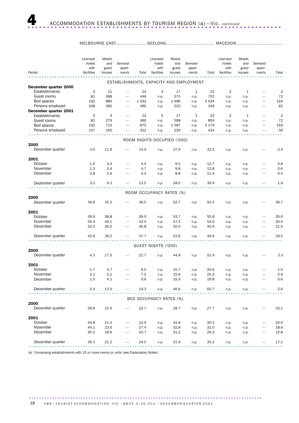### MELBOURNE EAST..................... GEELONG................................. MACEDON..........................

|                                         | Licensed<br>hotels<br>with | Motels<br>and<br>guest | Serviced<br>apart-                                          |           | Licensed<br>hotels<br>with     | Motels<br>and<br>guest | Serviced<br>apart- |                | Licensed<br>hotels<br>with | Motels<br>and<br>guest | Serviced<br>apart-       |                   |
|-----------------------------------------|----------------------------|------------------------|-------------------------------------------------------------|-----------|--------------------------------|------------------------|--------------------|----------------|----------------------------|------------------------|--------------------------|-------------------|
| Period                                  | facilities                 | houses                 | ments                                                       | Total     | facilities                     | houses                 | ments              | Total          | facilities                 | houses                 | ments                    | Total             |
|                                         |                            |                        | ESTABLISHMENTS, CAPACITY AND EMPLOYMENT                     |           |                                |                        |                    |                |                            |                        |                          |                   |
| December quarter 2000<br>Establishments | 3                          | 11                     | $\overline{\phantom{0}}$                                    | 14        | 4                              | 17                     | $\mathbf{1}$       | 22             | $\overline{2}$             | 1                      |                          | 3                 |
| Guest rooms                             | 81                         | 368                    | $\overbrace{\phantom{1232211}}$                             | 449       | n.p.                           | 575                    | n.p.               | 702            | n.p.                       | n.p.                   | $\overline{\phantom{0}}$ | 72                |
| Bed spaces                              | 162                        | 880                    |                                                             | 1 0 4 2   | n.p.                           | 1696                   | n.p.               | 2 0 3 4        | n.p.                       | n.p.                   |                          | 163               |
| Persons employed                        | 208                        | 282                    |                                                             | 490       | n.p.                           | 220                    | n.p.               | 349            | n.p.                       | n.p.                   | -                        | 62                |
| December quarter 2001                   |                            |                        |                                                             |           |                                |                        |                    |                |                            |                        |                          |                   |
| Establishments<br>Guest rooms           | 3<br>81                    | 9<br>279               |                                                             | 12<br>360 | 5                              | 17                     | $\mathbf{1}$       | 23             | 2                          | $\mathbf{1}$           |                          | 3<br>72           |
| Bed spaces                              | 162                        | 713                    | $\overbrace{\phantom{1232211}}$<br>$\overline{\phantom{0}}$ | 875       | n.p.<br>n.p.                   | 568<br>1587            | n.p.<br>n.p.       | 804<br>2 1 7 9 | n.p.<br>n.p.               | n.p.<br>n.p.           | $\overline{\phantom{0}}$ | 163               |
| Persons employed                        | 157                        | 165                    | ÷.                                                          | 322       | n.p.                           | 229                    | n.p.               | 434            | n.p.                       | n.p.                   |                          | 56                |
|                                         |                            |                        |                                                             |           |                                |                        |                    |                |                            |                        |                          |                   |
|                                         |                            |                        |                                                             |           | ROOM NIGHTS OCCUPIED ('000)    |                        |                    |                |                            |                        |                          |                   |
| 2000                                    |                            |                        |                                                             |           |                                |                        |                    |                |                            |                        |                          |                   |
| December quarter                        | 3.0                        | 11.9                   |                                                             | 14.9      | n.p.                           | 27.9                   | n.p.               | 32.5           | n.p.                       | n.p.                   |                          | 2.4               |
| 2001                                    |                            |                        |                                                             |           |                                |                        |                    |                |                            |                        |                          |                   |
| October                                 | 1.0                        | 3.4                    |                                                             | 4.4       | n.p.                           | 9.5                    | n.p.               | 12.7           | n.p.                       | n.p.                   |                          | 0.8               |
| November                                | 1.3                        | 3.4                    | $\overline{\phantom{0}}$                                    | 4.7       | n.p.                           | 9.8                    | n.p.               | 12.8           | n.p.                       | n.p.                   | $\overline{\phantom{0}}$ | 0.6               |
| December                                | 0.8                        | 2.6                    |                                                             | 3.4       | n.p.                           | 8.8                    | n.p.               | 11.4           | n.p.                       | n.p.                   |                          | 0.5               |
| December quarter                        | 3.2                        | 9.3                    |                                                             | 12.5      | n.p.                           | 28.0                   | n.p.               | 36.9           | n.p.                       | n.p.                   |                          | 1.9               |
|                                         |                            |                        |                                                             |           | ROOM OCCUPANCY RATES (%)       |                        |                    |                |                            |                        |                          |                   |
| 2000                                    |                            |                        |                                                             |           |                                |                        |                    |                |                            |                        |                          |                   |
| December quarter                        | 39.8                       | 35.2                   |                                                             | 36.0      | n.p.                           | 52.7                   | n.p.               | 50.3           | n.p.                       | n.p.                   |                          | 36.7              |
| 2001                                    |                            |                        |                                                             |           |                                |                        |                    |                |                            |                        |                          |                   |
| October                                 | 39.9                       | 38.8                   |                                                             | 39.0      | n.p.                           | 53.7                   | n.p.               | 50.8           | n.p.                       | n.p.                   |                          | 35.6              |
| November                                | 55.4                       | 40.1                   |                                                             | 43.5      | n.p.                           | 57.3                   | n.p.               | 53.0           | n.p.                       | n.p.                   |                          | 30.0              |
| December                                | 33.5                       | 30.0                   |                                                             | 30.8      | n.p.                           | 50.0                   | n.p.               | 45.9           | n.p.                       | n.p.                   |                          | 21.5              |
| December quarter                        | 42.8                       | 36.2                   |                                                             | 37.7      | n.p.                           | 53.6                   | n.p.               | 49.9           | n.p.                       | n.p.                   |                          | 29.0              |
|                                         |                            |                        |                                                             |           |                                |                        |                    |                |                            |                        |                          |                   |
| 2000                                    |                            |                        |                                                             |           | GUEST NIGHTS ('000)            |                        |                    |                |                            |                        |                          |                   |
| December quarter                        | 4.3                        | 17.5                   |                                                             | 21.7      | n.p.                           | 44.8                   | n.p.               | 51.9           | n.p.                       | n.p.                   |                          | 3.3               |
| 2001                                    |                            |                        |                                                             |           |                                |                        |                    |                |                            |                        |                          |                   |
| October                                 | 1.7                        | 4.7                    |                                                             | 6.5       | n.p.                           | 15.7                   | n.p.               | 20.6           | n.p.                       | n.p.                   |                          | 1.0               |
| November                                | 2.1                        | 5.1                    |                                                             | 7.2       | n.p.                           | 15.6                   | n.p.               | 20.3           | n.p.                       | n.p.                   |                          | 0.9               |
| December                                | 1.5                        | 4.1                    |                                                             | 5.6       | n.p.                           | 15.3                   | n.p.               | 19.8           | n.p.                       | n.p.                   |                          | 0.6               |
| December quarter                        | 5.4                        | 13.9                   |                                                             | 19.3      | n.p.                           | 46.6                   | n.p.               | 60.7           | n.p.                       | n.p.                   |                          | 2.6               |
|                                         |                            |                        |                                                             |           | <b>BED OCCUPANCY RATES (%)</b> |                        |                    |                |                            |                        |                          |                   |
| 2000                                    |                            |                        |                                                             |           |                                |                        |                    |                |                            |                        |                          |                   |
| December quarter                        | 28.6                       | 21.6                   |                                                             | 22.7      | n.p.                           | 28.7                   | n.p.               | 27.7           | n.p.                       | n.p.                   |                          | 22.1              |
| 2001                                    |                            |                        |                                                             |           |                                |                        |                    |                |                            |                        |                          |                   |
| October                                 | 34.8                       | 21.4                   |                                                             | 23.9      | n.p.                           | 31.9                   | n.p.               | 30.5           | n.p.                       | n.p.                   |                          | 20.0              |
| November                                | 44.1                       | 23.6                   |                                                             | 27.4      | n.p.                           | 32.8                   | n.p.               | 31.0           | n.p.                       | n.p.                   |                          | 18.6              |
| December                                | 30.2                       | 18.6                   |                                                             | 20.7      | n.p.                           | 31.2                   | n.p.               | 29.3           | n.p.                       | n.p.                   |                          | 12.8              |
| December quarter                        | 36.3                       | 21.2                   |                                                             | 24.0      | n.p.                           | 31.9                   | n.p.               | 30.3           | n.p.                       | n.p.                   |                          | 17.1<br>$-0.0000$ |

(a) Comprising establishments with 15 or more rooms or units (see Explanatory Notes).

18 A B S • TOURIST A C COMMODATION, VIC • 8635.2.40.001 • DECEMBER QUARTER 2001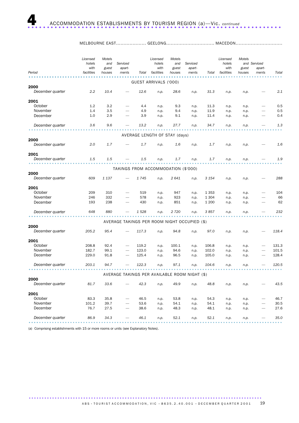|                  | Licensed<br>hotels<br>with | Motels<br>and<br>guest | Serviced<br>apart-                  |       | Licensed<br>hotels<br>with    | Motels<br>and<br>guest | Serviced<br>apart-                            |         | Licensed<br>hotels<br>with | Motels<br>guest | and Serviced<br>apart-   |       |
|------------------|----------------------------|------------------------|-------------------------------------|-------|-------------------------------|------------------------|-----------------------------------------------|---------|----------------------------|-----------------|--------------------------|-------|
| Period           | facilities                 | houses                 | ments                               | Total | facilities                    | houses                 | ments                                         | Total   | facilities                 | houses          | ments                    | Total |
|                  |                            |                        |                                     |       | GUEST ARRIVALS ('000)         |                        |                                               |         |                            |                 |                          |       |
| 2000             |                            |                        |                                     |       |                               |                        |                                               |         |                            |                 |                          |       |
| December quarter | $2.2\,$                    | 10.4                   |                                     | 12.6  | n.p.                          | 28.6                   | n.p.                                          | 31.3    | n.p.                       | n.p.            |                          | 2.1   |
| 2001             |                            |                        |                                     |       |                               |                        |                                               |         |                            |                 |                          |       |
| October          | 1.2                        | 3.2                    |                                     | 4.4   | n.p.                          | 9.3                    | n.p.                                          | 11.3    | n.p.                       | n.p.            | $\overline{\phantom{0}}$ | 0.5   |
| November         | 1.4                        | 3.5                    |                                     | 4.9   | n.p.                          | 9.4                    | n.p.                                          | 11.9    | n.p.                       | n.p.            | $\overline{\phantom{0}}$ | 0.5   |
| December         | 1.0                        | 2.9                    |                                     | 3.9   | n.p.                          | 9.1                    | n.p.                                          | 11.4    | n.p.                       | n.p.            | $\overline{\phantom{0}}$ | 0.4   |
| December quarter | 3.6                        | 9.6                    |                                     | 13.2  | n.p.                          | 27.7                   | n.p.                                          | 34.7    | n.p.                       | n.p.            |                          | 1.3   |
|                  |                            |                        |                                     |       |                               |                        |                                               |         |                            |                 |                          |       |
|                  |                            |                        |                                     |       | AVERAGE LENGTH OF STAY (days) |                        |                                               |         |                            |                 |                          |       |
| 2000             |                            |                        |                                     |       |                               |                        |                                               |         |                            |                 |                          |       |
| December quarter | 2.0                        | 1.7                    |                                     | 1.7   | n.p.                          | 1.6                    | n.p.                                          | 1.7     | n.p.                       | n.p.            |                          | 1.6   |
| 2001             |                            |                        |                                     |       |                               |                        |                                               |         |                            |                 |                          |       |
| December quarter | 1.5                        | 1.5                    |                                     | 1.5   | n.p.                          | 1.7                    | n.p.                                          | 1.7     | n.p.                       | n.p.            |                          | 1.9   |
|                  |                            |                        | TAKINGS FROM ACCOMMODATION (\$'000) |       |                               |                        |                                               |         |                            |                 |                          |       |
| 2000             |                            |                        |                                     |       |                               |                        |                                               |         |                            |                 |                          |       |
| December quarter | 609                        | 1 1 3 7                |                                     | 1745  | n.p.                          | 2641                   | n.p.                                          | 3 1 5 4 | n.p.                       | n.p.            |                          | 288   |
| 2001             |                            |                        |                                     |       |                               |                        |                                               |         |                            |                 |                          |       |
| October          | 209                        | 310                    |                                     | 519   | n.p.                          | 947                    | n.p.                                          | 1 3 5 3 | n.p.                       | n.p.            |                          | 104   |
| November         | 246                        | 332                    |                                     | 578   | n.p.                          | 923                    | n.p.                                          | 1 3 0 4 | n.p.                       | n.p.            |                          | 66    |
| December         | 193                        | 238                    |                                     | 430   | n.p.                          | 851                    | n.p.                                          | 1 200   | n.p.                       | n.p.            |                          | 62    |
| December quarter | 648                        | 880                    |                                     | 1528  | n.p.                          | 2 7 2 0                | n.p.                                          | 3857    | n.p.                       | n.p.            |                          | 232   |
|                  |                            |                        |                                     |       |                               |                        |                                               |         |                            |                 |                          |       |
|                  |                            |                        |                                     |       |                               |                        | AVERAGE TAKINGS PER ROOM NIGHT OCCUPIED (\$)  |         |                            |                 |                          |       |
| 2000             |                            |                        |                                     |       |                               |                        |                                               |         |                            |                 |                          |       |
| December quarter | 205.2                      | 95.4                   |                                     | 117.3 | n.p.                          | 94.8                   | n.p.                                          | 97.0    | n.p.                       | n.p.            |                          | 118.4 |
| 2001             |                            |                        |                                     |       |                               |                        |                                               |         |                            |                 |                          |       |
| October          | 208.8                      | 92.4                   |                                     | 119.2 | n.p.                          | 100.1                  | n.p.                                          | 106.8   | n.p.                       | n.p.            |                          | 131.3 |
| November         | 182.7                      | 99.1                   | -                                   | 123.0 | n.p.                          | 94.6                   | n.p.                                          | 102.0   | n.p.                       | n.p.            |                          | 101.5 |
| December         | 229.0                      | 91.8                   |                                     | 125.4 | n.p.                          | 96.5                   | n.p.                                          | 105.0   | n.p.                       | n.p.            |                          | 128.4 |
| December quarter | 203.1                      | 94.7                   |                                     | 122.3 | n.p.                          | 97.1                   | n.p.                                          | 104.6   | n.p.                       | n.p.            |                          | 120.5 |
|                  |                            |                        |                                     |       |                               |                        |                                               |         |                            |                 |                          |       |
| 2000             |                            |                        |                                     |       |                               |                        | AVERAGE TAKINGS PER AVAILABLE ROOM NIGHT (\$) |         |                            |                 |                          |       |
| December quarter | 81.7                       | 33.6                   |                                     | 42.3  | n.p.                          | 49.9                   | n.p.                                          | 48.8    | n.p.                       | n.p.            |                          | 43.5  |
| 2001             |                            |                        |                                     |       |                               |                        |                                               |         |                            |                 |                          |       |
| October          | 83.3                       | 35.8                   |                                     | 46.5  | n.p.                          | 53.8                   | n.p.                                          | 54.3    | n.p.                       | n.p.            |                          | 46.7  |
| November         | 101.2                      | 39.7                   |                                     | 53.6  | n.p.                          | 54.1                   | n.p.                                          | 54.1    | n.p.                       | n.p.            |                          | 30.5  |
| December         | 76.7                       | 27.5                   |                                     | 38.6  | n.p.                          | 48.3                   | n.p.                                          | 48.1    | n.p.                       | n.p.            |                          | 27.6  |
| December quarter | 86.9                       | 34.3                   |                                     | 46.1  | n.p.                          | 52.1                   | n.p.                                          | 52.1    |                            | n.p.            |                          | 35.0  |
|                  |                            |                        |                                     |       |                               |                        |                                               |         | п.р.                       |                 |                          |       |

MELBOURNE EAST...................... GEELONG................................. MACEDON.........................

(a) Comprising establishments with 15 or more rooms or units (see Explanatory Notes).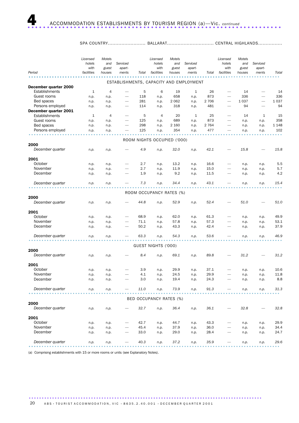### SPA COUNTRY......................... BALLARAT............................... CENTRAL HIGHLANDS................

| ESTABLISHMENTS, CAPACITY AND EMPLOYMENT<br>December quarter 2000<br>Establishments<br>6<br>1<br>$\overline{4}$<br>5<br>19<br>1<br>26<br>14<br>14<br>÷.<br>Guest rooms<br>873<br>336<br>336<br>118<br>658<br>n.p.<br>n.p.<br>n.p.<br>n.p.<br>1 0 3 7<br>1 0 3 7<br>Bed spaces<br>281<br>2 0 6 2<br>2 7 0 6<br>n.p.<br>n.p.<br>n.p.<br>n.p.<br>$\overline{\phantom{0}}$<br>$\overline{\phantom{0}}$<br>Persons employed<br>481<br>94<br>94<br>114<br>318<br>n.p.<br>n.p.<br>n.p.<br>n.p.<br>December quarter 2001<br>Establishments<br>1<br>$\overline{4}$<br>5<br>$\overline{4}$<br>20<br>1<br>25<br>14<br>$\mathbf{1}$<br>15<br>Guest rooms<br>125<br>873<br>358<br>689<br>n.p.<br>n.p.<br>n.p.<br>n.p.<br>n.p.<br>n.p.<br>-<br>Bed spaces<br>298<br>2 160<br>2 7 6 4<br>1 1 4 8<br>n.p.<br>n.p.<br>n.p.<br>n.p.<br>n.p.<br>n.p.<br>$\overline{\phantom{m}}$<br>$\overline{\phantom{0}}$<br>125<br>477<br>102<br>Persons employed<br>354<br>n.p.<br>n.p.<br>n.p.<br>n.p.<br>n.p.<br>n.p.<br>ROOM NIGHTS OCCUPIED ('000)<br>2000<br>December quarter<br>15.8<br>4.9<br>32.0<br>42.1<br>15.8<br>n.p.<br>n.p.<br>n.p.<br>n.p.<br>2001<br>October<br>2.7<br>13.2<br>16.6<br>5.5<br>n.p.<br>n.p.<br>n.p.<br>n.p.<br>n.p.<br>n.p.<br>2.7<br>15.0<br>5.7<br>November<br>11.9<br>n.p.<br>n.p.<br>n.p.<br>n.p.<br>n.p.<br>n.p.<br>December<br>4.2<br>1.9<br>9.2<br>11.5<br>n.p.<br>n.p.<br>n.p.<br>n.p.<br>n.p.<br>n.p.<br>December quarter<br>7.3<br>43.1<br>15.4<br>34.4<br>n.p.<br>n.p.<br>n.p.<br>n.p.<br>n.p.<br>n.p.<br>ROOM OCCUPANCY RATES (%)<br>2000<br>December quarter<br>44.8<br>52.9<br>52.4<br>51.0<br>51.0<br>n.p.<br>n.p.<br>n.p.<br>n.p.<br>2001<br>October<br>68.9<br>62.0<br>61.3<br>49.9<br>n.p.<br>n.p.<br>n.p.<br>n.p.<br>n.p.<br>n.p.<br>57.8<br>57.3<br>53.1<br>November<br>71.1<br>n.p.<br>n.p.<br>n.p.<br>n.p.<br>n.p.<br>n.p.<br>-<br>December<br>50.2<br>42.4<br>43.3<br>37.9<br>n.p.<br>n.p.<br>n.p.<br>n.p.<br>n.p.<br>n.p.<br>46.9<br>December quarter<br>63.3<br>54.3<br>53.6<br>n.p.<br>n.p.<br>n.p.<br>n.p.<br>n.p.<br>n.p.<br>GUEST NIGHTS ('000)<br>2000<br>December quarter<br>8.4<br>89.8<br>31.2<br>31.2<br>69.1<br>n.p.<br>n.p.<br>n.p.<br>n.p.<br>2001<br>October<br>3.9<br>29.9<br>37.1<br>10.6<br>n.p.<br>n.p.<br>n.p.<br>n.p.<br>n.p.<br>n.p.<br>November<br>11.8<br>4.1<br>24.5<br>29.9<br>n.p.<br>n.p.<br>n.p.<br>n.p.<br>n.p.<br>n.p.<br>3.0<br>19.4<br>24.3<br>8.8<br>December<br>n.p.<br>n.p.<br>n.p.<br>n.p.<br>n.p.<br>n.p.<br>December quarter<br>11.0<br>73.9<br>91.3<br>31.3<br>n.p.<br>n.p.<br>n.p.<br>n.p.<br>п.р.<br>n.p.<br>BED OCCUPANCY RATES (%)<br>2000<br>December quarter<br>32.8<br>32.8<br>32.7<br>36.1<br>n.p.<br>36.4<br>n.p.<br>n.p.<br>n.p.<br>2001<br>October<br>42.7<br>44.7<br>43.3<br>29.9<br>n.p.<br>n.p.<br>n.p.<br>n.p.<br>n.p.<br>n.p.<br>November<br>45.4<br>37.9<br>36.0<br>34.4<br>n.p.<br>n.p.<br>n.p.<br>n.p.<br>n.p.<br>n.p.<br>December<br>33.0<br>29.0<br>28.4<br>24.7<br>n.p.<br>n.p.<br>n.p.<br>n.p.<br>n.p.<br>n.p.<br>40.3<br>37.2<br>35.9<br>29.6<br>December quarter<br>n.p.<br>n.p.<br>n.p.<br>n.p.<br>n.p.<br>n.p. | Period | Licensed<br>hotels<br>with<br>facilities | Motels<br>and<br>guest<br>houses | Serviced<br>apart-<br>ments | Total | Licensed<br>hotels<br>with<br>facilities | Motels<br>and<br>guest<br>houses | Serviced<br>apart-<br>ments | Total | Licensed<br>hotels<br>with<br>facilities | Motels<br>and<br>guest<br>houses | Serviced<br>apart-<br>ments | Total |
|----------------------------------------------------------------------------------------------------------------------------------------------------------------------------------------------------------------------------------------------------------------------------------------------------------------------------------------------------------------------------------------------------------------------------------------------------------------------------------------------------------------------------------------------------------------------------------------------------------------------------------------------------------------------------------------------------------------------------------------------------------------------------------------------------------------------------------------------------------------------------------------------------------------------------------------------------------------------------------------------------------------------------------------------------------------------------------------------------------------------------------------------------------------------------------------------------------------------------------------------------------------------------------------------------------------------------------------------------------------------------------------------------------------------------------------------------------------------------------------------------------------------------------------------------------------------------------------------------------------------------------------------------------------------------------------------------------------------------------------------------------------------------------------------------------------------------------------------------------------------------------------------------------------------------------------------------------------------------------------------------------------------------------------------------------------------------------------------------------------------------------------------------------------------------------------------------------------------------------------------------------------------------------------------------------------------------------------------------------------------------------------------------------------------------------------------------------------------------------------------------------------------------------------------------------------------------------------------------------------------------------------------------------------------------------------------------------------------------------------------------------------------------------------------------------------------------------------------------------------------------------------------------------------------------------------------------------------------------------------------------------------------------------------------------------------------------------------------------------|--------|------------------------------------------|----------------------------------|-----------------------------|-------|------------------------------------------|----------------------------------|-----------------------------|-------|------------------------------------------|----------------------------------|-----------------------------|-------|
|                                                                                                                                                                                                                                                                                                                                                                                                                                                                                                                                                                                                                                                                                                                                                                                                                                                                                                                                                                                                                                                                                                                                                                                                                                                                                                                                                                                                                                                                                                                                                                                                                                                                                                                                                                                                                                                                                                                                                                                                                                                                                                                                                                                                                                                                                                                                                                                                                                                                                                                                                                                                                                                                                                                                                                                                                                                                                                                                                                                                                                                                                                          |        |                                          |                                  |                             |       |                                          |                                  |                             |       |                                          |                                  |                             |       |
|                                                                                                                                                                                                                                                                                                                                                                                                                                                                                                                                                                                                                                                                                                                                                                                                                                                                                                                                                                                                                                                                                                                                                                                                                                                                                                                                                                                                                                                                                                                                                                                                                                                                                                                                                                                                                                                                                                                                                                                                                                                                                                                                                                                                                                                                                                                                                                                                                                                                                                                                                                                                                                                                                                                                                                                                                                                                                                                                                                                                                                                                                                          |        |                                          |                                  |                             |       |                                          |                                  |                             |       |                                          |                                  |                             |       |
|                                                                                                                                                                                                                                                                                                                                                                                                                                                                                                                                                                                                                                                                                                                                                                                                                                                                                                                                                                                                                                                                                                                                                                                                                                                                                                                                                                                                                                                                                                                                                                                                                                                                                                                                                                                                                                                                                                                                                                                                                                                                                                                                                                                                                                                                                                                                                                                                                                                                                                                                                                                                                                                                                                                                                                                                                                                                                                                                                                                                                                                                                                          |        |                                          |                                  |                             |       |                                          |                                  |                             |       |                                          |                                  |                             |       |
|                                                                                                                                                                                                                                                                                                                                                                                                                                                                                                                                                                                                                                                                                                                                                                                                                                                                                                                                                                                                                                                                                                                                                                                                                                                                                                                                                                                                                                                                                                                                                                                                                                                                                                                                                                                                                                                                                                                                                                                                                                                                                                                                                                                                                                                                                                                                                                                                                                                                                                                                                                                                                                                                                                                                                                                                                                                                                                                                                                                                                                                                                                          |        |                                          |                                  |                             |       |                                          |                                  |                             |       |                                          |                                  |                             |       |
|                                                                                                                                                                                                                                                                                                                                                                                                                                                                                                                                                                                                                                                                                                                                                                                                                                                                                                                                                                                                                                                                                                                                                                                                                                                                                                                                                                                                                                                                                                                                                                                                                                                                                                                                                                                                                                                                                                                                                                                                                                                                                                                                                                                                                                                                                                                                                                                                                                                                                                                                                                                                                                                                                                                                                                                                                                                                                                                                                                                                                                                                                                          |        |                                          |                                  |                             |       |                                          |                                  |                             |       |                                          |                                  |                             |       |
|                                                                                                                                                                                                                                                                                                                                                                                                                                                                                                                                                                                                                                                                                                                                                                                                                                                                                                                                                                                                                                                                                                                                                                                                                                                                                                                                                                                                                                                                                                                                                                                                                                                                                                                                                                                                                                                                                                                                                                                                                                                                                                                                                                                                                                                                                                                                                                                                                                                                                                                                                                                                                                                                                                                                                                                                                                                                                                                                                                                                                                                                                                          |        |                                          |                                  |                             |       |                                          |                                  |                             |       |                                          |                                  |                             |       |
|                                                                                                                                                                                                                                                                                                                                                                                                                                                                                                                                                                                                                                                                                                                                                                                                                                                                                                                                                                                                                                                                                                                                                                                                                                                                                                                                                                                                                                                                                                                                                                                                                                                                                                                                                                                                                                                                                                                                                                                                                                                                                                                                                                                                                                                                                                                                                                                                                                                                                                                                                                                                                                                                                                                                                                                                                                                                                                                                                                                                                                                                                                          |        |                                          |                                  |                             |       |                                          |                                  |                             |       |                                          |                                  |                             |       |
|                                                                                                                                                                                                                                                                                                                                                                                                                                                                                                                                                                                                                                                                                                                                                                                                                                                                                                                                                                                                                                                                                                                                                                                                                                                                                                                                                                                                                                                                                                                                                                                                                                                                                                                                                                                                                                                                                                                                                                                                                                                                                                                                                                                                                                                                                                                                                                                                                                                                                                                                                                                                                                                                                                                                                                                                                                                                                                                                                                                                                                                                                                          |        |                                          |                                  |                             |       |                                          |                                  |                             |       |                                          |                                  |                             |       |
|                                                                                                                                                                                                                                                                                                                                                                                                                                                                                                                                                                                                                                                                                                                                                                                                                                                                                                                                                                                                                                                                                                                                                                                                                                                                                                                                                                                                                                                                                                                                                                                                                                                                                                                                                                                                                                                                                                                                                                                                                                                                                                                                                                                                                                                                                                                                                                                                                                                                                                                                                                                                                                                                                                                                                                                                                                                                                                                                                                                                                                                                                                          |        |                                          |                                  |                             |       |                                          |                                  |                             |       |                                          |                                  |                             |       |
|                                                                                                                                                                                                                                                                                                                                                                                                                                                                                                                                                                                                                                                                                                                                                                                                                                                                                                                                                                                                                                                                                                                                                                                                                                                                                                                                                                                                                                                                                                                                                                                                                                                                                                                                                                                                                                                                                                                                                                                                                                                                                                                                                                                                                                                                                                                                                                                                                                                                                                                                                                                                                                                                                                                                                                                                                                                                                                                                                                                                                                                                                                          |        |                                          |                                  |                             |       |                                          |                                  |                             |       |                                          |                                  |                             |       |
|                                                                                                                                                                                                                                                                                                                                                                                                                                                                                                                                                                                                                                                                                                                                                                                                                                                                                                                                                                                                                                                                                                                                                                                                                                                                                                                                                                                                                                                                                                                                                                                                                                                                                                                                                                                                                                                                                                                                                                                                                                                                                                                                                                                                                                                                                                                                                                                                                                                                                                                                                                                                                                                                                                                                                                                                                                                                                                                                                                                                                                                                                                          |        |                                          |                                  |                             |       |                                          |                                  |                             |       |                                          |                                  |                             |       |
|                                                                                                                                                                                                                                                                                                                                                                                                                                                                                                                                                                                                                                                                                                                                                                                                                                                                                                                                                                                                                                                                                                                                                                                                                                                                                                                                                                                                                                                                                                                                                                                                                                                                                                                                                                                                                                                                                                                                                                                                                                                                                                                                                                                                                                                                                                                                                                                                                                                                                                                                                                                                                                                                                                                                                                                                                                                                                                                                                                                                                                                                                                          |        |                                          |                                  |                             |       |                                          |                                  |                             |       |                                          |                                  |                             |       |
|                                                                                                                                                                                                                                                                                                                                                                                                                                                                                                                                                                                                                                                                                                                                                                                                                                                                                                                                                                                                                                                                                                                                                                                                                                                                                                                                                                                                                                                                                                                                                                                                                                                                                                                                                                                                                                                                                                                                                                                                                                                                                                                                                                                                                                                                                                                                                                                                                                                                                                                                                                                                                                                                                                                                                                                                                                                                                                                                                                                                                                                                                                          |        |                                          |                                  |                             |       |                                          |                                  |                             |       |                                          |                                  |                             |       |
|                                                                                                                                                                                                                                                                                                                                                                                                                                                                                                                                                                                                                                                                                                                                                                                                                                                                                                                                                                                                                                                                                                                                                                                                                                                                                                                                                                                                                                                                                                                                                                                                                                                                                                                                                                                                                                                                                                                                                                                                                                                                                                                                                                                                                                                                                                                                                                                                                                                                                                                                                                                                                                                                                                                                                                                                                                                                                                                                                                                                                                                                                                          |        |                                          |                                  |                             |       |                                          |                                  |                             |       |                                          |                                  |                             |       |
|                                                                                                                                                                                                                                                                                                                                                                                                                                                                                                                                                                                                                                                                                                                                                                                                                                                                                                                                                                                                                                                                                                                                                                                                                                                                                                                                                                                                                                                                                                                                                                                                                                                                                                                                                                                                                                                                                                                                                                                                                                                                                                                                                                                                                                                                                                                                                                                                                                                                                                                                                                                                                                                                                                                                                                                                                                                                                                                                                                                                                                                                                                          |        |                                          |                                  |                             |       |                                          |                                  |                             |       |                                          |                                  |                             |       |
|                                                                                                                                                                                                                                                                                                                                                                                                                                                                                                                                                                                                                                                                                                                                                                                                                                                                                                                                                                                                                                                                                                                                                                                                                                                                                                                                                                                                                                                                                                                                                                                                                                                                                                                                                                                                                                                                                                                                                                                                                                                                                                                                                                                                                                                                                                                                                                                                                                                                                                                                                                                                                                                                                                                                                                                                                                                                                                                                                                                                                                                                                                          |        |                                          |                                  |                             |       |                                          |                                  |                             |       |                                          |                                  |                             |       |
|                                                                                                                                                                                                                                                                                                                                                                                                                                                                                                                                                                                                                                                                                                                                                                                                                                                                                                                                                                                                                                                                                                                                                                                                                                                                                                                                                                                                                                                                                                                                                                                                                                                                                                                                                                                                                                                                                                                                                                                                                                                                                                                                                                                                                                                                                                                                                                                                                                                                                                                                                                                                                                                                                                                                                                                                                                                                                                                                                                                                                                                                                                          |        |                                          |                                  |                             |       |                                          |                                  |                             |       |                                          |                                  |                             |       |
|                                                                                                                                                                                                                                                                                                                                                                                                                                                                                                                                                                                                                                                                                                                                                                                                                                                                                                                                                                                                                                                                                                                                                                                                                                                                                                                                                                                                                                                                                                                                                                                                                                                                                                                                                                                                                                                                                                                                                                                                                                                                                                                                                                                                                                                                                                                                                                                                                                                                                                                                                                                                                                                                                                                                                                                                                                                                                                                                                                                                                                                                                                          |        |                                          |                                  |                             |       |                                          |                                  |                             |       |                                          |                                  |                             |       |
|                                                                                                                                                                                                                                                                                                                                                                                                                                                                                                                                                                                                                                                                                                                                                                                                                                                                                                                                                                                                                                                                                                                                                                                                                                                                                                                                                                                                                                                                                                                                                                                                                                                                                                                                                                                                                                                                                                                                                                                                                                                                                                                                                                                                                                                                                                                                                                                                                                                                                                                                                                                                                                                                                                                                                                                                                                                                                                                                                                                                                                                                                                          |        |                                          |                                  |                             |       |                                          |                                  |                             |       |                                          |                                  |                             |       |
|                                                                                                                                                                                                                                                                                                                                                                                                                                                                                                                                                                                                                                                                                                                                                                                                                                                                                                                                                                                                                                                                                                                                                                                                                                                                                                                                                                                                                                                                                                                                                                                                                                                                                                                                                                                                                                                                                                                                                                                                                                                                                                                                                                                                                                                                                                                                                                                                                                                                                                                                                                                                                                                                                                                                                                                                                                                                                                                                                                                                                                                                                                          |        |                                          |                                  |                             |       |                                          |                                  |                             |       |                                          |                                  |                             |       |
|                                                                                                                                                                                                                                                                                                                                                                                                                                                                                                                                                                                                                                                                                                                                                                                                                                                                                                                                                                                                                                                                                                                                                                                                                                                                                                                                                                                                                                                                                                                                                                                                                                                                                                                                                                                                                                                                                                                                                                                                                                                                                                                                                                                                                                                                                                                                                                                                                                                                                                                                                                                                                                                                                                                                                                                                                                                                                                                                                                                                                                                                                                          |        |                                          |                                  |                             |       |                                          |                                  |                             |       |                                          |                                  |                             |       |
|                                                                                                                                                                                                                                                                                                                                                                                                                                                                                                                                                                                                                                                                                                                                                                                                                                                                                                                                                                                                                                                                                                                                                                                                                                                                                                                                                                                                                                                                                                                                                                                                                                                                                                                                                                                                                                                                                                                                                                                                                                                                                                                                                                                                                                                                                                                                                                                                                                                                                                                                                                                                                                                                                                                                                                                                                                                                                                                                                                                                                                                                                                          |        |                                          |                                  |                             |       |                                          |                                  |                             |       |                                          |                                  |                             |       |
|                                                                                                                                                                                                                                                                                                                                                                                                                                                                                                                                                                                                                                                                                                                                                                                                                                                                                                                                                                                                                                                                                                                                                                                                                                                                                                                                                                                                                                                                                                                                                                                                                                                                                                                                                                                                                                                                                                                                                                                                                                                                                                                                                                                                                                                                                                                                                                                                                                                                                                                                                                                                                                                                                                                                                                                                                                                                                                                                                                                                                                                                                                          |        |                                          |                                  |                             |       |                                          |                                  |                             |       |                                          |                                  |                             |       |
|                                                                                                                                                                                                                                                                                                                                                                                                                                                                                                                                                                                                                                                                                                                                                                                                                                                                                                                                                                                                                                                                                                                                                                                                                                                                                                                                                                                                                                                                                                                                                                                                                                                                                                                                                                                                                                                                                                                                                                                                                                                                                                                                                                                                                                                                                                                                                                                                                                                                                                                                                                                                                                                                                                                                                                                                                                                                                                                                                                                                                                                                                                          |        |                                          |                                  |                             |       |                                          |                                  |                             |       |                                          |                                  |                             |       |
|                                                                                                                                                                                                                                                                                                                                                                                                                                                                                                                                                                                                                                                                                                                                                                                                                                                                                                                                                                                                                                                                                                                                                                                                                                                                                                                                                                                                                                                                                                                                                                                                                                                                                                                                                                                                                                                                                                                                                                                                                                                                                                                                                                                                                                                                                                                                                                                                                                                                                                                                                                                                                                                                                                                                                                                                                                                                                                                                                                                                                                                                                                          |        |                                          |                                  |                             |       |                                          |                                  |                             |       |                                          |                                  |                             |       |
|                                                                                                                                                                                                                                                                                                                                                                                                                                                                                                                                                                                                                                                                                                                                                                                                                                                                                                                                                                                                                                                                                                                                                                                                                                                                                                                                                                                                                                                                                                                                                                                                                                                                                                                                                                                                                                                                                                                                                                                                                                                                                                                                                                                                                                                                                                                                                                                                                                                                                                                                                                                                                                                                                                                                                                                                                                                                                                                                                                                                                                                                                                          |        |                                          |                                  |                             |       |                                          |                                  |                             |       |                                          |                                  |                             |       |
|                                                                                                                                                                                                                                                                                                                                                                                                                                                                                                                                                                                                                                                                                                                                                                                                                                                                                                                                                                                                                                                                                                                                                                                                                                                                                                                                                                                                                                                                                                                                                                                                                                                                                                                                                                                                                                                                                                                                                                                                                                                                                                                                                                                                                                                                                                                                                                                                                                                                                                                                                                                                                                                                                                                                                                                                                                                                                                                                                                                                                                                                                                          |        |                                          |                                  |                             |       |                                          |                                  |                             |       |                                          |                                  |                             |       |
|                                                                                                                                                                                                                                                                                                                                                                                                                                                                                                                                                                                                                                                                                                                                                                                                                                                                                                                                                                                                                                                                                                                                                                                                                                                                                                                                                                                                                                                                                                                                                                                                                                                                                                                                                                                                                                                                                                                                                                                                                                                                                                                                                                                                                                                                                                                                                                                                                                                                                                                                                                                                                                                                                                                                                                                                                                                                                                                                                                                                                                                                                                          |        |                                          |                                  |                             |       |                                          |                                  |                             |       |                                          |                                  |                             |       |
|                                                                                                                                                                                                                                                                                                                                                                                                                                                                                                                                                                                                                                                                                                                                                                                                                                                                                                                                                                                                                                                                                                                                                                                                                                                                                                                                                                                                                                                                                                                                                                                                                                                                                                                                                                                                                                                                                                                                                                                                                                                                                                                                                                                                                                                                                                                                                                                                                                                                                                                                                                                                                                                                                                                                                                                                                                                                                                                                                                                                                                                                                                          |        |                                          |                                  |                             |       |                                          |                                  |                             |       |                                          |                                  |                             |       |
|                                                                                                                                                                                                                                                                                                                                                                                                                                                                                                                                                                                                                                                                                                                                                                                                                                                                                                                                                                                                                                                                                                                                                                                                                                                                                                                                                                                                                                                                                                                                                                                                                                                                                                                                                                                                                                                                                                                                                                                                                                                                                                                                                                                                                                                                                                                                                                                                                                                                                                                                                                                                                                                                                                                                                                                                                                                                                                                                                                                                                                                                                                          |        |                                          |                                  |                             |       |                                          |                                  |                             |       |                                          |                                  |                             |       |
|                                                                                                                                                                                                                                                                                                                                                                                                                                                                                                                                                                                                                                                                                                                                                                                                                                                                                                                                                                                                                                                                                                                                                                                                                                                                                                                                                                                                                                                                                                                                                                                                                                                                                                                                                                                                                                                                                                                                                                                                                                                                                                                                                                                                                                                                                                                                                                                                                                                                                                                                                                                                                                                                                                                                                                                                                                                                                                                                                                                                                                                                                                          |        |                                          |                                  |                             |       |                                          |                                  |                             |       |                                          |                                  |                             |       |
|                                                                                                                                                                                                                                                                                                                                                                                                                                                                                                                                                                                                                                                                                                                                                                                                                                                                                                                                                                                                                                                                                                                                                                                                                                                                                                                                                                                                                                                                                                                                                                                                                                                                                                                                                                                                                                                                                                                                                                                                                                                                                                                                                                                                                                                                                                                                                                                                                                                                                                                                                                                                                                                                                                                                                                                                                                                                                                                                                                                                                                                                                                          |        |                                          |                                  |                             |       |                                          |                                  |                             |       |                                          |                                  |                             |       |
|                                                                                                                                                                                                                                                                                                                                                                                                                                                                                                                                                                                                                                                                                                                                                                                                                                                                                                                                                                                                                                                                                                                                                                                                                                                                                                                                                                                                                                                                                                                                                                                                                                                                                                                                                                                                                                                                                                                                                                                                                                                                                                                                                                                                                                                                                                                                                                                                                                                                                                                                                                                                                                                                                                                                                                                                                                                                                                                                                                                                                                                                                                          |        |                                          |                                  |                             |       |                                          |                                  |                             |       |                                          |                                  |                             |       |
|                                                                                                                                                                                                                                                                                                                                                                                                                                                                                                                                                                                                                                                                                                                                                                                                                                                                                                                                                                                                                                                                                                                                                                                                                                                                                                                                                                                                                                                                                                                                                                                                                                                                                                                                                                                                                                                                                                                                                                                                                                                                                                                                                                                                                                                                                                                                                                                                                                                                                                                                                                                                                                                                                                                                                                                                                                                                                                                                                                                                                                                                                                          |        |                                          |                                  |                             |       |                                          |                                  |                             |       |                                          |                                  |                             |       |
|                                                                                                                                                                                                                                                                                                                                                                                                                                                                                                                                                                                                                                                                                                                                                                                                                                                                                                                                                                                                                                                                                                                                                                                                                                                                                                                                                                                                                                                                                                                                                                                                                                                                                                                                                                                                                                                                                                                                                                                                                                                                                                                                                                                                                                                                                                                                                                                                                                                                                                                                                                                                                                                                                                                                                                                                                                                                                                                                                                                                                                                                                                          |        |                                          |                                  |                             |       |                                          |                                  |                             |       |                                          |                                  |                             |       |
|                                                                                                                                                                                                                                                                                                                                                                                                                                                                                                                                                                                                                                                                                                                                                                                                                                                                                                                                                                                                                                                                                                                                                                                                                                                                                                                                                                                                                                                                                                                                                                                                                                                                                                                                                                                                                                                                                                                                                                                                                                                                                                                                                                                                                                                                                                                                                                                                                                                                                                                                                                                                                                                                                                                                                                                                                                                                                                                                                                                                                                                                                                          |        |                                          |                                  |                             |       |                                          |                                  |                             |       |                                          |                                  |                             |       |
|                                                                                                                                                                                                                                                                                                                                                                                                                                                                                                                                                                                                                                                                                                                                                                                                                                                                                                                                                                                                                                                                                                                                                                                                                                                                                                                                                                                                                                                                                                                                                                                                                                                                                                                                                                                                                                                                                                                                                                                                                                                                                                                                                                                                                                                                                                                                                                                                                                                                                                                                                                                                                                                                                                                                                                                                                                                                                                                                                                                                                                                                                                          |        |                                          |                                  |                             |       |                                          |                                  |                             |       |                                          |                                  |                             |       |
|                                                                                                                                                                                                                                                                                                                                                                                                                                                                                                                                                                                                                                                                                                                                                                                                                                                                                                                                                                                                                                                                                                                                                                                                                                                                                                                                                                                                                                                                                                                                                                                                                                                                                                                                                                                                                                                                                                                                                                                                                                                                                                                                                                                                                                                                                                                                                                                                                                                                                                                                                                                                                                                                                                                                                                                                                                                                                                                                                                                                                                                                                                          |        |                                          |                                  |                             |       |                                          |                                  |                             |       |                                          |                                  |                             |       |
|                                                                                                                                                                                                                                                                                                                                                                                                                                                                                                                                                                                                                                                                                                                                                                                                                                                                                                                                                                                                                                                                                                                                                                                                                                                                                                                                                                                                                                                                                                                                                                                                                                                                                                                                                                                                                                                                                                                                                                                                                                                                                                                                                                                                                                                                                                                                                                                                                                                                                                                                                                                                                                                                                                                                                                                                                                                                                                                                                                                                                                                                                                          |        |                                          |                                  |                             |       |                                          |                                  |                             |       |                                          |                                  |                             |       |
|                                                                                                                                                                                                                                                                                                                                                                                                                                                                                                                                                                                                                                                                                                                                                                                                                                                                                                                                                                                                                                                                                                                                                                                                                                                                                                                                                                                                                                                                                                                                                                                                                                                                                                                                                                                                                                                                                                                                                                                                                                                                                                                                                                                                                                                                                                                                                                                                                                                                                                                                                                                                                                                                                                                                                                                                                                                                                                                                                                                                                                                                                                          |        |                                          |                                  |                             |       |                                          |                                  |                             |       |                                          |                                  |                             |       |
|                                                                                                                                                                                                                                                                                                                                                                                                                                                                                                                                                                                                                                                                                                                                                                                                                                                                                                                                                                                                                                                                                                                                                                                                                                                                                                                                                                                                                                                                                                                                                                                                                                                                                                                                                                                                                                                                                                                                                                                                                                                                                                                                                                                                                                                                                                                                                                                                                                                                                                                                                                                                                                                                                                                                                                                                                                                                                                                                                                                                                                                                                                          |        |                                          |                                  |                             |       |                                          |                                  |                             |       |                                          |                                  |                             |       |
|                                                                                                                                                                                                                                                                                                                                                                                                                                                                                                                                                                                                                                                                                                                                                                                                                                                                                                                                                                                                                                                                                                                                                                                                                                                                                                                                                                                                                                                                                                                                                                                                                                                                                                                                                                                                                                                                                                                                                                                                                                                                                                                                                                                                                                                                                                                                                                                                                                                                                                                                                                                                                                                                                                                                                                                                                                                                                                                                                                                                                                                                                                          |        |                                          |                                  |                             |       |                                          |                                  |                             |       |                                          |                                  |                             |       |
|                                                                                                                                                                                                                                                                                                                                                                                                                                                                                                                                                                                                                                                                                                                                                                                                                                                                                                                                                                                                                                                                                                                                                                                                                                                                                                                                                                                                                                                                                                                                                                                                                                                                                                                                                                                                                                                                                                                                                                                                                                                                                                                                                                                                                                                                                                                                                                                                                                                                                                                                                                                                                                                                                                                                                                                                                                                                                                                                                                                                                                                                                                          |        |                                          |                                  |                             |       |                                          |                                  |                             |       |                                          |                                  |                             |       |
|                                                                                                                                                                                                                                                                                                                                                                                                                                                                                                                                                                                                                                                                                                                                                                                                                                                                                                                                                                                                                                                                                                                                                                                                                                                                                                                                                                                                                                                                                                                                                                                                                                                                                                                                                                                                                                                                                                                                                                                                                                                                                                                                                                                                                                                                                                                                                                                                                                                                                                                                                                                                                                                                                                                                                                                                                                                                                                                                                                                                                                                                                                          |        |                                          |                                  |                             |       |                                          |                                  |                             |       |                                          |                                  |                             |       |
|                                                                                                                                                                                                                                                                                                                                                                                                                                                                                                                                                                                                                                                                                                                                                                                                                                                                                                                                                                                                                                                                                                                                                                                                                                                                                                                                                                                                                                                                                                                                                                                                                                                                                                                                                                                                                                                                                                                                                                                                                                                                                                                                                                                                                                                                                                                                                                                                                                                                                                                                                                                                                                                                                                                                                                                                                                                                                                                                                                                                                                                                                                          |        |                                          |                                  |                             |       |                                          |                                  |                             |       |                                          |                                  |                             |       |
|                                                                                                                                                                                                                                                                                                                                                                                                                                                                                                                                                                                                                                                                                                                                                                                                                                                                                                                                                                                                                                                                                                                                                                                                                                                                                                                                                                                                                                                                                                                                                                                                                                                                                                                                                                                                                                                                                                                                                                                                                                                                                                                                                                                                                                                                                                                                                                                                                                                                                                                                                                                                                                                                                                                                                                                                                                                                                                                                                                                                                                                                                                          |        |                                          |                                  |                             |       |                                          |                                  |                             |       |                                          |                                  |                             |       |
|                                                                                                                                                                                                                                                                                                                                                                                                                                                                                                                                                                                                                                                                                                                                                                                                                                                                                                                                                                                                                                                                                                                                                                                                                                                                                                                                                                                                                                                                                                                                                                                                                                                                                                                                                                                                                                                                                                                                                                                                                                                                                                                                                                                                                                                                                                                                                                                                                                                                                                                                                                                                                                                                                                                                                                                                                                                                                                                                                                                                                                                                                                          |        |                                          |                                  |                             |       |                                          |                                  |                             |       |                                          |                                  |                             |       |
|                                                                                                                                                                                                                                                                                                                                                                                                                                                                                                                                                                                                                                                                                                                                                                                                                                                                                                                                                                                                                                                                                                                                                                                                                                                                                                                                                                                                                                                                                                                                                                                                                                                                                                                                                                                                                                                                                                                                                                                                                                                                                                                                                                                                                                                                                                                                                                                                                                                                                                                                                                                                                                                                                                                                                                                                                                                                                                                                                                                                                                                                                                          |        |                                          |                                  |                             |       |                                          |                                  |                             |       |                                          |                                  |                             |       |
|                                                                                                                                                                                                                                                                                                                                                                                                                                                                                                                                                                                                                                                                                                                                                                                                                                                                                                                                                                                                                                                                                                                                                                                                                                                                                                                                                                                                                                                                                                                                                                                                                                                                                                                                                                                                                                                                                                                                                                                                                                                                                                                                                                                                                                                                                                                                                                                                                                                                                                                                                                                                                                                                                                                                                                                                                                                                                                                                                                                                                                                                                                          |        |                                          |                                  |                             |       |                                          |                                  |                             |       |                                          |                                  |                             |       |

(a) Comprising establishments with 15 or more rooms or units (see Explanatory Notes).

.......................................................................................... 20 A B S • TOURIST A C COMMODATION, VIC • 8635.2.40.001 • DECEMBER QUARTER 2001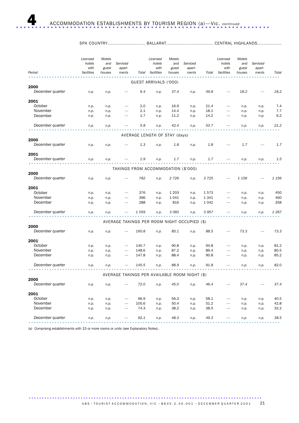| Period           | Licensed<br>hotels<br>with<br>facilities | Motels<br>and<br>guest<br>houses | Serviced<br>apart-<br>ments                   | Total | Licensed<br>hotels<br>with<br>facilities | Motels<br>and<br>guest<br>houses | Serviced<br>apart-<br>ments | Total   | Licensed<br>hotels<br>with<br>facilities | Motels<br>and<br>guest<br>houses | Serviced<br>apart-<br>ments | Total   |
|------------------|------------------------------------------|----------------------------------|-----------------------------------------------|-------|------------------------------------------|----------------------------------|-----------------------------|---------|------------------------------------------|----------------------------------|-----------------------------|---------|
|                  |                                          |                                  |                                               |       | GUEST ARRIVALS ('000)                    |                                  |                             |         |                                          |                                  |                             |         |
| 2000             |                                          |                                  |                                               |       |                                          |                                  |                             |         |                                          |                                  |                             |         |
| December quarter | n.p.                                     | n.p.                             |                                               | 6.4   | n.p.                                     | 37.4                             | n.p.                        | 49.8    |                                          | 18.2                             |                             | 18.2    |
| 2001             |                                          |                                  |                                               |       |                                          |                                  |                             |         |                                          |                                  |                             |         |
| October          | n.p.                                     | n.p.                             |                                               | 2.0   | n.p.                                     | 16.9                             | n.p.                        | 21.4    |                                          | n.p.                             | n.p.                        | 7.4     |
| November         | n.p.                                     | n.p.                             |                                               | 2.1   | n.p.                                     | 14.4                             | n.p.                        | 18.1    |                                          | n.p.                             | n.p.                        | 7.7     |
| December         | n.p.                                     | n.p.                             |                                               | 1.7   | n.p.                                     | 11.2                             | n.p.                        | 14.2    |                                          | n.p.                             | n.p.                        | 6.2     |
| December quarter | n.p.                                     | n.p.                             |                                               | 5.8   | n.p.                                     | 42.4                             | n.p.                        | 53.7    |                                          | n.p.                             | n.p.                        | 21.2    |
|                  |                                          |                                  |                                               |       | AVERAGE LENGTH OF STAY (days)            |                                  |                             |         |                                          |                                  |                             |         |
| 2000             |                                          |                                  |                                               |       |                                          |                                  |                             |         |                                          |                                  |                             |         |
| December quarter | n.p.                                     | n.p.                             |                                               | 1.3   | n.p.                                     | 1.8                              | n.p.                        | 1.8     |                                          | 1.7                              |                             | 1.7     |
| 2001             |                                          |                                  |                                               |       |                                          |                                  |                             |         |                                          |                                  |                             |         |
| December quarter | n.p.                                     | n.p.                             |                                               | 1.9   | n.p.                                     | 1.7                              | n.p.                        | 1.7     |                                          | n.p.                             | n.p.                        | 1.5     |
|                  |                                          |                                  | TAKINGS FROM ACCOMMODATION (\$'000)           |       |                                          |                                  |                             |         |                                          |                                  |                             |         |
| 2000             |                                          |                                  |                                               |       |                                          |                                  |                             |         |                                          |                                  |                             |         |
| December quarter | n.p.                                     | n.p.                             |                                               | 782   | n.p.                                     | 2 7 2 6                          | n.p.                        | 3725    |                                          | 1 1 5 6                          |                             | 1 1 5 6 |
| 2001             |                                          |                                  |                                               |       |                                          |                                  |                             |         |                                          |                                  |                             |         |
| October          | n.p.                                     | n.p.                             |                                               | 376   | n.p.                                     | 1 2 0 3                          | n.p.                        | 1573    |                                          | n.p.                             | n.p.                        | 450     |
| November         | n.p.                                     | n.p.                             |                                               | 396   | n.p.                                     | 1041                             | n.p.                        | 1 3 4 1 |                                          | n.p.                             | n.p.                        | 460     |
| December         | n.p.                                     | n.p.                             |                                               | 288   | n.p.                                     | 816                              | n.p.                        | 1 0 4 2 |                                          | n.p.                             | n.p.                        | 358     |
| December quarter | n.p.                                     | n.p.                             |                                               | 1059  | n.p.                                     | 3 0 6 0                          | n.p.                        | 3957    |                                          | n.p.                             | n.p.                        | 1 2 6 7 |
|                  |                                          |                                  | AVERAGE TAKINGS PER ROOM NIGHT OCCUPIED (\$)  |       |                                          |                                  |                             |         |                                          |                                  |                             |         |
| 2000             |                                          |                                  |                                               |       |                                          |                                  |                             |         |                                          |                                  |                             |         |
| December quarter | n.p.                                     | n.p.                             |                                               | 160.8 | n.p.                                     | 85.1                             | n.p.                        | 88.5    |                                          | 73.3                             |                             | 73.3    |
| 2001             |                                          |                                  |                                               |       |                                          |                                  |                             |         |                                          |                                  |                             |         |
| October          | n.p.                                     | n.p.                             |                                               | 140.7 | n.p.                                     | 90.8                             | n.p.                        | 94.8    |                                          | n.p.                             | n.p.                        | 81.2    |
| November         | n.p.                                     | n.p.                             |                                               | 148.6 | n.p.                                     | 87.2                             | n.p.                        | 89.4    |                                          | n.p.                             | n.p.                        | 80.5    |
| December         | n.p.                                     | n.p.                             | -                                             | 147.8 | n.p.                                     | 88.4                             | n.p.                        | 90.8    |                                          | n.p.                             | n.p.                        | 85.2    |
| December quarter | n.p.                                     | n.p.                             |                                               | 145.5 | n.p.                                     | 88.9                             | n.p.                        | 91.8    |                                          | n.p.                             | n.p.                        | 82.0    |
|                  |                                          |                                  | AVERAGE TAKINGS PER AVAILABLE ROOM NIGHT (\$) |       |                                          |                                  |                             |         |                                          |                                  |                             |         |
| 2000             |                                          |                                  |                                               |       |                                          |                                  |                             |         |                                          |                                  |                             |         |
| December quarter | n.p.                                     | n.p.                             |                                               | 72.0  | n.p.                                     | 45.0                             | n.p.                        | 46.4    |                                          | 37.4                             |                             | 37.4    |
| 2001             |                                          |                                  |                                               |       |                                          |                                  |                             |         |                                          |                                  |                             |         |
| October          | n.p.                                     | n.p.                             |                                               | 96.9  | n.p.                                     | 56.3                             | n.p.                        | 58.1    |                                          | n.p.                             | n.p.                        | 40.5    |
| November         | n.p.                                     | n.p.                             |                                               | 105.6 | n.p.                                     | 50.4                             | n.p.                        | 51.2    |                                          | n.p.                             | n.p.                        | 42.8    |
| December         | n.p.                                     | n.p.                             |                                               | 74.3  | n.p.                                     | 38.2                             | n.p.                        | 38.5    |                                          | n.p.                             | n.p.                        | 32.2    |
| December quarter | n.p.                                     | n.p.                             |                                               | 92.1  | n.p.                                     | 48.3                             | n.p.                        | 49.3    |                                          | n.p.                             | n.p.                        | 38.5    |
|                  |                                          |                                  |                                               |       |                                          |                                  |                             |         |                                          |                                  |                             |         |

SPA COUNTRY......................... BALLARAT............................... CENTRAL HIGHLANDS................

(a) Comprising establishments with 15 or more rooms or units (see Explanatory Notes).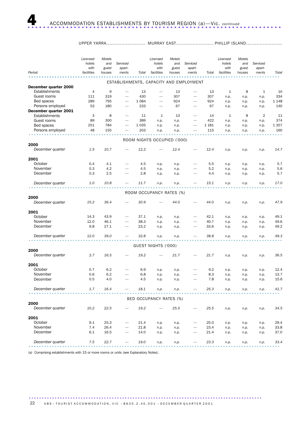### UPPER YARRA.......................... MURRAY EAST......................... PHILLIP ISLAND........................

|                                         | Licensed<br>hotels<br>with | Motels<br>and<br>guest | Serviced<br>apart-       |            | Licensed<br>hotels<br>with  | Motels<br>and<br>guest | Serviced<br>apart-                      |            | Licensed<br>hotels<br>with | Motels<br>and<br>guest | Serviced<br>apart- |              |
|-----------------------------------------|----------------------------|------------------------|--------------------------|------------|-----------------------------|------------------------|-----------------------------------------|------------|----------------------------|------------------------|--------------------|--------------|
| Period                                  | facilities                 | houses                 | ments                    | Total      | facilities                  | houses                 | ments                                   | Total      | facilities                 | houses                 | ments              | Total        |
|                                         |                            |                        |                          |            |                             |                        | ESTABLISHMENTS, CAPACITY AND EMPLOYMENT |            |                            |                        |                    |              |
| December quarter 2000<br>Establishments | $\overline{4}$             | 9                      | -                        | 13         | $\overline{\phantom{0}}$    | 13                     |                                         | 13         | 1                          | 8                      | $\mathbf{1}$       | 10           |
| Guest rooms                             | 111                        | 319                    |                          | 430        |                             | 307                    | $\overline{\phantom{0}}$                | 307        | n.p.                       | n.p.                   | n.p.               | 334          |
| Bed spaces                              | 289                        | 795                    |                          | 1 0 8 4    |                             | 924                    | $\overline{\phantom{0}}$                | 924        | n.p.                       | n.p.                   | n.p.               | 1 1 4 8      |
| Persons employed                        | 53                         | 180                    |                          | 233        |                             | 67                     |                                         | 67         | n.p.                       | n.p.                   | n.p.               | 140          |
| December quarter 2001<br>Establishments | 3                          | 8                      | $\overline{\phantom{0}}$ | 11         | 1                           | 13                     |                                         | 14         | 1                          | 8                      | $\overline{2}$     | 11           |
| Guest rooms                             | 89                         | 300                    |                          | 389        | n.p.                        | n.p.                   |                                         | 422        | n.p.                       | n.p.                   | n.p.               | 374          |
| Bed spaces                              | 251                        | 784                    |                          | 1 0 3 5    | n.p.                        | n.p.                   | $\overline{\phantom{0}}$                | 1 1 8 1    | n.p.                       | n.p.                   | n.p.               | 1 3 5 7      |
| Persons employed                        | 48                         | 155                    |                          | 203        | n.p.                        | n.p.                   |                                         | 115        | n.p.                       | n.p.                   | n.p.               | 160          |
|                                         |                            |                        |                          |            |                             |                        |                                         |            |                            |                        |                    |              |
|                                         |                            |                        |                          |            | ROOM NIGHTS OCCUPIED ('000) |                        |                                         |            |                            |                        |                    |              |
| 2000                                    |                            |                        |                          |            |                             |                        |                                         |            |                            |                        |                    |              |
| December quarter                        | 1.5                        | 10.7                   |                          | 12.2       |                             | 12.4                   |                                         | 12.4       | n.p.                       | n.p.                   | n.p.               | 14.7         |
| 2001                                    |                            |                        |                          |            |                             |                        |                                         |            |                            |                        |                    |              |
| October                                 | 0.4                        | 4.1                    |                          | 4.5        | n.p.                        | n.p.                   |                                         | 5.5        | n.p.                       | n.p.                   | n.p.               | 5.7          |
| November                                | 0.3                        | 4.2                    |                          | 4.5        | n.p.                        | n.p.                   | $\overline{\phantom{0}}$                | 5.2        | n.p.                       | n.p.                   | n.p.               | 5.6          |
| December                                | 0.3                        | 2.5                    |                          | 2.8        | n.p.                        | n.p.                   |                                         | 4.4        | n.p.                       | n.p.                   | n.p.               | 5.7          |
| December quarter                        | 1.0                        | 10.8                   |                          | 11.7       | n.p.                        | n.p.                   |                                         | 15.1       | n.p.                       | n.p.                   | n.p.               | 17.0         |
|                                         |                            |                        |                          |            |                             |                        |                                         |            |                            |                        |                    |              |
| 2000                                    |                            |                        |                          |            | ROOM OCCUPANCY RATES (%)    |                        |                                         |            |                            |                        |                    |              |
| December quarter                        | 15.2                       | 36.4                   |                          | 30.9       |                             | 44.0                   |                                         | 44.0       | n.p.                       | n.p.                   | n.p.               | 47.9         |
|                                         |                            |                        |                          |            |                             |                        |                                         |            |                            |                        |                    |              |
| 2001                                    |                            |                        |                          |            |                             |                        |                                         |            |                            |                        |                    |              |
| October                                 | 14.3                       | 43.9                   |                          | 37.1       | n.p.                        | n.p.                   |                                         | 42.1       | n.p.                       | n.p.                   | n.p.               | 49.1         |
| November                                | 12.0                       | 46.1                   | -                        | 38.3       | n.p.                        | n.p.                   |                                         | 40.7       | n.p.                       | n.p.                   | n.p.               | 49.6         |
| December                                | 9.8                        | 27.1                   |                          | 23.2       | n.p.                        | n.p.                   |                                         | 33.6       | n.p.                       | n.p.                   | n.p.               | 49.2         |
| December quarter                        | 12.0                       | 39.0                   |                          | 32.8       | n.p.                        | n.p.                   |                                         | 38.8       | n.p.                       | n.p.                   | n.p.               | 49.3         |
|                                         |                            |                        |                          |            |                             |                        |                                         |            |                            |                        |                    |              |
| 2000                                    |                            |                        |                          |            | GUEST NIGHTS ('000)         |                        |                                         |            |                            |                        |                    |              |
| December quarter                        | 2.7                        | 16.5                   |                          | 19.2       |                             | 21.7                   |                                         | 21.7       | n.p.                       | n.p.                   | n.p.               | 36.5         |
|                                         |                            |                        |                          |            |                             |                        |                                         |            |                            |                        |                    |              |
| 2001                                    |                            |                        |                          |            |                             |                        |                                         |            |                            |                        |                    |              |
| October<br>November                     | 0.7                        | 6.2<br>6.2             |                          | 6.9        | n.p.                        | n.p.                   |                                         | 9.2        | n.p.                       | n.p.                   | n.p.               | 12.4<br>13.7 |
| December                                | 0.6<br>0.5                 | 4.0                    |                          | 6.8<br>4.5 | n.p.<br>n.p.                | n.p.<br>n.p.           |                                         | 8.3<br>7.8 | n.p.<br>n.p.               | n.p.<br>n.p.           | n.p.<br>n.p.       | 15.6         |
|                                         |                            |                        |                          |            |                             |                        |                                         |            |                            |                        |                    |              |
| December quarter                        | 1.7                        | 16.4                   |                          | 18.1       | n.p.                        | n.p.                   |                                         | 25.3       | n.p.                       | n.p.                   | n.p.               | 41.7         |
|                                         |                            |                        |                          |            | BED OCCUPANCY RATES (%)     |                        |                                         |            |                            |                        |                    |              |
| 2000                                    |                            |                        |                          |            |                             |                        |                                         |            |                            |                        |                    |              |
| December quarter                        | 10.2                       | 22.5                   |                          | 19.2       |                             | 25.5                   |                                         | 25.5       | n.p.                       | n.p.                   | n.p.               | 34.5         |
| 2001                                    |                            |                        |                          |            |                             |                        |                                         |            |                            |                        |                    |              |
| October                                 | 9.1                        | 25.3                   |                          | 21.4       | n.p.                        | n.p.                   |                                         | 25.0       | n.p.                       | n.p.                   | n.p.               | 29.4         |
| November                                | 7.4                        | 26.4                   |                          | 21.8       | n.p.                        | n.p.                   |                                         | 23.4       | n.p.                       | n.p.                   | n.p.               | 33.8         |
| December                                | 6.1                        | 16.5                   |                          | 14.0       | n.p.                        | n.p.                   |                                         | 21.4       | n.p.                       | n.p.                   | n.p.               | 37.0         |
| December quarter                        | 7.5                        | 22.7                   |                          | 19.0       | n.p.                        | n.p.                   |                                         | 23.3       | n.p.                       | n.p.                   | n.p.               | 33.4         |
|                                         |                            |                        |                          |            |                             |                        |                                         |            |                            |                        |                    |              |

(a) Comprising establishments with 15 or more rooms or units (see Explanatory Notes).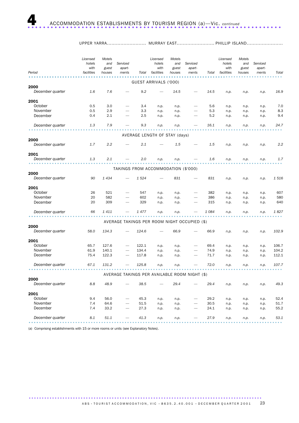| UPPER YARRA |  |
|-------------|--|
|             |  |

| Period           | Licensed<br>hotels<br>with<br>facilities | Motels<br>and<br>guest<br>houses | Serviced<br>apart-<br>ments                   | Total | Licensed<br>hotels<br>with<br>facilities | Motels<br>and<br>guest<br>houses | Serviced<br>apart-<br>ments | Total   | Licensed<br>hotels<br>with<br>facilities | Motels<br>and<br>guest<br>houses | Serviced<br>apart-<br>ments | Total |
|------------------|------------------------------------------|----------------------------------|-----------------------------------------------|-------|------------------------------------------|----------------------------------|-----------------------------|---------|------------------------------------------|----------------------------------|-----------------------------|-------|
|                  |                                          |                                  |                                               |       |                                          |                                  |                             |         |                                          |                                  |                             |       |
| 2000             |                                          |                                  |                                               |       | GUEST ARRIVALS ('000)                    |                                  |                             |         |                                          |                                  |                             |       |
| December quarter | 1.6                                      | 7.6                              |                                               | 9.2   |                                          | 14.5                             |                             | 14.5    | n.p.                                     | n.p.                             | n.p.                        | 16.9  |
| 2001             |                                          |                                  |                                               |       |                                          |                                  |                             |         |                                          |                                  |                             |       |
| October          | 0.5                                      | 3.0                              |                                               | 3.4   | n.p.                                     | n.p.                             |                             | 5.6     | n.p.                                     | n.p.                             | n.p.                        | 7.0   |
| November         | 0.5                                      | 2.9                              |                                               | 3.3   | n.p.                                     | n.p.                             |                             | 5.3     | n.p.                                     | n.p.                             | n.p.                        | 8.3   |
| December         | 0.4                                      | 2.1                              |                                               | 2.5   | n.p.                                     | n.p.                             |                             | 5.2     | n.p.                                     | n.p.                             | n.p.                        | 9.4   |
| December quarter | 1.3                                      | 7.9                              |                                               | 9.3   | n.p.                                     | n.p.                             |                             | 16.1    | n.p.                                     | n.p.                             | n.p.                        | 24.7  |
|                  |                                          |                                  |                                               |       |                                          |                                  |                             |         |                                          |                                  |                             |       |
| 2000             |                                          |                                  |                                               |       | AVERAGE LENGTH OF STAY (days)            |                                  |                             |         |                                          |                                  |                             |       |
| December quarter | 1.7                                      | 2.2                              |                                               | 2.1   |                                          | 1.5                              |                             | 1.5     | n.p.                                     | n.p.                             | n.p.                        | 2.2   |
| 2001             |                                          |                                  |                                               |       |                                          |                                  |                             |         |                                          |                                  |                             |       |
| December quarter | 1.3                                      | 2.1                              |                                               | 2.0   | n.p.                                     | n.p.                             |                             | 1.6     | n.p.                                     | n.p.                             | n.p.                        | 1.7   |
|                  |                                          |                                  | TAKINGS FROM ACCOMMODATION (\$'000)           |       |                                          |                                  |                             |         |                                          |                                  |                             |       |
| 2000             |                                          |                                  |                                               |       |                                          |                                  |                             |         |                                          |                                  |                             |       |
| December quarter | 90                                       | 1434                             |                                               | 1524  |                                          | 831                              |                             | 831     | n.p.                                     | n.p.                             | n.p.                        | 1516  |
| 2001             |                                          |                                  |                                               |       |                                          |                                  |                             |         |                                          |                                  |                             |       |
| October          | 26                                       | 521                              |                                               | 547   | n.p.                                     | n.p.                             |                             | 382     | n.p.                                     | n.p.                             | n.p.                        | 607   |
| November         | 20                                       | 582                              |                                               | 602   | n.p.                                     | n.p.                             |                             | 386     | n.p.                                     | n.p.                             | n.p.                        | 580   |
| December         | 20                                       | 309                              |                                               | 329   | n.p.                                     | n.p.                             |                             | 315     | n.p.                                     | n.p.                             | n.p.                        | 640   |
| December quarter | 66                                       | 1411                             |                                               | 1 477 | n.p.                                     | n.p.                             |                             | 1 0 8 4 | n.p.                                     | n.p.                             | n.p.                        | 1827  |
|                  |                                          |                                  | AVERAGE TAKINGS PER ROOM NIGHT OCCUPIED (\$)  |       |                                          |                                  |                             |         |                                          |                                  |                             |       |
| 2000             |                                          |                                  |                                               |       |                                          |                                  |                             |         |                                          |                                  |                             |       |
| December quarter | 58.0                                     | 134.3                            |                                               | 124.6 |                                          | 66.9                             |                             | 66.9    | n.p.                                     | n.p.                             | n.p.                        | 102.9 |
| 2001             |                                          |                                  |                                               |       |                                          |                                  |                             |         |                                          |                                  |                             |       |
| October          | 65.7                                     | 127.6                            |                                               | 122.1 | n.p.                                     | n.p.                             |                             | 69.4    | n.p.                                     | n.p.                             | n.p.                        | 106.7 |
| November         | 61.9                                     | 140.1                            |                                               | 134.4 | n.p.                                     | n.p.                             |                             | 74.9    | n.p.                                     | n.p.                             | n.p.                        | 104.2 |
| December         | 75.4                                     | 122.3                            |                                               | 117.8 | n.p.                                     | n.p.                             |                             | 71.7    | n.p.                                     | n.p.                             | n.p.                        | 112.1 |
| December quarter | 67.1                                     | 131.2                            |                                               | 125.8 | n.p.                                     | n.p.                             |                             | 72.0    | n.p.                                     | n.p.                             | n.p.                        | 107.7 |
|                  |                                          |                                  | AVERAGE TAKINGS PER AVAILABLE ROOM NIGHT (\$) |       |                                          |                                  |                             |         |                                          |                                  |                             |       |
| 2000             |                                          |                                  |                                               |       |                                          |                                  |                             |         |                                          |                                  |                             |       |
| December quarter | 8.8                                      | 48.9                             |                                               | 38.5  |                                          | 29.4                             |                             | 29.4    | n.p.                                     | n.p.                             | n.p.                        | 49.3  |
| 2001             |                                          |                                  |                                               |       |                                          |                                  |                             |         |                                          |                                  |                             |       |
| October          | 9.4                                      | 56.0                             |                                               | 45.3  | n.p.                                     | n.p.                             |                             | 29.2    | n.p.                                     | n.p.                             | n.p.                        | 52.4  |
| November         | 7.4                                      | 64.6                             |                                               | 51.5  | n.p.                                     | n.p.                             |                             | 30.5    | n.p.                                     | n.p.                             | n.p.                        | 51.7  |
| December         | 7.4                                      | 33.2                             |                                               | 27.3  | n.p.                                     | n.p.                             |                             | 24.1    | n.p.                                     | n.p.                             | n.p.                        | 55.2  |
| December quarter | 8.1                                      | 51.1                             |                                               | 41.3  | n.p.                                     | n.p.                             |                             | 27.9    | n.p.                                     | n.p.                             | n.p.                        | 53.1  |

(a) Comprising establishments with 15 or more rooms or units (see Explanatory Notes).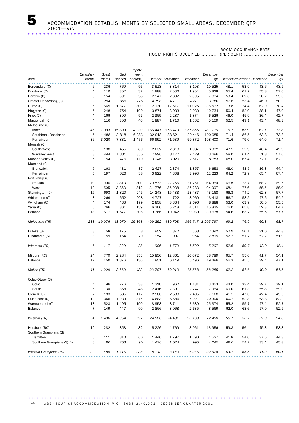### ROOM OCCUPANCY RATE

|                            |                |                 |         | Employ-                                                                                                                |          |                  |          |                   |           |      |                           |              |
|----------------------------|----------------|-----------------|---------|------------------------------------------------------------------------------------------------------------------------|----------|------------------|----------|-------------------|-----------|------|---------------------------|--------------|
|                            | Establish-     | Guest           | Bed     | ment                                                                                                                   |          |                  |          | December          |           |      |                           | December     |
| Area                       | ments          | rooms           | spaces  | (persons)                                                                                                              |          | October November | December | qtr               |           |      | October November December | qtr          |
| Boroondara (C)             | 6              | 236             | 769     | 56                                                                                                                     | 3518     | 3814             | 3 1 9 3  | 10 525            | 48.1      | 53.9 | 43.6                      | 48.5         |
| Brimbank (C)               | 4              | 110             | 302     | 37                                                                                                                     | 1888     | 2 0 3 6          | 1904     | 5828              | 55.4      | 61.7 | 55.8                      | 57.6         |
| Darebin (C)                | 5              | 154             | 391     | 58                                                                                                                     | 2 5 4 7  | 2892             | 2 3 9 5  | 7834              | 53.4      | 62.6 | 50.2                      | 55.3         |
| Greater Dandenong (C)      | 9              | 294             | 855     | 225                                                                                                                    | 4798     | 4 7 1 1          | 4 2 7 1  | 13 780            | 52.6      | 53.4 | 46.9                      | 50.9         |
| Hume (C)                   | 6              | 565             | 1377    | 300                                                                                                                    | 12 930   | 12 617           | 11 0 25  | 36 572            | 73.8      | 74.4 | 62.9                      | 70.4         |
| Kingston (C)               | 5              | 248             | 754     | 199                                                                                                                    | 3871     | 3933             | 2 9 3 0  | 10 7 34           | 50.4      | 52.9 | 38.1                      | 47.0         |
| Knox (C)                   | 4              | 166             | 390     | 57                                                                                                                     | 2 3 6 5  | 2 2 8 7          | 1874     | 6526              | 46.0      | 45.9 | 36.4                      | 42.7         |
| Maroondah (C)              | 4              | 116             | 306     | 40                                                                                                                     | 1887     | 1710             | 1562     | 5 1 5 9           | 52.5      | 49.1 | 43.4                      | 48.3         |
| Melbourne (C)              |                |                 |         |                                                                                                                        |          |                  |          |                   |           |      |                           |              |
| Inner                      | 46             | 7 0 9 3         | 15 899  | 4 0 3 0                                                                                                                | 165 447  | 178 473          | 137 855  | 481 775           | 75.2      | 83.9 | 62.7                      | 73.8         |
| Southbank-Docklands        | 5              | 1 4 8 8         | 3818    | 6 0 83                                                                                                                 | 32 918   | 38 621           | 29 4 4 6 | 100 985           | 71.4      | 86.5 | 63.8                      | 73.8         |
| Remainder                  | 36             | 3 0 2 0         | 7831    | 1476                                                                                                                   | 66 992   | 71 539           | 59872    | 198 403           | 71.6      | 79.0 | 64.0                      | 71.4         |
| Monash (C)                 |                |                 |         |                                                                                                                        |          |                  |          |                   |           |      |                           |              |
| South-West                 | 6              | 138             | 455     | 89                                                                                                                     | 2 0 3 2  | 2 3 1 3          | 1987     | 6 3 3 2           | 47.5      | 55.9 | 46.4                      | 49.9         |
| <b>Waverley West</b>       | 8              | 444             | 1 3 3 1 | 335                                                                                                                    | 7 9 9 0  | 8 1 7 7          | 7 1 2 9  | 23 29 6           | 58.0      | 61.4 | 51.8                      | 57.0         |
| Moonee Valley (C)          | 5              | 154             | 476     | 119                                                                                                                    | 3 2 4 6  | 3 0 2 0          | 2517     | 8783              | 68.0      | 65.4 | 52.7                      | 62.0         |
| Moreland (C)               |                |                 |         |                                                                                                                        |          |                  |          |                   |           |      |                           |              |
| <b>Brunswick</b>           | 5              | 163             | 431     | 37                                                                                                                     | 2 4 2 7  | 2 3 7 4          | 1857     | 6658              | 48.0      | 48.5 | 36.8                      | 44.4         |
|                            | 5              |                 |         |                                                                                                                        | 3922     |                  |          |                   |           |      |                           |              |
| Remainder                  |                | 197             | 626     | 38                                                                                                                     |          | 4 3 0 8          | 3 9 9 3  | 12 2 2 3          | 64.2      | 72.9 | 65.4                      | 67.4         |
| Port Phillip (C)           |                |                 |         |                                                                                                                        | 20 833   |                  |          |                   |           |      |                           |              |
| St Kilda                   | 19             | 1 0 0 6<br>1505 | 2813    | 300                                                                                                                    | 31 7 7 6 | 22 256<br>35 038 | 21 261   | 64 350            | 66.8      | 73.7 | 68.2                      | 69.5<br>68.0 |
| West                       | 10             |                 | 3863    | 812                                                                                                                    |          |                  | 27 283   | 94 097            | 68.1      | 77.6 | 58.5                      |              |
| Stonnington (C)            | 15             | 693             | 1820    | 245                                                                                                                    | 14 248   | 15 4 33          | 13 487   | 43 168            | 66.3      | 74.2 | 62.8                      | 67.7         |
| Whitehorse (C)             | 8              | 269             | 652     | 208                                                                                                                    | 4 7 2 7  | 4 7 2 2          | 3 9 6 9  | 13 4 18           | 56.7      | 58.5 | 47.6                      | 54.2         |
| Wyndham (C)                | $\overline{4}$ | 174             | 433     | 179                                                                                                                    | 2858     | 3 3 3 4          | 2696     | 8888              | 53.0      | 63.9 | 50.0                      | 55.5         |
| Yarra (C)                  | 5              | 266             | 801     | 139                                                                                                                    | 6 2 6 6  | 5 2 4 8          | 4 3 1 1  | 15 8 25           | 76.0      | 65.8 | 52.3                      | 64.7         |
| Balance                    | 18             | 577             | 1677    | 306                                                                                                                    | 9766     | 10 942           | 9930     | 30 638            | 54.6      | 63.2 | 55.5                      | 57.7         |
| Melbourne (TR)             | 238            | 19 0 76         | 48 070  | 15 3 68                                                                                                                | 409 252  | 439 798          |          | 356 747 1 205 797 | 69.2      | 76.9 | 60.3                      | 68.7         |
| Buloke (S)                 | 3              | 58              | 175     | 8                                                                                                                      | 952      | 872              | 568      | 2 3 9 2           | 52.9      | 50.1 | 31.6                      | 44.8         |
| Hindmarsh (S)              | 3              | 59              | 164     | 20                                                                                                                     | 954      | 907              | 954      | 2815              | 52.2      | 51.2 | 52.2                      | 51.9         |
|                            |                |                 |         |                                                                                                                        |          |                  |          |                   |           |      |                           |              |
| Wimmera (TR)               | 6              | 117             | 339     | 28                                                                                                                     | 1906     | 1779             | 1 5 2 2  | 5 2 0 7           | 52.6      | 50.7 | 42.0                      | 48.4         |
| Mildura (RC)               | 24             | 779             | 2 2 8 4 | 353                                                                                                                    | 15 856   | 12 861           | 10 072   | 38 789            | 65.7      | 55.0 | 41.7                      | 54.1         |
| <b>Balance</b>             | 17             | 450             | 1376    | 130                                                                                                                    | 7851     | 6 1 4 9          | 5 4 9 6  | 19 4 96           | 56.3      | 45.5 | 39.4                      | 47.1         |
|                            |                |                 |         |                                                                                                                        |          |                  |          |                   |           |      |                           |              |
| Mallee (TR)                | 41             | 1 2 2 9         | 3 6 6 0 | 483                                                                                                                    | 23 707   | 19010            | 15 5 68  | 58 285            | 62.2      | 51.6 | 40.9                      | 51.5         |
| Colac-Otway (S)            |                |                 |         |                                                                                                                        |          |                  |          |                   |           |      |                           |              |
| Colac                      | 4              | 96              | 276     | 38                                                                                                                     | 1 3 1 0  | 962              | 1 1 8 1  | 3 4 5 3           | 44.0      | 33.4 | 39.7                      | 39.1         |
| South                      | 6              | 130             | 368     | 48                                                                                                                     | 2 4 1 6  | 2 3 9 1          | 2 2 4 7  | 7 0 5 4           | 60.0      | 61.3 | 55.8                      | 59.0         |
| Glenelg (S)                | 7              | 183             | 535     | 117                                                                                                                    | 2 5 8 0  | 2 5 8 3          | 2 4 0 5  | 7 5 6 8           | 45.5      | 47.0 | 42.4                      | 45.0         |
| Surf Coast (S)             | 12             | 355             | 1 2 3 3 | 314                                                                                                                    | 6683     | 6686             | 7 0 2 1  | 20 390            | 60.7      | 62.8 | 63.8                      | 62.4         |
| Warrnambool (C)            | 18             | 523             | 1 4 9 5 | 190                                                                                                                    | 8953     | 8741             | 7680     | 25 374            | 55.2      | 55.7 | 47.4                      | 52.7         |
| Balance                    | $\overline{7}$ | 149             | 447     | 90                                                                                                                     | 2866     | 3 0 6 8          | 2 6 3 5  | 8569              | 62.0      | 68.6 | 57.0                      | 62.5         |
|                            |                |                 |         |                                                                                                                        |          |                  |          |                   |           |      |                           |              |
| Western (TR)               | 54             | 1436            | 4 3 5 4 | 797                                                                                                                    | 24 808   | 24 431           | 23 169   | 72 408            | 55.7      | 56.7 | 52.0                      | 54.8         |
| Horsham (RC)               | 12             | 282             | 853     | 82                                                                                                                     | 5 2 2 6  | 4 7 6 9          | 3 9 6 1  | 13 956            | 59.8      | 56.4 | 45.3                      | 53.8         |
| Southern Grampians (S)     |                |                 |         |                                                                                                                        |          |                  |          |                   |           |      |                           |              |
| Hamilton                   | 5              | 111             | 310     | 66                                                                                                                     | 1 4 4 0  | 1797             | 1 2 9 0  | 4527              | 41.8      | 54.0 | 37.5                      | 44.3         |
| Southern Grampians (S) Bal | 3              | 96              | 253     | 90                                                                                                                     | 1476     | 1574             | 995      | 4 0 4 5           | 49.6      | 54.7 | 33.4                      | 45.8         |
| Western Grampians (TR)     | 20             | 489             | 1416    | 238<br>$\begin{array}{cccccccccccccc} \bullet & \bullet & \bullet & \bullet & \bullet & \bullet & \bullet \end{array}$ | 8 1 4 2  | 8 1 4 0          | 6 2 4 6  | 22 5 28           | 53.7<br>. | 55.5 | 41.2<br>.                 | 50.1         |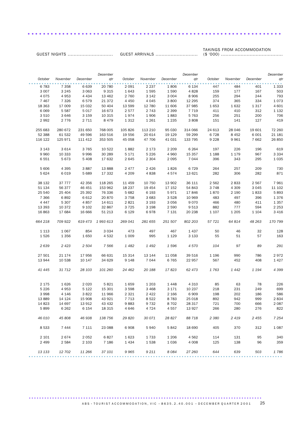TAKINGS FROM ACCOMMODATION

GUEST ARRIVALS ............................ (\$ '000) .........................................

..................................................................

GUEST NIGHTS ..............................

|         |          |          | December |         |          |          | December |         |          |          | December |
|---------|----------|----------|----------|---------|----------|----------|----------|---------|----------|----------|----------|
| October | November | December | qtr      | October | November | December | qtr      | October | November | December | qtr      |
| 6 7 8 3 | 7 3 5 8  | 6639     | 20 780   | 2 0 9 1 | 2 2 3 7  | 1806     | 6 1 3 4  | 447     | 484      | 401      | 1 3 3 3  |
| 3 0 0 7 | 3 2 4 5  | 3 0 6 3  | 9 3 1 5  | 1643    | 1595     | 1590     | 4828     | 159     | 177      | 167      | 503      |
| 4 0 7 5 | 4953     | 4 4 3 4  | 13 4 62  | 2 7 6 0 | 3 1 4 2  | 3 0 0 4  | 8 9 0 6  | 255     | 294      | 244      | 793      |
| 7 4 6 7 | 7 3 2 6  | 6579     | 21 372   | 4 4 5 0 | 4 0 4 5  | 3800     | 12 2 9 5 | 374     | 365      | 334      | 1073     |
| 18 363  | 17 009   | 15 032   | 50 40 4  | 13 599  | 12 780   | 11 606   | 37 985   | 1653    | 1632     | 1 3 1 7  | 4 601    |
| 6 0 6 9 | 5 5 8 7  | 5017     | 16 673   | 2577    | 2 7 4 3  | 2 3 9 9  | 7 7 1 9  | 411     | 410      | 312      | 1 1 3 2  |
| 3 5 1 0 | 3646     | 3 1 5 9  | 10 315   | 1974    | 1906     | 1883     | 5 7 6 3  | 256     | 251      | 200      | 706      |
| 2 9 9 2 | 2 7 7 6  | 2 7 1 1  | 8 4 7 9  | 1 3 1 2 | 1 2 6 1  | 1 2 3 5  | 3808     | 151     | 141      | 127      | 419      |
| 255 683 | 280 672  | 231 650  | 768 005  | 105 826 | 113 210  | 95 030   | 314 066  | 24 613  | 28 046   | 19 601   | 72 260   |
| 52 388  | 61 532   | 49 596   | 163 516  | 19 556  | 20 614   | 19 1 29  | 59 299   | 6728    | 8 4 5 2  | 6 0 0 1  | 21 181   |
| 116 122 | 125 971  | 111 412  | 353 505  | 45 058  | 47 706   | 41 031   | 133 795  | 9 2 2 8 | 9961     | 7662     | 26 850   |
| 3 1 4 3 | 3614     | 3765     | 10 522   | 1882    | 2 1 7 3  | 2 2 0 9  | 6 2 6 4  | 197     | 226      | 196      | 619      |
| 9 9 6 0 | 10 333   | 9996     | 30 289   | 5 1 7 1 | 5 2 2 6  | 4 9 6 0  | 15 357   | 1 1 8 8 | 1 1 7 9  | 967      | 3 3 3 4  |
| 6 5 5 1 | 5673     | 5 4 0 8  | 17 632   | 2645    | 2 3 0 4  | 2095     | 7044     | 396     | 343      | 295      | 1 0 3 5  |
| 5 60 6  | 4 3 9 5  | 3887     | 13888    | 2477    | 2 4 2 6  | 1826     | 6729     | 264     | 257      | 209      | 730      |
| 5 6 2 4 | 6019     | 5 6 8 9  | 17 332   | 4 2 0 9 | 4838     | 4574     | 13 621   | 282     | 306      | 282      | 871      |
|         |          |          |          |         |          |          |          |         |          |          |          |
| 38 132  | 37 777   | 42 356   | 118 265  | 11 459  | 10 750   | 13 902   | 36 111   | 2 5 6 2 | 2833     | 2 5 6 7  | 7 9 6 1  |
| 51 134  | 56 377   | 46 451   | 153 962  | 18 237  | 19 4 54  | 17 152   | 54 843   | 3748    | 4 3 0 9  | 3 0 4 5  | 11 102   |
| 25 540  | 25 404   | 25 392   | 76 336   | 5 6 8 2 | 6 1 9 3  | 5971     | 17846    | 1870    | 2 190    | 1833     | 5893     |
| 7 3 6 6 | 6892     | 6612     | 20 870   | 3 7 5 8 | 3 6 8 3  | 3528     | 10 969   | 483     | 497      | 396      | 1 3 7 6  |
| 4 4 4 7 | 5 3 0 7  | 4857     | 14 611   | 2821    | 3 1 9 3  | 3 0 5 6  | 9 0 7 0  | 466     | 480      | 411      | 1 3 5 7  |
| 13 393  | 10 372   | 9 1 0 2  | 32 867   | 3725    | 3 1 9 8  | 2 5 9 0  | 9513     | 882     | 777      | 594      | 2 2 5 3  |
| 16 863  | 17 684   | 16 666   | 51 213   | 6 1 2 9 | 6978     | 7 1 3 1  | 20 238   | 1 1 0 7 | 1 2 0 5  | 1 1 0 4  | 3 4 1 6  |
| 664 218 | 709 922  | 619 473  | 1993613  | 269 041 | 281 655  | 251 507  | 802 203  | 57 721  | 64 814   | 48 263   | 170 799  |
| 1 1 1 3 | 1 0 6 7  | 854      | 3 0 3 4  | 473     | 497      | 467      | 1437     | 50      | 46       | 32       | 128      |
| 1526    | 1 3 5 6  | 1650     | 4532     | 1 0 0 9 | 995      | 1 1 2 9  | 3 1 3 3  | 55      | 51       | 57       | 163      |
|         |          |          |          |         |          |          |          |         |          |          |          |
| 2639    | 2423     | 2 5 0 4  | 7566     | 1 482   | 1492     | 1596     | 4 5 7 0  | 104     | 97       | 89       | 291      |
| 27 501  | 21 174   | 17 956   | 66 631   | 15 314  | 13 144   | 11 058   | 39 516   | 1 1 9 6 | 990      | 786      | 2972     |
| 13 944  | 10 538   | 10 147   | 34 629   | 9 1 4 8 | 7044     | 6765     | 22 957   | 567     | 452      | 408      | 1 4 2 7  |
|         |          |          |          |         |          |          |          |         |          |          |          |
| 41 445  | 31 712   | 28 103   | 101 260  | 24 462  | 20 188   | 17 823   | 62 473   | 1763    | 1442     | 1 1 9 4  | 4 3 9 9  |
| 2 1 7 5 | 1626     | 2 0 2 0  | 5821     | 1659    | 1 2 0 3  | 1448     | 4 3 1 0  | 85      | 63       | 78       | 226      |
| 5 2 2 6 | 4953     | 5 1 2 2  | 15 301   | 3598    | 3 4 6 8  | 3 1 7 1  | 10 237   | 218     | 231      | 249      | 699      |
| 3 9 9 8 | 4 1 4 6  | 3822     | 11 966   | 2 3 2 1 | 2 4 2 2  | 2 1 6 6  | 6909     | 198     | 202      | 186      | 586      |
| 13 889  | 14 124   | 15 908   | 43 921   | 7713    | 8522     | 8783     | 25 018   | 892     | 942      | 999      | 2834     |
| 14 8 23 | 14 697   | 13 912   | 43 432   | 9883    | 9732     | 8 7 0 2  | 28 317   | 721     | 700      | 666      | 2 0 8 7  |
| 5899    | 6 2 6 2  | 6 1 5 4  | 18 3 15  | 4646    | 4 7 2 4  | 4557     | 13 9 27  | 266     | 280      | 276      | 822      |
|         |          |          |          |         |          |          |          |         |          |          |          |
| 46 010  | 45 808   | 46 938   | 138 756  | 29 8 20 | 30 0 71  | 28 827   | 88718    | 2 3 8 0 | 2419     | 2 4 5 5  | 7 2 5 4  |
| 8 5 3 3 | 7444     | 7 1 1 1  | 23 088   | 6908    | 5940     | 5842     | 18 690   | 405     | 370      | 312      | 1 0 8 7  |
| 2 1 0 1 | 2674     | 2 0 5 2  | 6827     | 1623    | 1733     | 1 2 0 6  | 4 5 6 2  | 114     | 131      | 95       | 340      |
| 2 4 9 9 | 2 5 8 4  | 2 1 0 3  | 7 1 8 6  | 1434    | 1538     | 1036     | 4 0 0 8  | 125     | 138      | 96       | 359      |
| 13 133  | 12 702   | 11 266   | 37 101   | 9965    | 9 2 1 1  | 8084     | 27 260   | 644     | 639      | 503      | 1786     |
|         |          |          |          |         |          |          |          |         |          |          |          |

.......................................................................................... A B S • TOURIST A C COMMODATION, VIC • 8635.2.40.001 • DECEMBER QUARTER 2001 25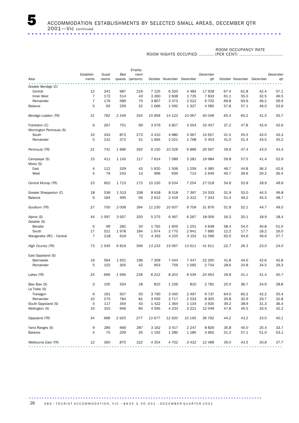#### ROOM OCCUPANCY RATE

 ROOM NIGHTS OCCUPIED .......... (PER CENT) .............................

|                                           |                |         |         | Employ-   |         |         |                           |          |      |      |                           |          |
|-------------------------------------------|----------------|---------|---------|-----------|---------|---------|---------------------------|----------|------|------|---------------------------|----------|
|                                           | Establish-     | Guest   | Bed     | ment      |         |         |                           | December |      |      |                           | December |
| Area                                      | ments          | rooms   | spaces  | (persons) |         |         | October November December | qtr      |      |      | October November December | qtr      |
| Greater Bendigo (C)                       |                |         |         |           |         |         |                           |          |      |      |                           |          |
| Central                                   | 12             | 341     | 987     | 219       | 7 1 2 5 | 6 3 2 0 | 4 4 8 3                   | 17928    | 67.4 | 61.8 | 42.4                      | 57.1     |
|                                           | $\overline{7}$ | 172     | 514     | 43        | 3 2 6 0 | 2838    | 1735                      | 7833     | 61.1 | 55.0 | 32.5                      | 49.5     |
| Inner West                                | $\overline{7}$ | 176     | 589     | 70        | 3807    | 3 3 7 3 | 2 5 2 2                   | 9702     |      | 63.9 |                           | 59.9     |
| Remainder                                 |                |         |         |           |         |         |                           |          | 69.8 |      | 46.2                      |          |
| Balance                                   | 5              | 93      | 259     | 22        | 1666    | 1592    | 1 3 2 7                   | 4585     | 57.8 | 57.1 | 46.0                      | 53.6     |
| Bendigo Loddon (TR)                       | 31             | 782     | 2 3 4 9 | 354       | 15858   | 14 123  | 10 067                    | 40 048   | 65.4 | 60.2 | 41.5                      | 55.7     |
| Frankston (C)<br>Mornington Peninsula (S) | 6              | 267     | 751     | 69        | 3076    | 3827    | 3 5 5 4                   | 10 457   | 37.2 | 47.8 | 42.9                      | 42.6     |
| South                                     | 10             | 343     | 873     | 273       | 4 4 1 0 | 4680    | 4567                      | 13 657   | 41.5 | 45.5 | 43.0                      | 43.3     |
| Remainder                                 | 5              | 131     | 372     | 51        | 1664    | 2 0 2 1 | 1768                      | 5 4 5 3  | 41.0 | 51.4 | 43.5                      | 45.2     |
|                                           |                |         |         |           |         |         |                           |          |      |      |                           |          |
| Peninsula (TR)                            | 21             | 741     | 1996    | 393       | 9 1 5 0 | 10 528  | 9889                      | 29 567   | 39.8 | 47.4 | 43.0                      | 43.4     |
| Campaspe (S)<br>Moira (S)                 | 15             | 411     | 1 1 4 3 | 117       | 7614    | 7 0 8 9 | 5 2 8 1                   | 19 9 84  | 59.8 | 57.5 | 41.4                      | 52.9     |
| East                                      | 4              | 112     | 329     | 43        | 1620    | 1506    | 1 2 5 9                   | 4 3 8 5  | 46.7 | 44.8 | 36.3                      | 42.6     |
| West                                      | $\overline{4}$ | 79      | 243     | 13        | 996     | 939     | 714                       | 2649     | 40.7 | 39.6 | 29.2                      | 36.4     |
| Central Murray (TR)                       | 23             | 602     | 1715    | 173       | 10 230  | 9534    | 7 2 5 4                   | 27 018   | 54.8 | 52.8 | 38.9                      | 48.8     |
|                                           |                |         |         |           |         |         |                           |          |      |      |                           |          |
| Greater Shepparton (C)                    | 18             | 536     | 1513    | 338       | 8 6 1 8 | 8518    | 7 3 9 7                   | 24 533   | 51.9 | 53.0 | 44.5                      | 49.8     |
| Balance                                   | 9              | 164     | 495     | 56        | 2612    | 2 4 1 9 | 2 3 1 2                   | 7 3 4 3  | 51.4 | 49.2 | 45.5                      | 48.7     |
| Goulburn (TR)                             | 27             | 700     | 2 0 0 8 | 394       | 11 230  | 10 937  | 9709                      | 31876    | 51.8 | 52.1 | 44.7                      | 49.5     |
| Alpine (S)                                | 44             | 1 0 9 7 | 3937    | 320       | 5 2 7 5 | 6467    | 6 2 6 7                   | 18 009   | 16.3 | 20.1 | 18.9                      | 18.4     |
| Delatite (S)                              |                |         |         |           |         |         |                           |          |      |      |                           |          |
| Benalla                                   | 5              | 99      | 282     | 20        | 1792    | 1605    | 1 2 5 1                   | 4648     | 58.4 | 54.0 | 40.8                      | 51.0     |
| South                                     | 17             | 521     | 1978    | 184       | 1974    | 2 7 7 0 | 2941                      | 7685     | 12.2 | 17.7 | 18.2                      | 16.0     |
| Wangaratta (RC) - Central                 | 7              | 218     | 619     | 72        | 4 1 9 2 | 4 2 2 5 | 3 1 5 2                   | 11 569   | 62.0 | 64.6 | 46.6                      | 57.7     |
| High Country (TR)                         | 73             | 1935    | 6816    | 596       | 13 233  | 15 067  | 13 611                    | 41 911   | 22.7 | 26.3 | 23.0                      | 24.0     |
| East Gippsland (S)                        |                |         |         |           |         |         |                           |          |      |      |                           |          |
| Bairnsdale                                | 19             | 564     | 1651    | 196       | 7 3 0 9 | 7444    | 7447                      | 22 200   | 41.8 | 44.0 | 42.6                      | 42.8     |
| Remainder                                 | 5              | 102     | 305     | 42        | 903     | 759     | 1 0 9 2                   | 2 7 5 4  | 28.6 | 24.8 | 34.5                      | 29.3     |
|                                           |                |         |         |           |         |         |                           |          |      |      |                           |          |
| Lakes (TR)                                | 24             | 666     | 1956    | 238       | 8 2 1 2 | 8 2 0 3 | 8 5 3 9                   | 24 954   | 39.8 | 41.1 | 41.4                      | 40.7     |
| Baw Baw (S)                               | 3              | 105     | 334     | 18        | 815     | 1 1 5 6 | 810                       | 2 7 8 1  | 25.0 | 36.7 | 24.9                      | 28.8     |
| La Trobe (S)                              |                |         |         |           |         |         |                           |          |      |      |                           |          |
| Traralgon                                 | 6              | 191     | 507     | 50        | 3 7 9 0 | 3 4 5 0 | 2 4 9 7                   | 9737     | 64.0 | 60.2 | 42.2                      | 55.4     |
| Remainder                                 | 10             | 275     | 784     | 81        | 3 0 5 5 | 2 7 1 7 | 2 5 3 3                   | 8 3 0 5  | 35.8 | 32.9 | 29.7                      | 32.8     |
| South Gippsland (S)                       | 5              | 117     | 354     | 43        | 1422    | 1 3 6 4 | 1 1 3 4                   | 3 9 2 0  | 39.2 | 38.9 | 31.3                      | 36.4     |
| Wellington (S)                            | 10             | 310     | 946     | 85        | 4595    | 4 2 3 3 | 3 2 2 1                   | 12 049   | 47.8 | 45.5 | 33.5                      | 42.2     |
| Gippsland (TR)                            | 34             | 998     | 2925    | 277       | 13 677  | 12 9 20 | 10 195                    | 36 792   | 44.2 | 43.2 | 33.0                      | 40.1     |
|                                           |                |         |         |           |         |         |                           |          |      |      |                           |          |
| Yarra Ranges (S)                          | 9              | 285     | 666     | 287       | 3 1 6 2 | 3 4 1 7 | 2 2 4 7                   | 8826     | 35.8 | 40.0 | 25.4                      | 33.7     |
| Balance                                   | 3              | 75      | 209     | 35        | 1 1 9 2 | 1 2 8 5 | 1 1 8 5                   | 3662     | 51.3 | 57.1 | 51.0                      | 53.1     |
| Melbourne East (TR)                       | 12             | 360     | 875     | 322       | 4 3 5 4 | 4 702   | 3 4 3 2                   | 12488    | 39.0 | 43.5 | 30.8                      | 37.7     |
|                                           |                |         |         |           |         |         |                           |          |      |      |                           |          |

26 A B S • TOURIST A C COMMODATION, VIC • 8635.2.40.001 • DECEMBER QUARTER 2001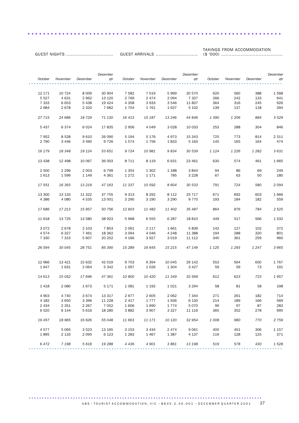### TAKINGS FROM ACCOMMODATION

GUEST ARRIVALS ............................ (\$ '000) .........................................

..................................................................

GUEST NIGHTS ...............................

|                |          |                   | December          |                    |          |          | December |           |          |           | December                                                                                              |
|----------------|----------|-------------------|-------------------|--------------------|----------|----------|----------|-----------|----------|-----------|-------------------------------------------------------------------------------------------------------|
| October        | November | December          | qtr               | October            | November | December | qtr      | October   | November | December  | qtr                                                                                                   |
|                |          |                   |                   |                    |          |          |          |           |          |           |                                                                                                       |
|                |          |                   |                   |                    |          |          |          |           |          |           |                                                                                                       |
| 12 171         | 10 7 24  | 8 0 0 9           | 30 904            | 7582               | 7 0 1 9  | 5969     | 20 570   | 620       | 560      | 388       | 1568                                                                                                  |
| 5 5 2 7        | 4 6 3 1  | 2962              | 13 1 20           | 2 7 6 9            | 2474     | 2 0 9 4  | 7 3 3 7  | 266       | 242      | 133       | 641                                                                                                   |
| 7 3 3 3        | 6 6 5 3  | 5438              | 19 4 24           | 4 3 5 8            | 3933     | 3 5 4 6  | 11 837   | 364       | 316      | 245       | 926                                                                                                   |
| 2684           | 2678     | 2 3 2 0           | 7682              | 1704               | 1761     | 1637     | 5 1 0 2  | 139       | 137      | 118       | 394                                                                                                   |
|                |          |                   |                   |                    |          |          |          |           |          |           |                                                                                                       |
| 27 715         | 24 686   | 18 7 29           | 71 130            | 16 413             | 15 187   | 13 246   | 44 846   | 1 3 9 0   | 1 2 5 6  | 884       | 3 5 2 9                                                                                               |
|                |          |                   |                   |                    |          |          |          |           |          |           |                                                                                                       |
| 5 4 3 7        | 6374     | 6024              | 17835             | 2956               | 4 0 4 9  | 3028     | 10 033   | 253       | 288      | 304       | 846                                                                                                   |
|                |          |                   |                   |                    |          |          |          |           |          |           |                                                                                                       |
| 7952           | 8528     | 9610              | 26 090            | 5 1 9 4            | 5 1 7 6  | 4973     | 15 343   | 725       | 773      | 814       | 2 3 1 1                                                                                               |
| 2 7 9 0        | 3 4 4 6  | 3 4 9 0           | 9 7 2 6           | 1574               | 1756     | 1833     | 5 1 6 3  | 145       | 165      | 164       | 474                                                                                                   |
|                |          |                   |                   |                    |          |          |          |           |          |           |                                                                                                       |
| 16 179         | 18 348   | 19 124            | 53 651            | 9 7 2 4            | 10 981   | 9834     | 30 539   | 1 1 2 4   | 1 2 2 6  | 1 2 8 2   | 3 6 3 1                                                                                               |
|                |          |                   |                   |                    |          |          |          |           |          |           |                                                                                                       |
| 13 438         | 12 4 98  | 10 067            | 36 003            | 8 7 1 1            | 8 1 1 9  | 6 6 3 1  | 23 4 61  | 630       | 574      | 461       | 1665                                                                                                  |
|                |          |                   |                   |                    |          |          |          |           |          |           |                                                                                                       |
| 2 500          | 2 2 9 6  | 2 0 0 3           | 6 7 9 9           | 1 3 5 4            | 1 3 0 2  | 1 1 8 8  | 3844     | 94        | 86       | 69        | 249                                                                                                   |
| 1613           | 1599     | 1 1 4 9           | 4 3 6 1           | 1 2 7 2            | 1 1 7 1  | 785      | 3 2 2 8  | 67        | 63       | 50        | 180                                                                                                   |
|                |          |                   |                   |                    |          |          |          |           |          |           |                                                                                                       |
| 17 551         | 16 393   | 13 219            | 47 163            | 11 337             | 10 592   | 8 604    | 30 533   | 791       | 724      | 580       | 2094                                                                                                  |
|                |          |                   |                   |                    |          |          |          |           |          |           |                                                                                                       |
| 13 300         | 13 133   | 11 322            | 37 755            | 9 3 1 3            | 8 2 9 2  | 8 1 1 2  | 25 7 17  | 671       | 692      | 603       | 1966                                                                                                  |
| 4 3 8 6        | 4 0 8 0  | 4 5 3 5           | 13 001            | 3 2 9 0            | 3 1 9 0  | 3 2 9 0  | 9 7 7 0  | 193       | 184      | 182       | 559                                                                                                   |
|                |          |                   |                   |                    |          |          |          |           |          |           |                                                                                                       |
| 17 686         | 17 213   | 15 857            | 50 756            | 12 603             | 11 482   | 11 402   | 35 487   | 864       | 876      | 784       | 2 5 2 5                                                                                               |
|                |          |                   |                   |                    |          |          |          |           |          |           |                                                                                                       |
| 11 618         | 13 7 25  | 13 580            | 38 923            | 5968               | 6 5 5 5  | 6 2 8 7  | 18 810   | 449       | 517      | 566       | 1532                                                                                                  |
|                |          |                   |                   |                    |          |          |          |           |          |           |                                                                                                       |
| 3072           | 2678     | 2 1 0 3           | 7853              | 2 0 6 1            | 2 1 1 7  | 1661     | 5839     | 142       | 127      | 102       | 372                                                                                                   |
| 4574           | 6327     | 7 461             | 18 3 62           | 3 0 9 4            | 4 0 4 6  | 4 2 4 8  | 11 3 8 8 | 194       | 288      | 320       | 801                                                                                                   |
| 7 3 3 0        | 7 3 1 5  | 5 607             | 20 25 2           | 4 1 6 6            | 3927     | 3019     | 11 112   | 340       | 361      | 259       | 960                                                                                                   |
|                |          |                   |                   |                    |          |          |          |           |          |           |                                                                                                       |
| 26 594         | 30 045   | 28 751            | 85 390            | 15 289             | 16 645   | 15 215   | 47 149   | 1 1 2 5   | 1 2 9 3  | 1 2 4 7   | 3 6 6 5                                                                                               |
|                |          |                   |                   |                    |          |          |          |           |          |           |                                                                                                       |
|                |          |                   |                   |                    |          |          |          |           |          |           |                                                                                                       |
|                |          |                   |                   |                    |          |          |          |           |          |           |                                                                                                       |
| 12 966<br>1647 | 13 4 21  | 15 632<br>2 0 6 4 | 42 019<br>5 3 4 2 | 9 7 0 3<br>1 0 9 7 | 9 3 9 4  | 10 045   | 29 142   | 553<br>59 | 564      | 650<br>73 | 1767<br>191                                                                                           |
|                | 1631     |                   |                   |                    | 1026     | 1 3 0 4  | 3 4 2 7  |           | 59       |           |                                                                                                       |
|                |          |                   |                   |                    |          |          |          |           |          |           |                                                                                                       |
| 14 613         | 15 052   | 17 696            | 47 361            | 10 800             | 10 420   | 11 349   | 32 569   | 612       | 623      | 723       | 1957                                                                                                  |
|                |          |                   |                   |                    |          |          |          |           |          |           |                                                                                                       |
| 1418           | 2 0 8 0  | 1673              | 5 1 7 1           | 1081               | 1 1 9 2  | 1021     | 3 2 9 4  | 58        | 81       | 58        | 198                                                                                                   |
|                |          |                   |                   |                    |          |          |          |           |          |           |                                                                                                       |
| 4 9 0 3        | 4 740    | 3674              | 13 3 17           | 2677               | 2 605    | 2 0 6 2  | 7 344    | 271       | 261      | 182       | 714                                                                                                   |
| 4 1 8 2        | 3 6 5 0  | 3 3 9 6           | 11 2 28           | 2 4 1 7            | 1777     | 1936     | 6 1 3 0  | 214       | 189      | 166       | 569                                                                                                   |
| 2 4 3 4        | 2 3 5 1  | 2 2 6 7           | 7 0 5 2           | 1606               | 1690     | 1774     | 5 0 7 0  | 99        | 97       | 87        | 283                                                                                                   |
| 6 5 20         | 6 1 4 4  | 5 6 1 6           | 18 2 8 0          | 3882               | 3 9 0 7  | 3 3 2 7  | 11 116   | 365       | 352      | 278       | 995                                                                                                   |
|                |          |                   |                   |                    |          |          |          |           |          |           |                                                                                                       |
| 19 457         | 18 965   | 16 6 26           | 55 048            | 11 663             | 11 171   | 10 120   | 32 954   | 1 0 0 8   | 980      | 770       | 2 7 5 9                                                                                               |
|                |          |                   |                   |                    |          |          |          |           |          |           |                                                                                                       |
| 4577           | 5 0 6 5  | 3 5 2 3           | 13 165            | 3 1 5 3            | 3 4 3 4  | 2 4 7 4  | 9061     | 400       | 451      | 306       | 1 1 5 7                                                                                               |
| 1895           | 2 1 3 3  | 2 0 9 5           | 6 1 2 3           | 1 2 8 3            | 1467     | 1 3 8 7  | 4 1 3 7  | 119       | 128      | 125       | 371                                                                                                   |
|                |          |                   |                   |                    |          |          |          |           |          |           |                                                                                                       |
| 6472           | 7 1 9 8  | 5618              | 19 288            | 4 4 3 6            | 4 901    | 3861     | 13 198   | 519       | 578      | 430       | 1 5 28                                                                                                |
|                |          |                   |                   |                    |          |          |          |           |          |           | $\begin{array}{cccccccccccccc} \bullet & \bullet & \bullet & \bullet & \bullet & \bullet \end{array}$ |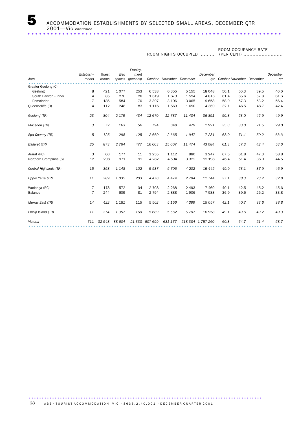#### ROOM OCCUPANCY RATE

ROOM NIGHTS OCCUPIED ..........

(PER CENT) ..........................

|            |        |         | Employ-   |         |                |                  |          |                   |      |      |                           |
|------------|--------|---------|-----------|---------|----------------|------------------|----------|-------------------|------|------|---------------------------|
| Establish- | Guest  | Bed     | ment      |         |                |                  | December |                   |      |      | December                  |
| ments      | rooms  | spaces  | (persons) |         |                | December         | qtr      |                   |      |      | qtr                       |
|            |        |         |           |         |                |                  |          |                   |      |      |                           |
| 8          | 421    | 1077    | 253       | 6538    | 6 3 5 5        | 5 1 5 5          | 18 048   | 50.1              | 50.3 | 39.5 | 46.6                      |
| 4          | 85     | 270     | 28        | 1619    | 1673           | 1524             | 4816     | 61.4              | 65.6 | 57.8 | 61.6                      |
| 7          | 186    | 584     | 70        | 3 3 9 7 | 3 1 9 6        | 3 0 6 5          | 9658     | 58.9              | 57.3 | 53.2 | 56.4                      |
| 4          | 112    | 248     | 83        | 1 1 1 6 | 1563           | 1690             | 4 3 6 9  | 32.1              | 46.5 | 48.7 | 42.4                      |
| 23         | 804    | 2 1 7 9 | 434       | 12 670  | 12787          | 11 434           | 36 891   | 50.8              | 53.0 | 45.9 | 49.9                      |
| 3          | 72     | 163     | 56        | 794     | 648            | 479              | 1921     | 35.6              | 30.0 | 21.5 | 29.0                      |
| 5          | 125    | 298     | 125       | 2669    | 2665           | 1947             | 7 2 8 1  | 68.9              | 71.1 | 50.2 | 63.3                      |
| 25         | 873    | 2 7 6 4 | 477       | 16 603  | 15 007         | 11474            | 43 0 84  | 61.3              | 57.3 | 42.4 | 53.6                      |
| 3          | 60     | 177     | 11        | 1 2 5 5 | 1 1 1 2        | 880              | 3 2 4 7  | 67.5              | 61.8 | 47.3 | 58.8                      |
| 12         | 298    | 971     | 91        | 4 2 8 2 | 4 5 9 4        | 3 3 2 2          | 12 198   | 46.4              | 51.4 | 36.0 | 44.5                      |
| 15         | 358    | 1 1 4 8 | 102       | 5 5 3 7 | 5 70 6         | 4 20 2           | 15 4 45  | 49.9              | 53.1 | 37.9 | 46.9                      |
| 11         | 389    | 1035    | 203       | 4 4 7 6 | 4 4 7 4        | 2 7 9 4          | 11744    | 37.1              | 38.3 | 23.2 | 32.8                      |
| 7          | 178    | 572     | 34        | 2 7 0 8 | 2 2 6 8        | 2 4 9 3          | 7 4 6 9  | 49.1              | 42.5 | 45.2 | 45.6                      |
| 7          | 244    | 609     | 81        | 2 7 9 4 | 2888           | 1 9 0 6          | 7 5 8 8  | 36.9              | 39.5 | 25.2 | 33.8                      |
| 14         | 422    | 1 1 8 1 | 115       | 5 5 0 2 | 5 1 5 6        | 4 3 9 9          | 15 057   | 42.1              | 40.7 | 33.6 | 38.8                      |
| 11         | 374    | 1357    | 160       | 5689    | 5 5 6 2        | 5 707            | 16958    | 49.1              | 49.6 | 49.2 | 49.3                      |
| 711        | 32 548 | 88 604  |           |         | 631 177        |                  |          | 60.3              | 64.7 | 51.4 | 58.7                      |
|            |        |         |           |         | 21 333 607 699 | October November |          | 518 384 1 757 260 |      |      | October November December |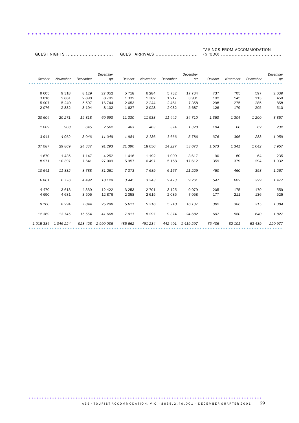### TAKINGS FROM ACCOMMODATION

GUEST ARRIVALS ............................ (\$ '000) .........................................

..................................................................

GUEST NIGHTS ...............................

|         |           |          | December          |         |          |          | December          |         |          |          | December |
|---------|-----------|----------|-------------------|---------|----------|----------|-------------------|---------|----------|----------|----------|
| October | November  | December | qtr               | October | November | December | atr               | October | November | December | gtr      |
|         |           |          |                   |         |          |          |                   |         |          |          |          |
| 9 6 0 5 | 9 3 1 8   | 8 1 2 9  | 27 052            | 5 7 1 8 | 6 2 8 4  | 5 7 3 2  | 17 734            | 737     | 705      | 597      | 2 0 3 9  |
| 3 0 1 6 | 2881      | 2898     | 8 7 9 5           | 1 3 3 2 | 1 3 8 2  | 1 2 1 7  | 3 9 3 1           | 192     | 145      | 113      | 450      |
| 5907    | 5 2 4 0   | 5 5 9 7  | 16 744            | 2 6 5 3 | 2 2 4 4  | 2 4 6 1  | 7 3 5 8           | 298     | 275      | 285      | 858      |
| 2076    | 2832      | 3 1 9 4  | 8 1 0 2           | 1627    | 2028     | 2 0 3 2  | 5 6 8 7           | 126     | 179      | 205      | 510      |
| 20 604  | 20 271    | 19818    | 60 693            | 11 330  | 11 938   | 11 442   | 34 710            | 1 3 5 3 | 1 3 0 4  | 1 200    | 3857     |
| 1 0 0 9 | 908       | 645      | 2 5 6 2           | 483     | 463      | 374      | 1 3 2 0           | 104     | 66       | 62       | 232      |
| 3941    | 4 0 6 2   | 3046     | 11 049            | 1984    | 2 1 3 6  | 1666     | 5786              | 376     | 396      | 288      | 1059     |
| 37 087  | 29 869    | 24 337   | 91 293            | 21 390  | 18 056   | 14 227   | 53 673            | 1573    | 1341     | 1 0 4 2  | 3 9 5 7  |
| 1670    | 1 4 3 5   | 1 1 4 7  | 4 2 5 2           | 1416    | 1 1 9 2  | 1 0 0 9  | 3617              | 90      | 80       | 64       | 235      |
| 8971    | 10 397    | 7641     | 27 009            | 5957    | 6497     | 5 1 5 8  | 17 612            | 359     | 379      | 294      | 1 0 3 2  |
| 10 641  | 11832     | 8788     | 31 261            | 7373    | 7689     | 6 1 6 7  | 21 2 29           | 450     | 460      | 358      | 1 2 6 7  |
| 6861    | 6776      | 4 4 9 2  | 18 1 29           | 3 4 4 5 | 3 3 4 3  | 2473     | 9 2 6 1           | 547     | 602      | 329      | 1477     |
| 4 4 7 0 | 3613      | 4 3 3 9  | 12 4 22           | 3 2 5 3 | 2 7 0 1  | 3 1 2 5  | 9079              | 205     | 175      | 179      | 559      |
| 4 6 9 0 | 4 6 8 1   | 3 5 0 5  | 12876             | 2 3 5 8 | 2 6 1 5  | 2 0 8 5  | 7 0 5 8           | 177     | 211      | 136      | 525      |
| 9 1 6 0 | 8 2 9 4   | 7844     | 25 298            | 5611    | 5316     | 5 2 1 0  | 16 137            | 382     | 386      | 315      | 1 0 8 4  |
| 12 3 69 | 13745     | 15 554   | 41 668            | 7011    | 8 2 9 7  | 9374     | 24 682            | 607     | 580      | 640      | 1827     |
| 1015384 | 1 046 224 |          | 928 428 2 990 036 | 485 662 | 491 234  |          | 442 401 1 419 297 | 75 436  | 82 101   | 63 439   | 220 977  |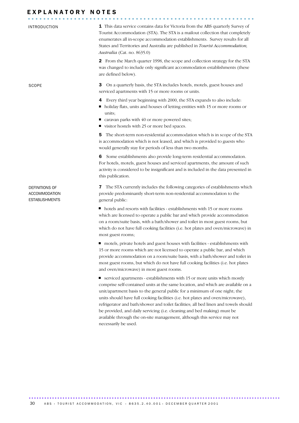| INTRODUCTION                                             | <b>1</b> This data service contains data for Victoria from the ABS quarterly Survey of<br>Tourist Accommodation (STA). The STA is a mailout collection that completely<br>enumerates all in-scope accommodation establishments. Survey results for all<br>States and Territories and Australia are published in Tourist Accommodation,<br>Australia (Cat. no. 8635.0)        |
|----------------------------------------------------------|------------------------------------------------------------------------------------------------------------------------------------------------------------------------------------------------------------------------------------------------------------------------------------------------------------------------------------------------------------------------------|
|                                                          | 2 From the March quarter 1998, the scope and collection strategy for the STA<br>was changed to include only significant accommodation establishments (these<br>are defined below).                                                                                                                                                                                           |
| SCOPE                                                    | З<br>On a quarterly basis, the STA includes hotels, motels, guest houses and<br>serviced apartments with 15 or more rooms or units.                                                                                                                                                                                                                                          |
|                                                          | Every third year beginning with 2000, the STA expands to also include:<br>4<br>holiday flats, units and houses of letting entities with 15 or more rooms or<br>ш<br>units;<br>caravan parks with 40 or more powered sites;<br>visitor hostels with 25 or more bed spaces.<br>ш                                                                                               |
|                                                          | The short-term non-residential accommodation which is in scope of the STA<br>5<br>is accommodation which is not leased, and which is provided to guests who<br>would generally stay for periods of less than two months.                                                                                                                                                     |
|                                                          | Some establishments also provide long-term residential accommodation.<br>6<br>For hotels, motels, guest houses and serviced apartments, the amount of such<br>activity is considered to be insignificant and is included in the data presented in<br>this publication.                                                                                                       |
| DEFINITIONS OF<br>ACCOMMODATION<br><b>ESTABLISHMENTS</b> | The STA currently includes the following categories of establishments which<br>7<br>provide predominantly short-term non-residential accommodation to the<br>general public:                                                                                                                                                                                                 |
|                                                          | hotels and resorts with facilities - establishments with 15 or more rooms<br>which are licensed to operate a public bar and which provide accommodation<br>on a room/suite basis, with a bath/shower and toilet in most guest rooms, but<br>which do not have full cooking facilities (i.e. hot plates and oven/microwave) in<br>most guest rooms;                           |
|                                                          | motels, private hotels and guest houses with facilities - establishments with<br>15 or more rooms which are not licensed to operate a public bar, and which<br>provide accommodation on a room/suite basis, with a bath/shower and toilet in<br>most guest rooms, but which do not have full cooking facilities (i.e. hot plates<br>and oven/microwave) in most guest rooms. |
|                                                          | serviced apartments - establishments with 15 or more units which mostly<br>щ<br>comprise self-contained units at the same location, and which are available on a<br>unit/apartment basis to the general public for a minimum of one night; the<br>units should have full cooking facilities (i.e. hot plates and oven/microwave),                                            |

refrigerator and bath/shower and toilet facilities; all bed linen and towels should be provided, and daily servicing (i.e. cleaning and bed making) must be available through the on-site management, although this service may not necessarily be used.

................................................................................................. ......................................................  $\overline{ABS}$  · TOURIST ACCOMMODATION, VIC · 8635.2.40.001 · DECEMBER QUARTER 2001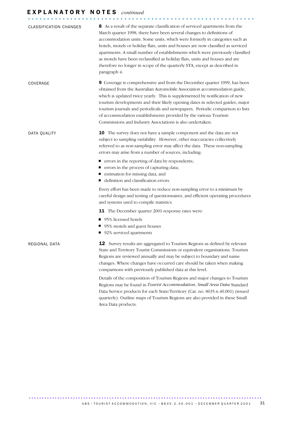# E X P L A N A T O R Y N O T E S *continued* ...........................................................

| <b>CLASSIFICATION CHANGES</b> | 8 As a result of the separate classification of serviced apartments from the<br>March quarter 1998, there have been several changes to definitions of<br>accommodation units. Some units, which were formerly in categories such as<br>hotels, motels or holiday flats, units and houses are now classified as serviced<br>apartments. A small number of establishments which were previously classified<br>as motels have been reclassified as holiday flats, units and houses and are<br>therefore no longer in scope of the quarterly STA, except as described in<br>paragraph 4. |
|-------------------------------|--------------------------------------------------------------------------------------------------------------------------------------------------------------------------------------------------------------------------------------------------------------------------------------------------------------------------------------------------------------------------------------------------------------------------------------------------------------------------------------------------------------------------------------------------------------------------------------|
| COVERAGE                      | 9 Coverage is comprehensive and from the December quarter 1999, has been<br>obtained from the Australian Automobile Association accommodation guide,<br>which is updated twice yearly. This is supplemented by notification of new<br>tourism developments and their likely opening dates in selected guides, major<br>tourism journals and periodicals and newspapers. Periodic comparison to lists<br>of accommodation establishments provided by the various Tourism<br>Commissions and Industry Associations is also undertaken.                                                 |
| DATA QUALITY                  | <b>10</b> The survey does not have a sample component and the data are not<br>subject to sampling variability. However, other inaccuracies collectively<br>referred to as non-sampling error may affect the data. These non-sampling<br>errors may arise from a number of sources, including:<br>■ errors in the reporting of data by respondents;                                                                                                                                                                                                                                   |
|                               | ■ errors in the process of capturing data;<br>■ estimation for missing data; and<br>■ definition and classification errors.                                                                                                                                                                                                                                                                                                                                                                                                                                                          |
|                               | Every effort has been made to reduce non-sampling error to a minimum by<br>careful design and testing of questionnaires, and efficient operating procedures<br>and systems used to compile statistics.                                                                                                                                                                                                                                                                                                                                                                               |
|                               | 11 The December quarter 2001 response rates were:                                                                                                                                                                                                                                                                                                                                                                                                                                                                                                                                    |
|                               | ■ 95% licensed hotels<br>■ 95% motels and guest houses<br>■ 92% serviced apartments                                                                                                                                                                                                                                                                                                                                                                                                                                                                                                  |
| REGIONAL DATA                 | 12 Survey results are aggregated to Tourism Regions as defined by relevant<br>State and Territory Tourist Commissions or equivalent organisations. Tourism<br>Regions are reviewed annually and may be subject to boundary and name<br>changes. Where changes have occurred care should be taken when making<br>comparisons with previously published data at this level.                                                                                                                                                                                                            |
|                               | Details of the composition of Tourism Regions and major changes to Tourism<br>Regions may be found in Tourist Accommodation, Small Area Data Standard<br>Data Service products for each State/Territory (Cat. no. 8635.n.40.001) (issued<br>quarterly). Outline maps of Tourism Regions are also provided in these Small<br>Area Data products.                                                                                                                                                                                                                                      |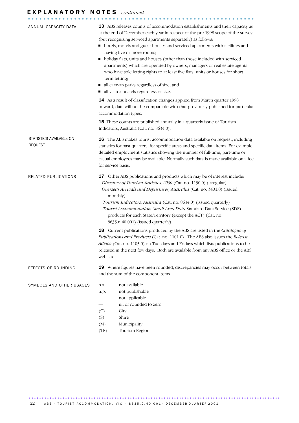# E X P L A N A T O R Y N O T E S *continued* ...........................................................

| ANNUAL CAPACITY DATA                      | 13 ABS releases counts of accommodation establishments and their capacity as<br>at the end of December each year in respect of the pre-1998 scope of the survey<br>(but recognising serviced apartments separately) as follows:<br>• hotels, motels and guest houses and serviced apartments with facilities and<br>having five or more rooms;<br>Inoliday flats, units and houses (other than those included with serviced<br>apartments) which are operated by owners, managers or real estate agents<br>who have sole letting rights to at least five flats, units or houses for short<br>term letting;<br>all caravan parks regardless of size; and<br>all visitor hostels regardless of size. |
|-------------------------------------------|----------------------------------------------------------------------------------------------------------------------------------------------------------------------------------------------------------------------------------------------------------------------------------------------------------------------------------------------------------------------------------------------------------------------------------------------------------------------------------------------------------------------------------------------------------------------------------------------------------------------------------------------------------------------------------------------------|
|                                           | 14 As a result of classification changes applied from March quarter 1998<br>onward, data will not be comparable with that previously published for particular<br>accommodation types.                                                                                                                                                                                                                                                                                                                                                                                                                                                                                                              |
|                                           | <b>15</b> These counts are published annually in a quarterly issue of Tourism<br>Indicators, Australia (Cat. no. 8634.0).                                                                                                                                                                                                                                                                                                                                                                                                                                                                                                                                                                          |
| STATISTICS AVAILABLE ON<br><b>REQUEST</b> | 16 The ABS makes tourist accommodation data available on request, including<br>statistics for past quarters, for specific areas and specific data items. For example,<br>detailed employment statistics showing the number of full-time, part-time or<br>casual employees may be available. Normally such data is made available on a fee<br>for service basis.                                                                                                                                                                                                                                                                                                                                    |
| RELATED PUBLICATIONS                      | 17 Other ABS publications and products which may be of interest include:<br>Directory of Tourism Statistics, 2000 (Cat. no. 1130.0) (irregular)<br>Overseas Arrivals and Departures, Australia (Cat. no. 3401.0) (issued<br>monthly)<br>Tourism Indicators, Australia (Cat. no. 8634.0) (issued quarterly)<br>Tourist Accommodation, Small Area Data Standard Data Service (SDS)<br>products for each State/Territory (except the ACT) (Cat. no.<br>8635.n.40.001) (issued quarterly).                                                                                                                                                                                                             |
|                                           | 18 Current publications produced by the ABS are listed in the Catalogue of<br>Publications and Products (Cat. no. 1101.0). The ABS also issues the Release<br>Advice (Cat. no. 1105.0) on Tuesdays and Fridays which lists publications to be<br>released in the next few days. Both are available from any ABS office or the ABS<br>web site.                                                                                                                                                                                                                                                                                                                                                     |
| EFFECTS OF ROUNDING                       | 19 Where figures have been rounded, discrepancies may occur between totals<br>and the sum of the component items.                                                                                                                                                                                                                                                                                                                                                                                                                                                                                                                                                                                  |
| SYMBOLS AND OTHER USAGES                  | not available<br>n.a.<br>not publishable<br>n.p.<br>not applicable<br>$\ddot{\phantom{1}}$ .<br>nil or rounded to zero<br>(C)<br>City<br>Shire<br>(S)<br>(M)<br>Municipality<br>Tourism Region<br>(TR)                                                                                                                                                                                                                                                                                                                                                                                                                                                                                             |

32 ABS · TOURIST ACCOMMODATION, VIC · 8635.2.40.001 · DECEMBER QUARTER 2001

................................................................................................. ......................................................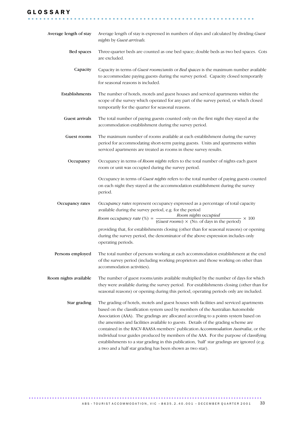### G L O S S A R Y

| Average length of stay | Average length of stay is expressed in numbers of days and calculated by dividing Guest<br>nights by Guest arrivals.                                                                                                                                                                                                                                                                                                                                                                                                                                                                                                                                                                               |
|------------------------|----------------------------------------------------------------------------------------------------------------------------------------------------------------------------------------------------------------------------------------------------------------------------------------------------------------------------------------------------------------------------------------------------------------------------------------------------------------------------------------------------------------------------------------------------------------------------------------------------------------------------------------------------------------------------------------------------|
| Bed spaces             | Three-quarter beds are counted as one bed space; double beds as two bed spaces. Cots<br>are excluded.                                                                                                                                                                                                                                                                                                                                                                                                                                                                                                                                                                                              |
| Capacity               | Capacity in terms of Guest rooms/units or Bed spaces is the maximum number available<br>to accommodate paying guests during the survey period. Capacity closed temporarily<br>for seasonal reasons is included.                                                                                                                                                                                                                                                                                                                                                                                                                                                                                    |
| Establishments         | The number of hotels, motels and guest houses and serviced apartments within the<br>scope of the survey which operated for any part of the survey period, or which closed<br>temporarily for the quarter for seasonal reasons.                                                                                                                                                                                                                                                                                                                                                                                                                                                                     |
| Guest arrivals         | The total number of paying guests counted only on the first night they stayed at the<br>accommodation establishment during the survey period.                                                                                                                                                                                                                                                                                                                                                                                                                                                                                                                                                      |
| Guest rooms            | The maximum number of rooms available at each establishment during the survey<br>period for accommodating short-term paying guests. Units and apartments within<br>serviced apartments are treated as rooms in these survey results.                                                                                                                                                                                                                                                                                                                                                                                                                                                               |
| Occupancy              | Occupancy in terms of Room nights refers to the total number of nights each guest<br>room or unit was occupied during the survey period.                                                                                                                                                                                                                                                                                                                                                                                                                                                                                                                                                           |
|                        | Occupancy in terms of Guest nights refers to the total number of paying guests counted<br>on each night they stayed at the accommodation establishment during the survey<br>period.                                                                                                                                                                                                                                                                                                                                                                                                                                                                                                                |
| Occupancy rates        | Occupancy rates represent occupancy expressed as a percentage of total capacity<br>available during the survey period, e.g. for the period<br>Room occupancy rate (%) = $\frac{Room \text{ nights occupied}}{(Guest \text{ rooms}) \times (No. \text{ of days in the period})} \times 100$                                                                                                                                                                                                                                                                                                                                                                                                         |
|                        | providing that, for establishments closing (other than for seasonal reasons) or opening<br>during the survey period, the denominator of the above expression includes only<br>operating periods.                                                                                                                                                                                                                                                                                                                                                                                                                                                                                                   |
| Persons employed       | The total number of persons working at each accommodation establishment at the end<br>of the survey period (including working proprietors and those working on other than<br>accommodation activities).                                                                                                                                                                                                                                                                                                                                                                                                                                                                                            |
| Room nights available  | The number of guest rooms/units available multiplied by the number of days for which<br>they were available during the survey period. For establishments closing (other than for<br>seasonal reasons) or opening during this period, operating periods only are included.                                                                                                                                                                                                                                                                                                                                                                                                                          |
| Star grading           | The grading of hotels, motels and guest houses with facilities and serviced apartments<br>based on the classification system used by members of the Australian Automobile<br>Association (AAA). The gradings are allocated according to a points system based on<br>the amenities and facilities available to guests. Details of the grading scheme are<br>contained in the RACV-RAASA members' publication Accommodation Australia, or the<br>individual tour guides produced by members of the AAA. For the purpose of classifying<br>establishments to a star grading in this publication, 'half' star gradings are ignored (e.g.<br>a two and a half star grading has been shown as two star). |

........................................................... .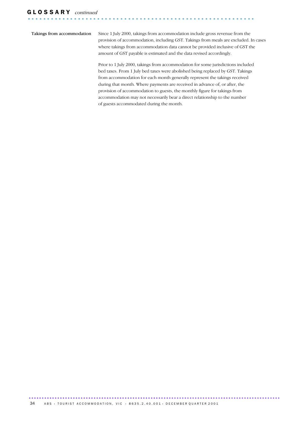Takings from accommodation Since 1 July 2000, takings from accommodation include gross revenue from the provision of accommodation, including GST. Takings from meals are excluded. In cases where takings from accommodation data cannot be provided inclusive of GST the amount of GST payable is estimated and the data revised accordingly.

> Prior to 1 July 2000, takings from accommodation for some jurisdictions included bed taxes. From 1 July bed taxes were abolished being replaced by GST. Takings from accommodation for each month generally represent the takings received during that month. Where payments are received in advance of, or after, the provision of accommodation to guests, the monthly figure for takings from accommodation may not necessarily bear a direct relationship to the number of guests accommodated during the month.

................................................................................................. ......................................................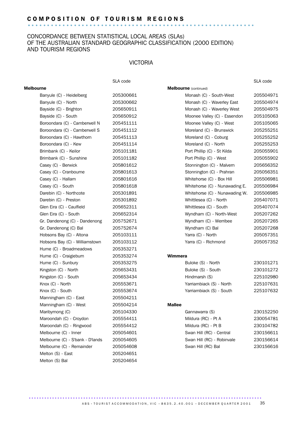# C O M P O S I T I O N O F T O U R I S M R E G I O N S ........................................................... .

### CONCORDANCE BETWEEN STATISTICAL LOCAL AREAS (SLAs) OF THE AUSTRALIAN STANDARD GEOGRAPHIC CLASSIFICATION (2000 EDITION) AND TOURISM REGIONS

### VICTORIA

|                                  | SLA code  |                                | SLA code  |
|----------------------------------|-----------|--------------------------------|-----------|
| <b>Melbourne</b>                 |           | <b>Melbourne</b> (continued)   |           |
| Banyule (C) - Heidelberg         | 205300661 | Monash (C) - South-West        | 205504971 |
| Banyule (C) - North              | 205300662 | Monash (C) - Waverley East     | 205504974 |
| Bayside (C) - Brighton           | 205650911 | Monash (C) - Waverley West     | 205504975 |
| Bayside (C) - South              | 205650912 | Moonee Valley (C) - Essendon   | 205105063 |
| Boroondara (C) - Camberwell N    | 205451111 | Moonee Valley (C) - West       | 205105065 |
| Boroondara (C) - Camberwell S    | 205451112 | Moreland (C) - Brunswick       | 205255251 |
| Boroondara (C) - Hawthorn        | 205451113 | Moreland (C) - Coburg          | 205255252 |
| Boroondara (C) - Kew             | 205451114 | Moreland (C) - North           | 205255253 |
| Brimbank (C) - Keilor            | 205101181 | Port Phillip (C) - St Kilda    | 205055901 |
| Brimbank (C) - Sunshine          | 205101182 | Port Phillip (C) - West        | 205055902 |
| Casey (C) - Berwick              | 205801612 | Stonnington (C) - Malvern      | 205656352 |
| Casey (C) - Cranbourne           | 205801613 | Stonnington (C) - Prahran      | 205056351 |
| Casey (C) - Hallam               | 205801616 | Whitehorse (C) - Box Hill      | 205506981 |
| Casey (C) - South                | 205801618 | Whitehorse (C) - Nunawading E. | 205506984 |
| Darebin (C) - Northcote          | 205301891 | Whitehorse (C) - Nunawading W. | 205506985 |
| Darebin (C) - Preston            | 205301892 | Whittlesea (C) - North         | 205407071 |
| Glen Eira (C) - Caulfield        | 205652311 | Whittlesea (C) - South         | 205407074 |
| Glen Eira (C) - South            | 205652314 | Wyndham (C) - North-West       | 205207262 |
| Gr. Dandenong (C) - Dandenong    | 205752671 | Wyndham (C) - Werribee         | 205207265 |
| Gr. Dandenong (C) Bal            | 205752674 | Wyndham (C) Bal                | 205207268 |
| Hobsons Bay (C) - Altona         | 205103111 | Yarra (C) - North              | 205057351 |
| Hobsons Bay (C) - Williamstown   | 205103112 | Yarra (C) - Richmond           | 205057352 |
| Hume (C) - Broadmeadows          | 205353271 |                                |           |
| Hume (C) - Craigieburn           | 205353274 | Wimmera                        |           |
| Hume (C) - Sunbury               | 205353275 | Buloke (S) - North             | 230101271 |
| Kingston (C) - North             | 205653431 | Buloke (S) - South             | 230101272 |
| Kingston (C) - South             | 205653434 | Hindmarsh (S)                  | 225102980 |
| Knox (C) - North                 | 205553671 | Yarriambiack (S) - North       | 225107631 |
| Knox (C) - South                 | 205553674 | Yarriambiack (S) - South       | 225107632 |
| Manningham (C) - East            | 205504211 |                                |           |
| Manningham (C) - West            | 205504214 | <b>Mallee</b>                  |           |
| Maribyrnong (C)                  | 205104330 | Gannawarra (S)                 | 230152250 |
| Maroondah (C) - Croydon          | 205554411 | Mildura (RC) - Pt A            | 230054781 |
| Maroondah (C) - Ringwood         | 205554412 | Mildura (RC) - Pt B            | 230104782 |
| Melbourne (C) - Inner            | 205054601 | Swan Hill (RC) - Central       | 230156611 |
| Melbourne (C) - S'bank - D'lands | 205054605 | Swan Hill (RC) - Robinvale     | 230156614 |
| Melbourne (C) - Remainder        | 205054608 | Swan Hill (RC) Bal             | 230156616 |
| Melton (S) - East                | 205204651 |                                |           |
| Melton (S) Bal                   | 205204654 |                                |           |
|                                  |           |                                |           |

A B S • TO URIST A C COMMODATION, VIC • 8635.2.40.001 • DECEMBER QUARTER 2001 35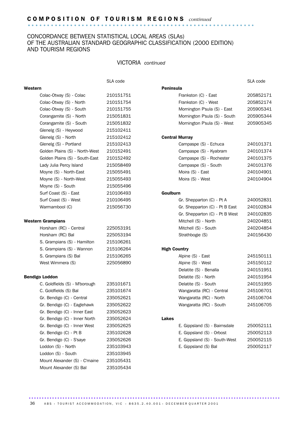### CONCORDANCE BETWEEN STATISTICAL LOCAL AREAS (SLAs) OF THE AUSTRALIAN STANDARD GEOGRAPHIC CLASSIFICATION (2000 EDITION) AND TOURISM REGIONS

### VICTORIA *continued*

### Western **Peninsula**

Colac-Otway (S) - Colac 210151751 Frankston (C) - East 205852171 Colac-Otway (S) - North 210151754 Frankston (C) - West 205852174 Colac-Otway (S) - South 210151755 Mornington P'sula (S) - East 205905341 Corangamite (S) - North 215051831 Mornington P'sula (S) - South 205905344

| Glenelg (S) - North | 215102412 | <b>Central Murray</b> |
|---------------------|-----------|-----------------------|
|                     |           |                       |

Corangamite (S) - South 215051832 Mornington P'sula (S) - West 205905345

SLA code SLA code

| Campaspe (S) - Echuca    | 240101371 |
|--------------------------|-----------|
| Campaspe (S) - Kyabram   | 240101374 |
| Campaspe (S) - Rochester | 240101375 |
| Campaspe (S) - South     | 240101376 |
| Moira (S) - East         | 240104901 |
| Moira (S) - West         | 240104904 |

### **Goulburn**

| Surf Coast (S) - West  | 210106495 | Gr. Shepparton (C) - Pt A      | 240052831 |
|------------------------|-----------|--------------------------------|-----------|
| Warrnambool (C)        | 215056730 | Gr. Shepparton (C) - Pt B East | 240102834 |
|                        |           | Gr. Shepparton (C) - Pt B West | 240102835 |
| n Grampians            |           | Mitchell (S) - North           | 240204851 |
| Horsham (RC) - Central | 225053191 | Mitchell (S) - South           | 240204854 |
| Horsham (RC) Bal       | 225053194 | Strathbogie (S)                | 240156430 |

#### **High Country**

| 215106265 | Alpine (S) - East         | 245150111 |
|-----------|---------------------------|-----------|
| 225056890 | Alpine (S) - West         | 245150112 |
|           | Delatite (S) - Benalla    | 240151951 |
|           | Delatite (S) - North      | 240151954 |
| 235101671 | Delatite (S) - South      | 240151955 |
| 235101674 | Wangaratta (RC) - Central | 245106701 |
| 235052621 | Wangaratta (RC) - North   | 245106704 |
| 235052622 | Wangaratta (RC) - South   | 245106705 |
|           |                           |           |

| Gr. Bendigo (C) - Inner West | 235052625 | E. Gippsland (S) - Bairnsdale | 250052111 |
|------------------------------|-----------|-------------------------------|-----------|
| Gr. Bendigo (C) - Pt B       | 235102628 | E. Gippsland (S) - Orbost     | 250052113 |
| Gr. Bendigo (C) - S'saye     | 235052626 | E. Gippsland (S) - South-West | 250052115 |
| Loddon (S) - North           | 235103943 | E. Gippsland (S) Bal          | 250052117 |

| Moyne (S) - North-West        | 215055493 | Moira (S) - West               | 240104904 |
|-------------------------------|-----------|--------------------------------|-----------|
| Moyne (S) - South             | 215055496 |                                |           |
| Surf Coast (S) - East         | 210106493 | <b>Goulburn</b>                |           |
| Surf Coast (S) - West         | 210106495 | Gr. Shepparton (C) - Pt A      | 240052831 |
| Warrnambool (C)               | 215056730 | Gr. Shepparton (C) - Pt B East | 240102834 |
|                               |           | Gr. Shepparton (C) - Pt B West | 240102835 |
| Western Grampians             |           | Mitchell (S) - North           | 240204851 |
| Horsham (RC) - Central        | 225053191 | Mitchell (S) - South           | 240204854 |
| Horsham (RC) Bal              | 225053194 | Strathbogie (S)                | 240156430 |
| S. Grampians (S) - Hamilton   | 215106261 |                                |           |
| S. Grampians (S) - Wannon     | 215106264 | <b>High Country</b>            |           |
| S. Grampians (S) Bal          | 215106265 | Alpine (S) - East              | 245150111 |
| West Wimmera (S)              | 225056890 | Alpine (S) - West              | 245150112 |
|                               |           | Delatite (S) - Benalla         | 240151951 |
| <b>Bendigo Loddon</b>         |           | Delatite (S) - North           | 240151954 |
| C. Goldfields (S) - M'borough | 235101671 | Delatite (S) - South           | 240151955 |
| C. Goldfields (S) Bal         | 235101674 | Wangaratta (RC) - Central      | 245106701 |
| Gr. Bendigo (C) - Central     | 235052621 | Wangaratta (RC) - North        | 245106704 |
| Gr. Bendigo (C) - Eaglehawk   | 235052622 | Wangaratta (RC) - South        | 245106705 |
| Gr. Bendigo (C) - Inner East  | 235052623 |                                |           |
| Gr. Bendigo (C) - Inner North | 235052624 | <b>Lakes</b>                   |           |
| Gr. Bendigo (C) - Inner West  | 235052625 | E. Gippsland (S) - Bairnsdale  | 250052111 |
|                               |           |                                |           |

Gr. Bendigo (C) - Pt B. 235102628 Gr. Bendigo (C) - S'saye 235052626 Loddon (S) - North 235103943 Loddon (S) - South 235103945 Mount Alexander (S) - C'maine 235105431 Mount Alexander (S) Bal 235105434

Glenelg (S) - Heywood 215102411

Glenelg (S) - Portland 215102413 Golden Plains (S) - North-West 210152491 Golden Plains (S) - South-East 210152492 Lady Julia Percy Island 215058469 Moyne (S) - North-East 215055491

................................................................................................. ...................................................... A B S  $\cdot$  TOURIST ACCOMMODATION, VIC  $\cdot$  8635.2.40.001  $\cdot$  DECEMBER QUARTER 2001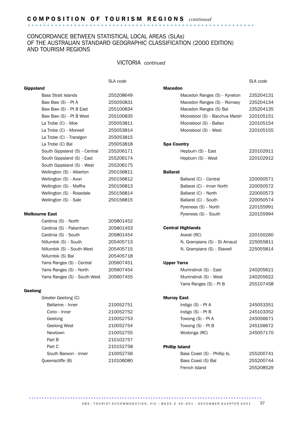# C O M P O S I T I O N O F T O U R I S M R E G I O N S *continued* ........................................................... .

### CONCORDANCE BETWEEN STATISTICAL LOCAL AREAS (SLAs) OF THE AUSTRALIAN STANDARD GEOGRAPHIC CLASSIFICATION (2000 EDITION) AND TOURISM REGIONS

### VICTORIA *continued*

SLA code SLA code SLA code SLA code SLA code SLA code SLA code SLA code SLA code SLA code SLA code SLA code SLA code SLA code SLA code SLA code SLA code SLA code SLA code SLA code SLA code SLA code SLA code SLA code SLA co

|                       | <b>Gippsland</b>              |           | <b>Macedon</b>                                        |           |
|-----------------------|-------------------------------|-----------|-------------------------------------------------------|-----------|
|                       | <b>Bass Strait Islands</b>    | 255208649 | Macedon Ranges (S) - Kyneton                          | 235204131 |
|                       | Baw Baw (S) - Pt A            | 255050831 | Macedon Ranges (S) - Romsey                           | 235204134 |
|                       | Baw Baw (S) - Pt B East       | 255100834 | Macedon Ranges (S) Bal                                | 235204135 |
|                       | Baw Baw (S) - Pt B West       | 255100835 | Moorabool (S) - Bacchus Marsh                         | 220105151 |
|                       | La Trobe (C) - Moe            | 255053811 | Moorabool (S) - Ballan                                | 220105154 |
|                       | La Trobe (C) - Morwell        | 255053814 | Moorabool (S) - West                                  | 220105155 |
|                       | La Trobe (C) - Traralgon      | 255053815 |                                                       |           |
|                       | La Trobe (C) Bal              | 255053818 | <b>Spa Country</b>                                    |           |
|                       | South Gippsland (S) - Central | 255206171 | Hepburn (S) - East                                    | 220102911 |
|                       | South Gippsland (S) - East    | 255206174 | Hepburn (S) - West                                    | 220102912 |
|                       | South Gippsland (S) - West    | 255206175 |                                                       |           |
|                       | Wellington (S) - Alberton     | 250156811 | <b>Ballarat</b>                                       |           |
|                       | Wellington (S) - Avon         | 250156812 | Ballarat (C) - Central                                | 220050571 |
|                       | Wellington (S) - Maffra       | 250156813 | Ballarat (C) - Inner North                            | 220050572 |
|                       | Wellington (S) - Rosedale     | 250156814 | Ballarat (C) - North                                  | 220050573 |
|                       | Wellington (S) - Sale         | 250156815 | Ballarat (C) - South                                  | 220050574 |
|                       |                               |           | Pyrenees (S) - North                                  | 220155991 |
| <b>Melbourne East</b> |                               |           | Pyrenees (S) - South                                  | 220155994 |
|                       | Cardinia (S) - North          | 205801452 |                                                       |           |
|                       | Cardinia (S) - Pakenham       | 205801453 | <b>Central Highlands</b>                              |           |
|                       | Cardinia (S) - South          | 205801454 | Ararat (RC)                                           | 220150260 |
|                       | Nillumbik (S) - South         | 205405713 | N. Grampians (S) - St Arnaud                          | 225055811 |
|                       | Nillumbik (S) - South-West    | 205405715 | N. Grampians (S) - Stawell                            | 225055814 |
|                       | Nillumbik (S) Bal             | 205405718 |                                                       |           |
|                       | Yarra Ranges (S) - Central    | 205607451 | <b>Upper Yarra</b>                                    |           |
|                       | Yarra Ranges (S) - North      | 205607454 | Murrindindi (S) - East                                | 240205621 |
|                       | Yarra Ranges (S) - South-West | 205607455 | Murrindindi (S) - West                                | 240205622 |
|                       |                               |           | Yarra Ranges (S) - Pt B                               | 255107458 |
| Geelong               | Greater Geelong (C)           |           | <b>Murray East</b>                                    |           |
|                       | Bellarine - Inner             | 210052751 | Indigo (S) - Pt A                                     | 245053351 |
|                       | Corio - Inner                 | 210052752 | Indigo (S) - Pt B                                     | 245103352 |
|                       | Geelong                       | 210052753 | Towong (S) - Pt A                                     | 245056671 |
|                       | Geelong West                  | 210052754 | Towong (S) - Pt B                                     | 245156672 |
|                       | Newtown                       | 210052755 | Wodonga (RC)                                          | 245057170 |
|                       | Part B                        | 210102757 |                                                       |           |
|                       | Part C                        |           |                                                       |           |
|                       | South Barwon - Inner          | 210152758 | <b>Phillip Island</b><br>Bass Coast (S) - Phillip Is. |           |
|                       |                               | 210052756 |                                                       | 255200741 |
|                       | Queenscliffe (B)              | 210106080 | Bass Coast (S) Bal                                    | 255200744 |
|                       |                               |           | French Island                                         | 255208529 |

.......................................................................................... A B S • TOURIST A C COMMODATION, VIC • 8635.2.40.001 • DECEMBER QUARTER 2001 37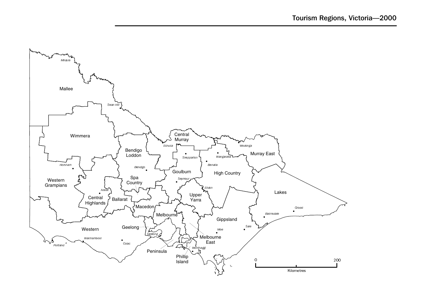